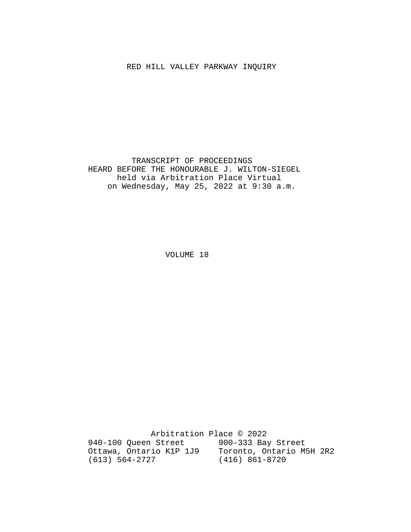## RED HILL VALLEY PARKWAY INQUIRY

 $\mathcal{L}$ 

 TRANSCRIPT OF PROCEEDINGS HEARD BEFORE THE HONOURABLE J. WILTON-SIEGEL held via Arbitration Place Virtual on Wednesday, May 25, 2022 at 9:30 a.m.

VOLUME 18

 Arbitration Place © 2022 940-100 Queen Street 900-333 Bay Street Ottawa, Ontario K1P 1J9 Toronto, Ontario M5H 2R2 (613) 564-2727 (416) 861-8720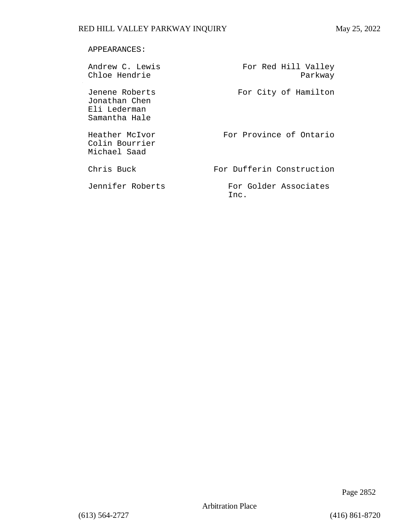## APPEARANCES:

| Andrew C. Lewis<br>Chloe Hendrie                                 | For Red Hill Valley<br>Parkway |
|------------------------------------------------------------------|--------------------------------|
| Jenene Roberts<br>Jonathan Chen<br>Eli Lederman<br>Samantha Hale | For City of Hamilton           |
| Heather McIvor<br>Colin Bourrier<br>Michael Saad                 | For Province of Ontario        |
| Chris Buck                                                       | For Dufferin Construction      |
| Jennifer Roberts                                                 | For Golder Associates<br>Inc.  |

Page 2852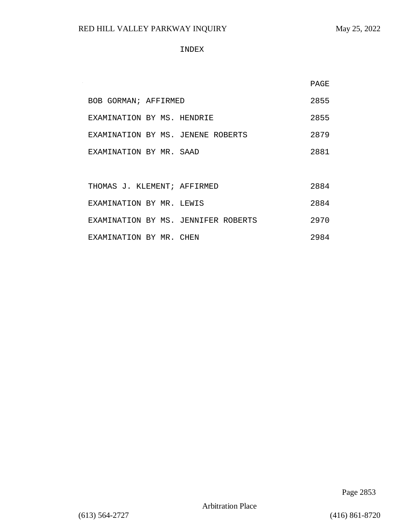## INDEX

|                             |                                     | <b>PAGE</b> |
|-----------------------------|-------------------------------------|-------------|
| BOB GORMAN; AFFIRMED        |                                     | 2855        |
| EXAMINATION BY MS. HENDRIE  |                                     | 2855        |
|                             | EXAMINATION BY MS. JENENE ROBERTS   | 2879        |
| EXAMINATION BY MR. SAAD     |                                     | 2881        |
|                             |                                     |             |
| THOMAS J. KLEMENT; AFFIRMED |                                     | 2884        |
| EXAMINATION BY MR. LEWIS    |                                     | 2884        |
|                             | EXAMINATION BY MS. JENNIFER ROBERTS | 2970        |

EXAMINATION BY MR. CHEN 2984

Page 2853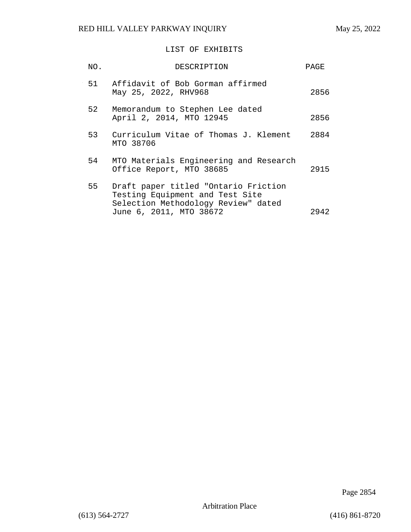## LIST OF EXHIBITS

| NO. | DESCRIPTION                                                                                                                               | PAGE |
|-----|-------------------------------------------------------------------------------------------------------------------------------------------|------|
| 51  | Affidavit of Bob Gorman affirmed<br>May 25, 2022, RHV968                                                                                  | 2856 |
| 52  | Memorandum to Stephen Lee dated<br>April 2, 2014, MTO 12945                                                                               | 2856 |
| 53  | Curriculum Vitae of Thomas J. Klement<br>MTO 38706                                                                                        | 2884 |
| 54  | MTO Materials Engineering and Research<br>Office Report, MTO 38685                                                                        | 2915 |
| 55. | Draft paper titled "Ontario Friction<br>Testing Equipment and Test Site<br>Selection Methodology Review" dated<br>June 6, 2011, MTO 38672 | 2942 |
|     |                                                                                                                                           |      |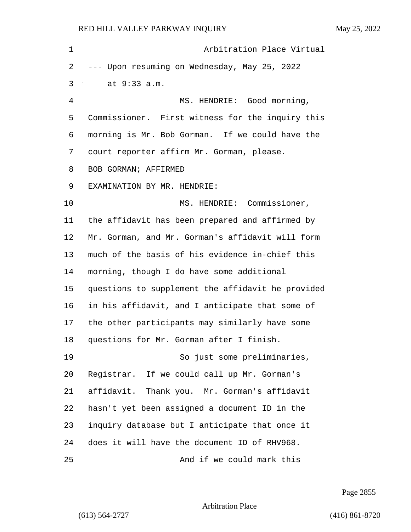| 1  | Arbitration Place Virtual                         |
|----|---------------------------------------------------|
| 2  | --- Upon resuming on Wednesday, May 25, 2022      |
| 3  | at 9:33 a.m.                                      |
| 4  | MS. HENDRIE: Good morning,                        |
| 5  | Commissioner. First witness for the inquiry this  |
| 6  | morning is Mr. Bob Gorman. If we could have the   |
| 7  | court reporter affirm Mr. Gorman, please.         |
| 8  | BOB GORMAN; AFFIRMED                              |
| 9  | EXAMINATION BY MR. HENDRIE:                       |
| 10 | MS. HENDRIE: Commissioner,                        |
| 11 | the affidavit has been prepared and affirmed by   |
| 12 | Mr. Gorman, and Mr. Gorman's affidavit will form  |
| 13 | much of the basis of his evidence in-chief this   |
| 14 | morning, though I do have some additional         |
| 15 | questions to supplement the affidavit he provided |
| 16 | in his affidavit, and I anticipate that some of   |
| 17 | the other participants may similarly have some    |
| 18 | questions for Mr. Gorman after I finish.          |
| 19 | So just some preliminaries,                       |
| 20 | Registrar. If we could call up Mr. Gorman's       |
| 21 | affidavit. Thank you. Mr. Gorman's affidavit      |
| 22 | hasn't yet been assigned a document ID in the     |
| 23 | inquiry database but I anticipate that once it    |
| 24 | does it will have the document ID of RHV968.      |
| 25 | And if we could mark this                         |

Page 2855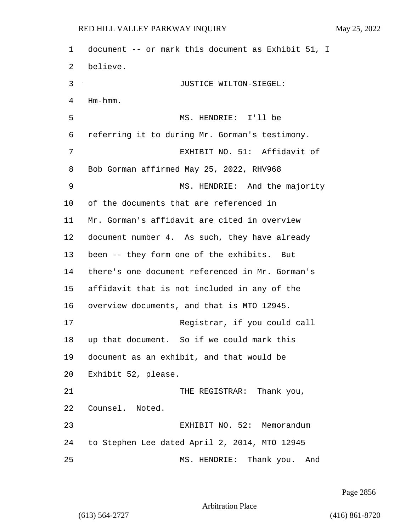1 document -- or mark this document as Exhibit 51, I 2 believe. 3 JUSTICE WILTON-SIEGEL: 4 Hm-hmm. 5 MS. HENDRIE: I'll be 6 referring it to during Mr. Gorman's testimony. 7 EXHIBIT NO. 51: Affidavit of 8 Bob Gorman affirmed May 25, 2022, RHV968 9 MS. HENDRIE: And the majority 10 of the documents that are referenced in 11 Mr. Gorman's affidavit are cited in overview 12 document number 4. As such, they have already 13 been -- they form one of the exhibits. But 14 there's one document referenced in Mr. Gorman's 15 affidavit that is not included in any of the 16 overview documents, and that is MTO 12945. 17 Registrar, if you could call 18 up that document. So if we could mark this 19 document as an exhibit, and that would be 20 Exhibit 52, please. 21 THE REGISTRAR: Thank you, 22 Counsel. Noted. 23 EXHIBIT NO. 52: Memorandum 24 to Stephen Lee dated April 2, 2014, MTO 12945 25 MS. HENDRIE: Thank you. And

Page 2856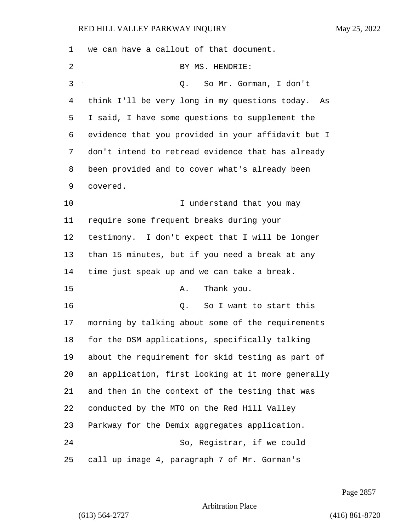| 1  | we can have a callout of that document.            |
|----|----------------------------------------------------|
| 2  | BY MS. HENDRIE:                                    |
| 3  | So Mr. Gorman, I don't<br>Q.                       |
| 4  | think I'll be very long in my questions today. As  |
| 5  | I said, I have some questions to supplement the    |
| 6  | evidence that you provided in your affidavit but I |
| 7  | don't intend to retread evidence that has already  |
| 8  | been provided and to cover what's already been     |
| 9  | covered.                                           |
| 10 | I understand that you may                          |
| 11 | require some frequent breaks during your           |
| 12 | testimony. I don't expect that I will be longer    |
| 13 | than 15 minutes, but if you need a break at any    |
| 14 | time just speak up and we can take a break.        |
| 15 | Thank you.<br>Α.                                   |
| 16 | So I want to start this<br>Q.                      |
| 17 | morning by talking about some of the requirements  |
| 18 | for the DSM applications, specifically talking     |
| 19 | about the requirement for skid testing as part of  |
| 20 | an application, first looking at it more generally |
| 21 | and then in the context of the testing that was    |
| 22 | conducted by the MTO on the Red Hill Valley        |
| 23 | Parkway for the Demix aggregates application.      |
| 24 | So, Registrar, if we could                         |
| 25 | call up image 4, paragraph 7 of Mr. Gorman's       |

Page 2857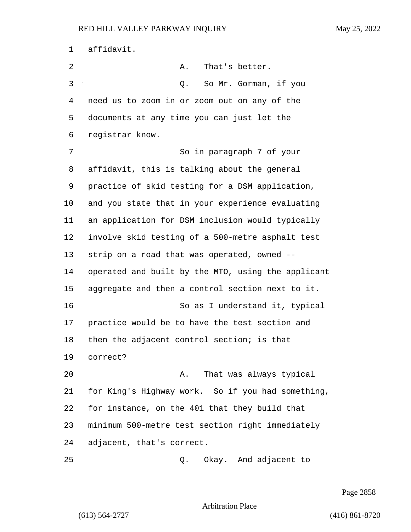affidavit. 2 A. That's better. 3 Q. So Mr. Gorman, if you need us to zoom in or zoom out on any of the documents at any time you can just let the registrar know. 7 So in paragraph 7 of your affidavit, this is talking about the general practice of skid testing for a DSM application, and you state that in your experience evaluating an application for DSM inclusion would typically involve skid testing of a 500-metre asphalt test strip on a road that was operated, owned -- operated and built by the MTO, using the applicant aggregate and then a control section next to it. 16 So as I understand it, typical practice would be to have the test section and then the adjacent control section; is that correct? 20 A. That was always typical for King's Highway work. So if you had something, for instance, on the 401 that they build that minimum 500-metre test section right immediately adjacent, that's correct. 25 Q. Okay. And adjacent to

Page 2858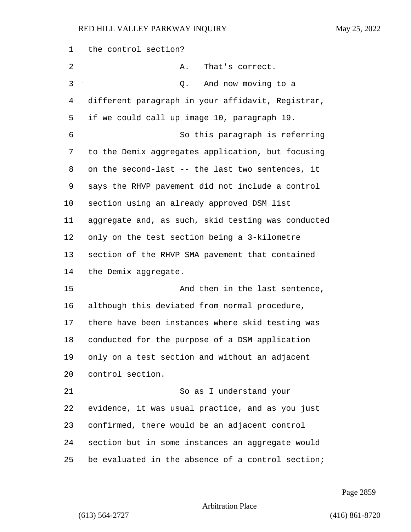| 1       | the control section?                               |
|---------|----------------------------------------------------|
| 2       | That's correct.<br>Α.                              |
| 3       | And now moving to a<br>Q.                          |
| 4       | different paragraph in your affidavit, Registrar,  |
| 5       | if we could call up image 10, paragraph 19.        |
| 6       | So this paragraph is referring                     |
| 7       | to the Demix aggregates application, but focusing  |
| 8       | on the second-last -- the last two sentences, it   |
| 9       | says the RHVP pavement did not include a control   |
| $10 \,$ | section using an already approved DSM list         |
| 11      | aggregate and, as such, skid testing was conducted |
| 12      | only on the test section being a 3-kilometre       |
| 13      | section of the RHVP SMA pavement that contained    |
| 14      | the Demix aggregate.                               |
| 15      | And then in the last sentence,                     |
| 16      | although this deviated from normal procedure,      |
| 17      | there have been instances where skid testing was   |
| 18      | conducted for the purpose of a DSM application     |
| 19      | only on a test section and without an adjacent     |
| 20      | control section.                                   |
| 21      | So as I understand your                            |
| 22      | evidence, it was usual practice, and as you just   |
| 23      | confirmed, there would be an adjacent control      |
| 24      | section but in some instances an aggregate would   |
| 25      | be evaluated in the absence of a control section;  |

Page 2859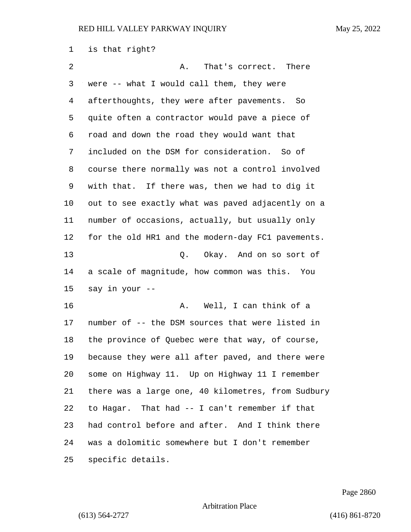is that right? 2 A. That's correct. There were -- what I would call them, they were afterthoughts, they were after pavements. So quite often a contractor would pave a piece of road and down the road they would want that included on the DSM for consideration. So of course there normally was not a control involved with that. If there was, then we had to dig it out to see exactly what was paved adjacently on a number of occasions, actually, but usually only for the old HR1 and the modern-day FC1 pavements. 13 Q. Okay. And on so sort of a scale of magnitude, how common was this. You say in your -- 16 A. Well, I can think of a number of -- the DSM sources that were listed in the province of Quebec were that way, of course, because they were all after paved, and there were some on Highway 11. Up on Highway 11 I remember there was a large one, 40 kilometres, from Sudbury to Hagar. That had -- I can't remember if that had control before and after. And I think there was a dolomitic somewhere but I don't remember specific details.

Page 2860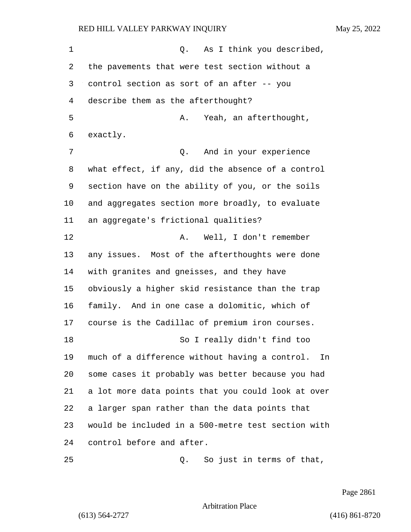1 and 1 Q. As I think you described, the pavements that were test section without a control section as sort of an after -- you describe them as the afterthought? 5 A. Yeah, an afterthought, exactly. 7 Q. And in your experience what effect, if any, did the absence of a control section have on the ability of you, or the soils and aggregates section more broadly, to evaluate an aggregate's frictional qualities? 12 A. Well, I don't remember any issues. Most of the afterthoughts were done with granites and gneisses, and they have obviously a higher skid resistance than the trap family. And in one case a dolomitic, which of course is the Cadillac of premium iron courses. 18 So I really didn't find too much of a difference without having a control. In some cases it probably was better because you had a lot more data points that you could look at over a larger span rather than the data points that would be included in a 500-metre test section with control before and after.

25 Q. So just in terms of that,

Page 2861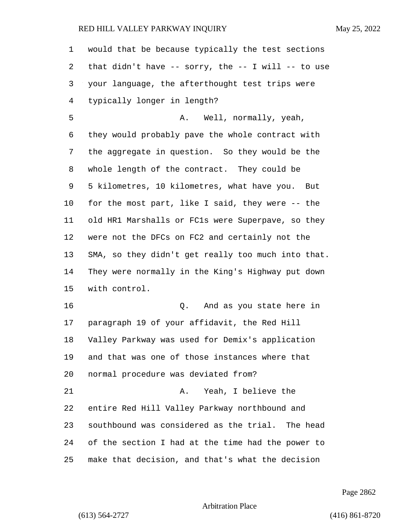| 1  | would that be because typically the test sections  |
|----|----------------------------------------------------|
| 2  | that didn't have -- sorry, the -- I will -- to use |
| 3  | your language, the afterthought test trips were    |
| 4  | typically longer in length?                        |
| 5  | A. Well, normally, yeah,                           |
| 6  | they would probably pave the whole contract with   |
| 7  | the aggregate in question. So they would be the    |
| 8  | whole length of the contract. They could be        |
| 9  | 5 kilometres, 10 kilometres, what have you. But    |
| 10 | for the most part, like I said, they were -- the   |
| 11 | old HR1 Marshalls or FC1s were Superpave, so they  |
| 12 | were not the DFCs on FC2 and certainly not the     |
| 13 | SMA, so they didn't get really too much into that. |
| 14 | They were normally in the King's Highway put down  |
| 15 | with control.                                      |
| 16 | And as you state here in<br>Q.                     |
| 17 | paragraph 19 of your affidavit, the Red Hill       |
| 18 | Valley Parkway was used for Demix's application    |
| 19 | and that was one of those instances where that     |
| 20 | normal procedure was deviated from?                |
| 21 | Yeah, I believe the<br>Α.                          |
| 22 | entire Red Hill Valley Parkway northbound and      |
| 23 | southbound was considered as the trial. The head   |
| 24 | of the section I had at the time had the power to  |
| 25 | make that decision, and that's what the decision   |

Page 2862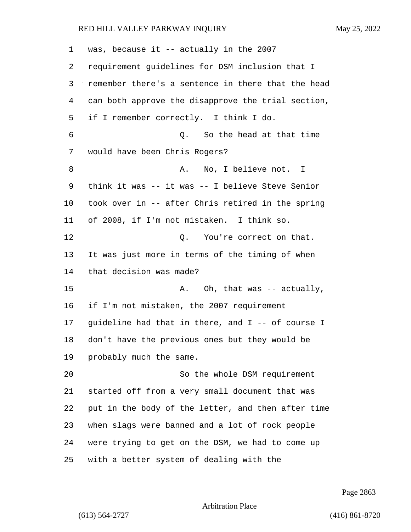was, because it -- actually in the 2007 requirement guidelines for DSM inclusion that I remember there's a sentence in there that the head can both approve the disapprove the trial section, if I remember correctly. I think I do. 6 Q. So the head at that time would have been Chris Rogers? 8 A. No, I believe not. I think it was -- it was -- I believe Steve Senior took over in -- after Chris retired in the spring of 2008, if I'm not mistaken. I think so. 12 C. You're correct on that. It was just more in terms of the timing of when that decision was made? 15 A. Oh, that was -- actually, if I'm not mistaken, the 2007 requirement guideline had that in there, and I -- of course I don't have the previous ones but they would be probably much the same. 20 So the whole DSM requirement started off from a very small document that was put in the body of the letter, and then after time when slags were banned and a lot of rock people were trying to get on the DSM, we had to come up with a better system of dealing with the

Page 2863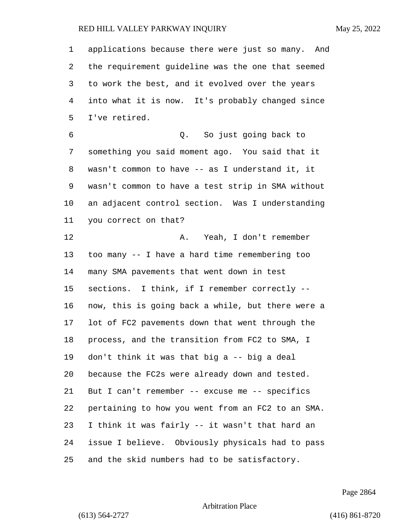| 1              | applications because there were just so many. And |
|----------------|---------------------------------------------------|
| 2              | the requirement guideline was the one that seemed |
| 3              | to work the best, and it evolved over the years   |
| $\overline{4}$ | into what it is now. It's probably changed since  |
| 5              | I've retired.                                     |
| 6              | Q. So just going back to                          |
| 7              | something you said moment ago. You said that it   |
| 8              | wasn't common to have -- as I understand it, it   |
| 9              | wasn't common to have a test strip in SMA without |
| 10             | an adjacent control section. Was I understanding  |
| 11             | you correct on that?                              |
| 12             | Yeah, I don't remember<br>Α.                      |
| 13             | too many -- I have a hard time remembering too    |
| 14             | many SMA pavements that went down in test         |
| 15             | sections. I think, if I remember correctly --     |
| 16             | now, this is going back a while, but there were a |
| 17             | lot of FC2 pavements down that went through the   |
| 18             | process, and the transition from FC2 to SMA, I    |
| 19             | don't think it was that big a -- big a deal       |
| 20             | because the FC2s were already down and tested.    |
| 21             | But I can't remember -- excuse me -- specifics    |
| 22             | pertaining to how you went from an FC2 to an SMA. |
| 23             | I think it was fairly -- it wasn't that hard an   |
| 24             | issue I believe. Obviously physicals had to pass  |
| 25             | and the skid numbers had to be satisfactory.      |

Page 2864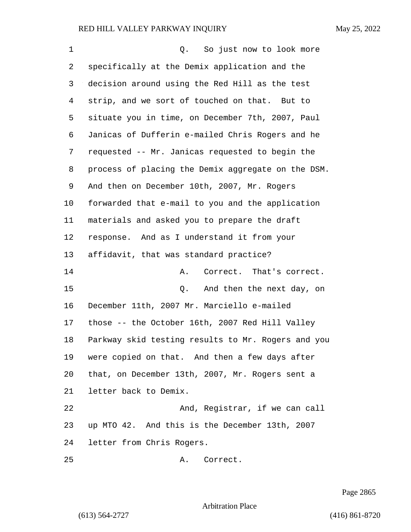| 1  | So just now to look more<br>Q.                     |
|----|----------------------------------------------------|
| 2  | specifically at the Demix application and the      |
| 3  | decision around using the Red Hill as the test     |
| 4  | strip, and we sort of touched on that. But to      |
| 5  | situate you in time, on December 7th, 2007, Paul   |
| 6  | Janicas of Dufferin e-mailed Chris Rogers and he   |
| 7  | requested -- Mr. Janicas requested to begin the    |
| 8  | process of placing the Demix aggregate on the DSM. |
| 9  | And then on December 10th, 2007, Mr. Rogers        |
| 10 | forwarded that e-mail to you and the application   |
| 11 | materials and asked you to prepare the draft       |
| 12 | response. And as I understand it from your         |
| 13 | affidavit, that was standard practice?             |
| 14 | Correct. That's correct.<br>Α.                     |
| 15 | And then the next day, on<br>Q.                    |
| 16 | December 11th, 2007 Mr. Marciello e-mailed         |
| 17 | those -- the October 16th, 2007 Red Hill Valley    |
| 18 | Parkway skid testing results to Mr. Rogers and you |
| 19 | were copied on that. And then a few days after     |
| 20 | that, on December 13th, 2007, Mr. Rogers sent a    |
| 21 | letter back to Demix.                              |
| 22 | And, Registrar, if we can call                     |
| 23 | up MTO 42. And this is the December 13th, 2007     |
| 24 | letter from Chris Rogers.                          |
| 25 | Correct.<br>Α.                                     |

Page 2865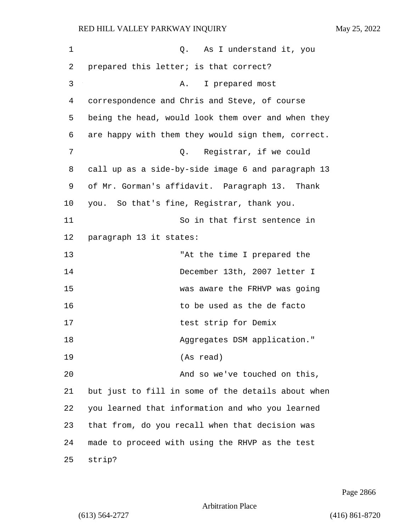| 1  | As I understand it, you<br>Q.                      |
|----|----------------------------------------------------|
| 2  | prepared this letter; is that correct?             |
| 3  | I prepared most<br>Α.                              |
| 4  | correspondence and Chris and Steve, of course      |
| 5  | being the head, would look them over and when they |
| 6  | are happy with them they would sign them, correct. |
| 7  | Registrar, if we could<br>Q.                       |
| 8  | call up as a side-by-side image 6 and paragraph 13 |
| 9  | of Mr. Gorman's affidavit. Paragraph 13. Thank     |
| 10 | you. So that's fine, Registrar, thank you.         |
| 11 | So in that first sentence in                       |
| 12 | paragraph 13 it states:                            |
| 13 | "At the time I prepared the                        |
| 14 | December 13th, 2007 letter I                       |
| 15 | was aware the FRHVP was going                      |
| 16 | to be used as the de facto                         |
| 17 | test strip for Demix                               |
| 18 | Aggregates DSM application."                       |
| 19 | (As read)                                          |
| 20 | And so we've touched on this,                      |
| 21 | but just to fill in some of the details about when |
| 22 | you learned that information and who you learned   |
| 23 | that from, do you recall when that decision was    |
| 24 | made to proceed with using the RHVP as the test    |
| 25 | strip?                                             |

Page 2866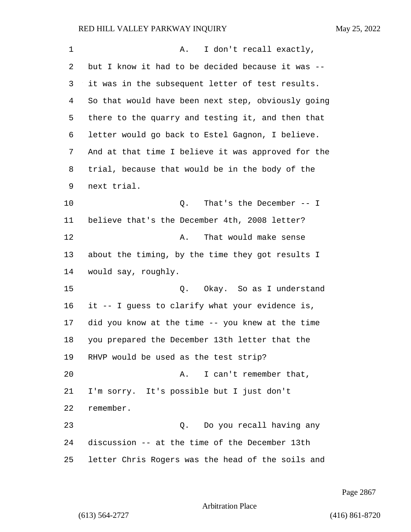| 1  | I don't recall exactly,<br>Α.                      |
|----|----------------------------------------------------|
| 2  | but I know it had to be decided because it was --  |
| 3  | it was in the subsequent letter of test results.   |
| 4  | So that would have been next step, obviously going |
| 5  | there to the quarry and testing it, and then that  |
| 6  | letter would go back to Estel Gagnon, I believe.   |
| 7  | And at that time I believe it was approved for the |
| 8  | trial, because that would be in the body of the    |
| 9  | next trial.                                        |
| 10 | That's the December $--$ I<br>Q.                   |
| 11 | believe that's the December 4th, 2008 letter?      |
| 12 | That would make sense<br>Α.                        |
| 13 | about the timing, by the time they got results I   |
| 14 | would say, roughly.                                |
| 15 | Okay. So as I understand<br>Q.                     |
| 16 | it -- I guess to clarify what your evidence is,    |
| 17 | did you know at the time -- you knew at the time   |
| 18 | you prepared the December 13th letter that the     |
| 19 | RHVP would be used as the test strip?              |
| 20 | I can't remember that,<br>Α.                       |
| 21 | I'm sorry. It's possible but I just don't          |
| 22 | remember.                                          |
| 23 | Do you recall having any<br>Q.                     |
| 24 | discussion -- at the time of the December 13th     |
| 25 | letter Chris Rogers was the head of the soils and  |

Page 2867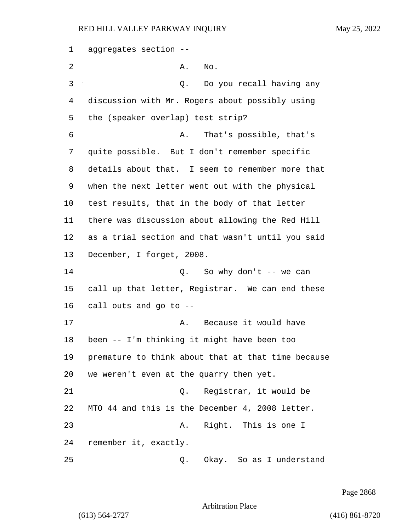aggregates section -- 2 A. No. 3 Q. Do you recall having any discussion with Mr. Rogers about possibly using the (speaker overlap) test strip? 6 A. That's possible, that's quite possible. But I don't remember specific details about that. I seem to remember more that when the next letter went out with the physical test results, that in the body of that letter there was discussion about allowing the Red Hill as a trial section and that wasn't until you said December, I forget, 2008. 14 Q. So why don't -- we can call up that letter, Registrar. We can end these call outs and go to -- 17 A. Because it would have been -- I'm thinking it might have been too premature to think about that at that time because we weren't even at the quarry then yet. 21 Q. Registrar, it would be MTO 44 and this is the December 4, 2008 letter. 23 A. Right. This is one I remember it, exactly. 25 Q. Okay. So as I understand

Page 2868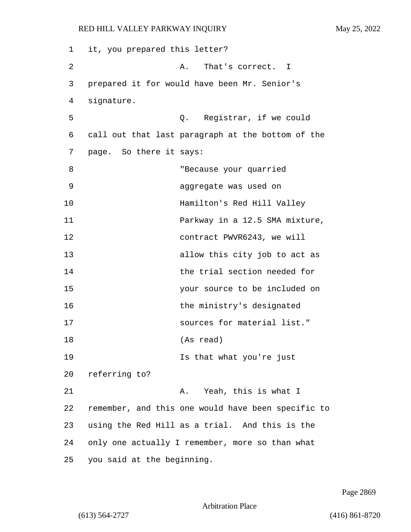1 it, you prepared this letter? 2 A. That's correct. I 3 prepared it for would have been Mr. Senior's 4 signature. 5 Q. Registrar, if we could 6 call out that last paragraph at the bottom of the 7 page. So there it says: 8 "Because your quarried 9 aggregate was used on 10 Hamilton's Red Hill Valley 11 Parkway in a 12.5 SMA mixture, 12 contract PWVR6243, we will 13 allow this city job to act as 14 the trial section needed for 15 your source to be included on 16 the ministry's designated 17 sources for material list." 18 (As read) 19 Is that what you're just 20 referring to? 21 A. Yeah, this is what I 22 remember, and this one would have been specific to 23 using the Red Hill as a trial. And this is the 24 only one actually I remember, more so than what 25 you said at the beginning.

Page 2869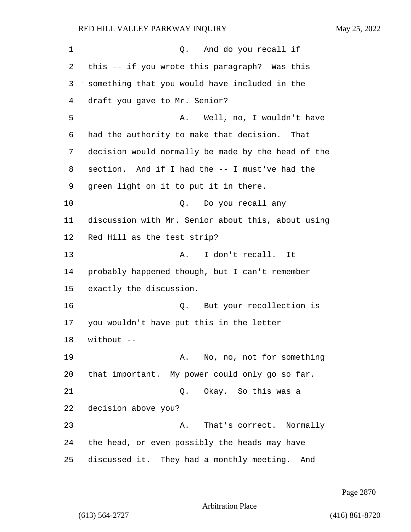1 Q. And do you recall if this -- if you wrote this paragraph? Was this something that you would have included in the draft you gave to Mr. Senior? 5 A. Well, no, I wouldn't have had the authority to make that decision. That decision would normally be made by the head of the section. And if I had the -- I must've had the green light on it to put it in there. 10 Q. Do you recall any discussion with Mr. Senior about this, about using Red Hill as the test strip? 13 A. I don't recall. It probably happened though, but I can't remember exactly the discussion. 16 Q. But your recollection is you wouldn't have put this in the letter without -- 19 A. No, no, not for something that important. My power could only go so far. 21 Q. Okay. So this was a decision above you? 23 A. That's correct. Normally the head, or even possibly the heads may have discussed it. They had a monthly meeting. And

Page 2870

Arbitration Place

(613) 564-2727 (416) 861-8720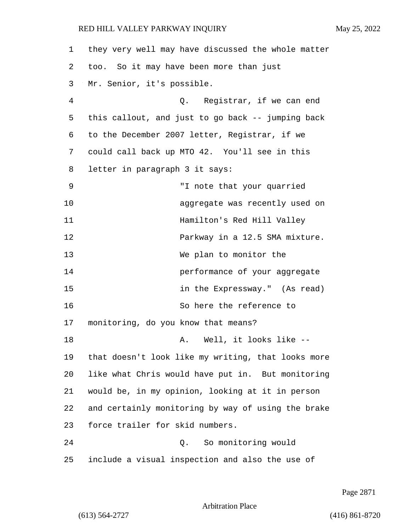| 1  | they very well may have discussed the whole matter |
|----|----------------------------------------------------|
| 2  | too. So it may have been more than just            |
| 3  | Mr. Senior, it's possible.                         |
| 4  | Q. Registrar, if we can end                        |
| 5  | this callout, and just to go back -- jumping back  |
| 6  | to the December 2007 letter, Registrar, if we      |
| 7  | could call back up MTO 42. You'll see in this      |
| 8  | letter in paragraph 3 it says:                     |
| 9  | "I note that your quarried                         |
| 10 | aggregate was recently used on                     |
| 11 | Hamilton's Red Hill Valley                         |
| 12 | Parkway in a 12.5 SMA mixture.                     |
| 13 | We plan to monitor the                             |
| 14 | performance of your aggregate                      |
| 15 | in the Expressway." (As read)                      |
| 16 | So here the reference to                           |
| 17 | monitoring, do you know that means?                |
| 18 | Well, it looks like --<br>Α.                       |
| 19 | that doesn't look like my writing, that looks more |
| 20 | like what Chris would have put in. But monitoring  |
| 21 | would be, in my opinion, looking at it in person   |
| 22 | and certainly monitoring by way of using the brake |
| 23 | force trailer for skid numbers.                    |
| 24 | Q. So monitoring would                             |
| 25 | include a visual inspection and also the use of    |

Page 2871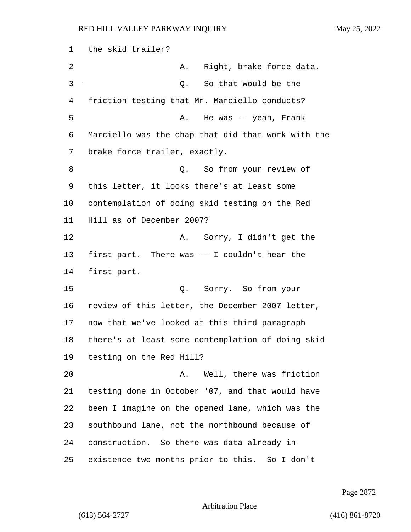the skid trailer? 2 A. Right, brake force data. 3 Q. So that would be the friction testing that Mr. Marciello conducts? 5 A. He was -- yeah, Frank Marciello was the chap that did that work with the brake force trailer, exactly. 8 a Q. So from your review of this letter, it looks there's at least some contemplation of doing skid testing on the Red Hill as of December 2007? 12 A. Sorry, I didn't get the first part. There was -- I couldn't hear the first part. 15 Q. Sorry. So from your review of this letter, the December 2007 letter, now that we've looked at this third paragraph there's at least some contemplation of doing skid testing on the Red Hill? 20 A. Well, there was friction testing done in October '07, and that would have been I imagine on the opened lane, which was the southbound lane, not the northbound because of construction. So there was data already in existence two months prior to this. So I don't

Page 2872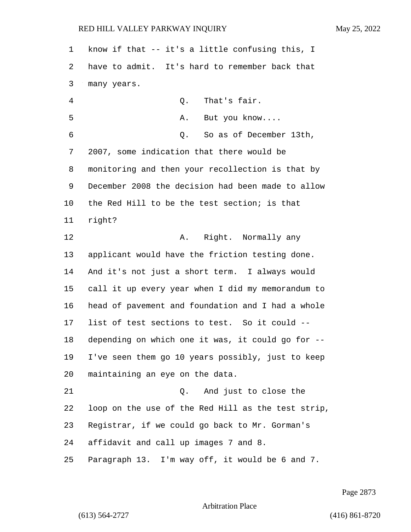know if that -- it's a little confusing this, I have to admit. It's hard to remember back that many years. 4 Q. That's fair. 5 A. But you know.... 6 Q. So as of December 13th, 2007, some indication that there would be monitoring and then your recollection is that by December 2008 the decision had been made to allow the Red Hill to be the test section; is that right? 12 A. Right. Normally any applicant would have the friction testing done. And it's not just a short term. I always would call it up every year when I did my memorandum to head of pavement and foundation and I had a whole list of test sections to test. So it could -- depending on which one it was, it could go for -- I've seen them go 10 years possibly, just to keep maintaining an eye on the data. 21 Q. And just to close the loop on the use of the Red Hill as the test strip, Registrar, if we could go back to Mr. Gorman's affidavit and call up images 7 and 8. Paragraph 13. I'm way off, it would be 6 and 7.

Page 2873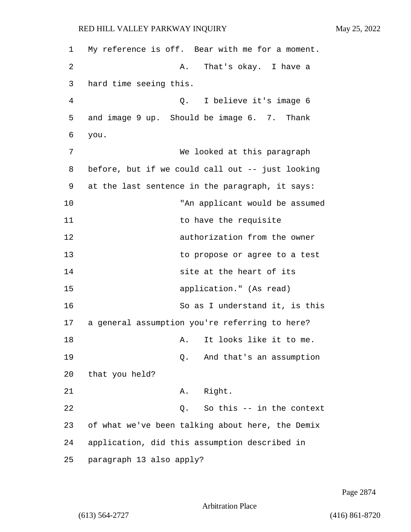1 My reference is off. Bear with me for a moment. 2 A. That's okay. I have a 3 hard time seeing this. 4 Q. I believe it's image 6 5 and image 9 up. Should be image 6. 7. Thank 6 you. 7 We looked at this paragraph 8 before, but if we could call out -- just looking 9 at the last sentence in the paragraph, it says: 10 "An applicant would be assumed 11 to have the requisite 12 authorization from the owner 13 to propose or agree to a test 14 site at the heart of its 15 application." (As read) 16 So as I understand it, is this 17 a general assumption you're referring to here? 18 A. It looks like it to me. 19 Q. And that's an assumption 20 that you held? 21 A. Right. 22 Q. So this -- in the context 23 of what we've been talking about here, the Demix 24 application, did this assumption described in 25 paragraph 13 also apply?

Page 2874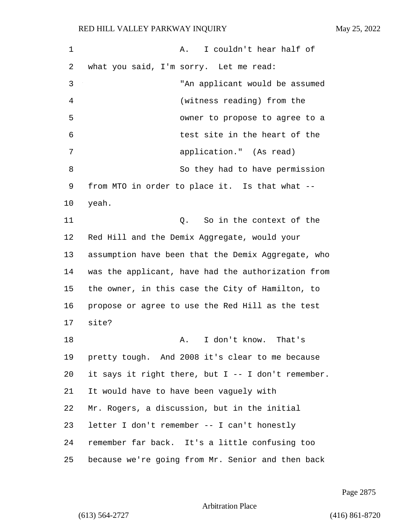1 A. I couldn't hear half of 2 what you said, I'm sorry. Let me read: 3 "An applicant would be assumed 4 (witness reading) from the 5 owner to propose to agree to a 6 test site in the heart of the 7 application." (As read) 8 So they had to have permission 9 from MTO in order to place it. Is that what -- 10 yeah. 11 Q. So in the context of the 12 Red Hill and the Demix Aggregate, would your 13 assumption have been that the Demix Aggregate, who 14 was the applicant, have had the authorization from 15 the owner, in this case the City of Hamilton, to 16 propose or agree to use the Red Hill as the test 17 site? 18 **A.** I don't know. That's 19 pretty tough. And 2008 it's clear to me because 20 it says it right there, but I -- I don't remember. 21 It would have to have been vaguely with 22 Mr. Rogers, a discussion, but in the initial 23 letter I don't remember -- I can't honestly 24 remember far back. It's a little confusing too 25 because we're going from Mr. Senior and then back

Page 2875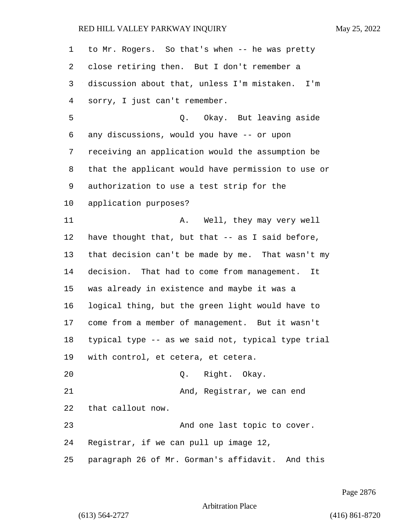| 1  | to Mr. Rogers. So that's when -- he was pretty     |
|----|----------------------------------------------------|
| 2  | close retiring then. But I don't remember a        |
| 3  | discussion about that, unless I'm mistaken. I'm    |
| 4  | sorry, I just can't remember.                      |
| 5  | Q. Okay. But leaving aside                         |
| 6  | any discussions, would you have -- or upon         |
| 7  | receiving an application would the assumption be   |
| 8  | that the applicant would have permission to use or |
| 9  | authorization to use a test strip for the          |
| 10 | application purposes?                              |
| 11 | A. Well, they may very well                        |
| 12 | have thought that, but that -- as I said before,   |
| 13 | that decision can't be made by me. That wasn't my  |
| 14 | decision. That had to come from management.<br>It  |
| 15 | was already in existence and maybe it was a        |
| 16 | logical thing, but the green light would have to   |
| 17 | come from a member of management. But it wasn't    |
| 18 | typical type -- as we said not, typical type trial |
| 19 | with control, et cetera, et cetera.                |
| 20 | Right. Okay.<br>Q.                                 |
| 21 | And, Registrar, we can end                         |
| 22 | that callout now.                                  |
| 23 | And one last topic to cover.                       |
| 24 | Registrar, if we can pull up image 12,             |
| 25 | paragraph 26 of Mr. Gorman's affidavit. And this   |

Page 2876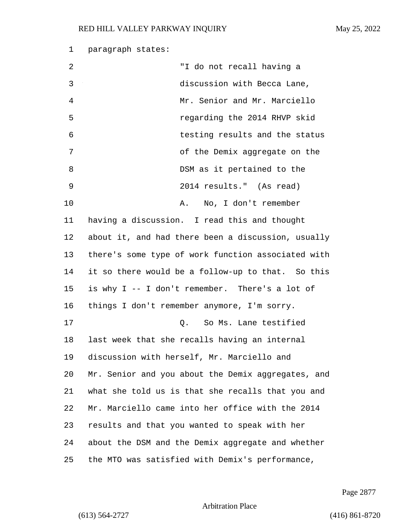1 paragraph states:

| 2  | "I do not recall having a                          |
|----|----------------------------------------------------|
| 3  | discussion with Becca Lane,                        |
| 4  | Mr. Senior and Mr. Marciello                       |
| 5  | regarding the 2014 RHVP skid                       |
| 6  | testing results and the status                     |
| 7  | of the Demix aggregate on the                      |
| 8  | DSM as it pertained to the                         |
| 9  | 2014 results." (As read)                           |
| 10 | No, I don't remember<br>Α.                         |
| 11 | having a discussion. I read this and thought       |
| 12 | about it, and had there been a discussion, usually |
| 13 | there's some type of work function associated with |
| 14 | it so there would be a follow-up to that. So this  |
| 15 | is why I -- I don't remember. There's a lot of     |
| 16 | things I don't remember anymore, I'm sorry.        |
| 17 | So Ms. Lane testified<br>Q.                        |
| 18 | last week that she recalls having an internal      |
| 19 | discussion with herself, Mr. Marciello and         |
| 20 | Mr. Senior and you about the Demix aggregates, and |
| 21 | what she told us is that she recalls that you and  |
| 22 | Mr. Marciello came into her office with the 2014   |
| 23 | results and that you wanted to speak with her      |
| 24 | about the DSM and the Demix aggregate and whether  |
| 25 | the MTO was satisfied with Demix's performance,    |

Page 2877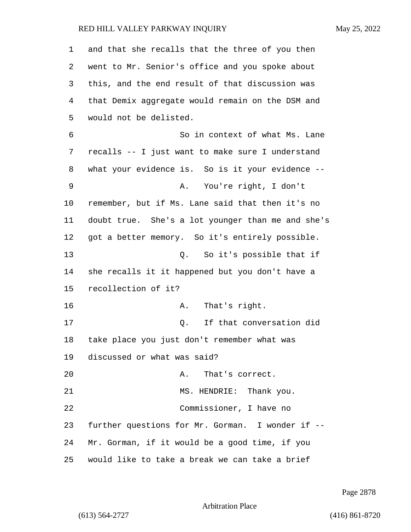and that she recalls that the three of you then went to Mr. Senior's office and you spoke about this, and the end result of that discussion was that Demix aggregate would remain on the DSM and would not be delisted. 6 So in context of what Ms. Lane recalls -- I just want to make sure I understand what your evidence is. So is it your evidence -- 9 A. You're right, I don't remember, but if Ms. Lane said that then it's no doubt true. She's a lot younger than me and she's got a better memory. So it's entirely possible. 13 Q. So it's possible that if she recalls it it happened but you don't have a recollection of it? 16 A. That's right. 17 Q. If that conversation did take place you just don't remember what was discussed or what was said? 20 A. That's correct. 21 MS. HENDRIE: Thank you. 22 Commissioner, I have no further questions for Mr. Gorman. I wonder if -- Mr. Gorman, if it would be a good time, if you would like to take a break we can take a brief

Page 2878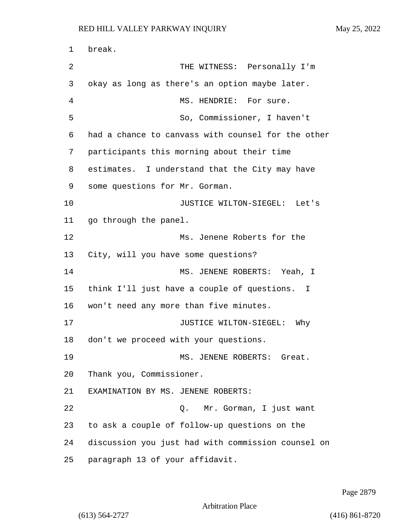1 break. 2 THE WITNESS: Personally I'm okay as long as there's an option maybe later. 4 MS. HENDRIE: For sure. 5 So, Commissioner, I haven't had a chance to canvass with counsel for the other participants this morning about their time estimates. I understand that the City may have some questions for Mr. Gorman. 10 JUSTICE WILTON-SIEGEL: Let's go through the panel. 12 Ms. Jenene Roberts for the City, will you have some questions? 14 MS. JENENE ROBERTS: Yeah, I think I'll just have a couple of questions. I won't need any more than five minutes. **JUSTICE WILTON-SIEGEL:** Why don't we proceed with your questions. 19 MS. JENENE ROBERTS: Great. Thank you, Commissioner. EXAMINATION BY MS. JENENE ROBERTS: 22 Q. Mr. Gorman, I just want to ask a couple of follow-up questions on the discussion you just had with commission counsel on paragraph 13 of your affidavit.

Page 2879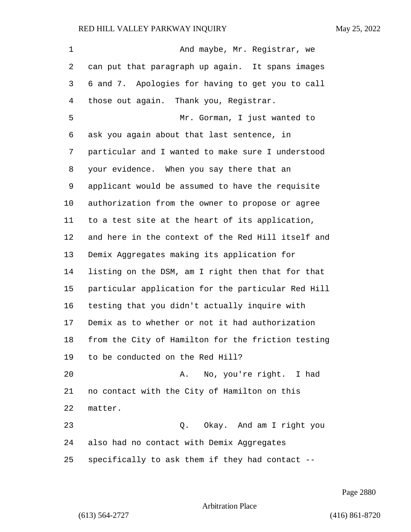| And maybe, Mr. Registrar, we                       |
|----------------------------------------------------|
| can put that paragraph up again. It spans images   |
| 6 and 7. Apologies for having to get you to call   |
| those out again. Thank you, Registrar.             |
| Mr. Gorman, I just wanted to                       |
| ask you again about that last sentence, in         |
| particular and I wanted to make sure I understood  |
| your evidence. When you say there that an          |
| applicant would be assumed to have the requisite   |
| authorization from the owner to propose or agree   |
| to a test site at the heart of its application,    |
| and here in the context of the Red Hill itself and |
| Demix Aggregates making its application for        |
| listing on the DSM, am I right then that for that  |
| particular application for the particular Red Hill |
| testing that you didn't actually inquire with      |
| Demix as to whether or not it had authorization    |
| from the City of Hamilton for the friction testing |
| to be conducted on the Red Hill?                   |
| No, you're right. I had<br>Α.                      |
| no contact with the City of Hamilton on this       |
| matter.                                            |
| Q. Okay. And am I right you                        |
| also had no contact with Demix Aggregates          |
| specifically to ask them if they had contact --    |
|                                                    |

Page 2880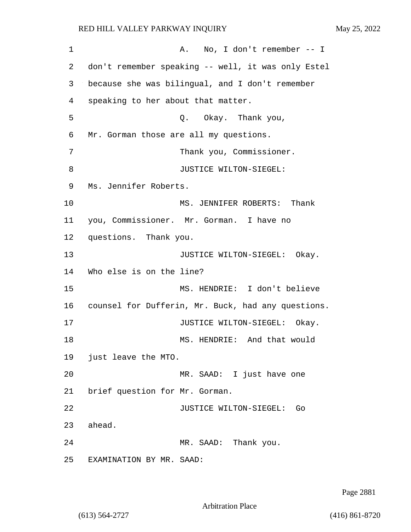| 1  | No, I don't remember -- I<br>A.                    |
|----|----------------------------------------------------|
| 2  | don't remember speaking -- well, it was only Estel |
| 3  | because she was bilingual, and I don't remember    |
| 4  | speaking to her about that matter.                 |
| 5  | Q. Okay. Thank you,                                |
| 6  | Mr. Gorman those are all my questions.             |
| 7  | Thank you, Commissioner.                           |
| 8  | JUSTICE WILTON-SIEGEL:                             |
| 9  | Ms. Jennifer Roberts.                              |
| 10 | MS. JENNIFER ROBERTS: Thank                        |
| 11 | you, Commissioner. Mr. Gorman. I have no           |
| 12 | questions. Thank you.                              |
| 13 | JUSTICE WILTON-SIEGEL: Okay.                       |
| 14 | Who else is on the line?                           |
| 15 | MS. HENDRIE: I don't believe                       |
| 16 | counsel for Dufferin, Mr. Buck, had any questions. |
| 17 | JUSTICE WILTON-SIEGEL: Okay.                       |
| 18 | MS. HENDRIE: And that would                        |
|    | 19 just leave the MTO.                             |
| 20 | MR. SAAD: I just have one                          |
| 21 | brief question for Mr. Gorman.                     |
| 22 | JUSTICE WILTON-SIEGEL:<br>Go                       |
| 23 | ahead.                                             |
| 24 | MR. SAAD: Thank you.                               |
| 25 | EXAMINATION BY MR. SAAD:                           |

Page 2881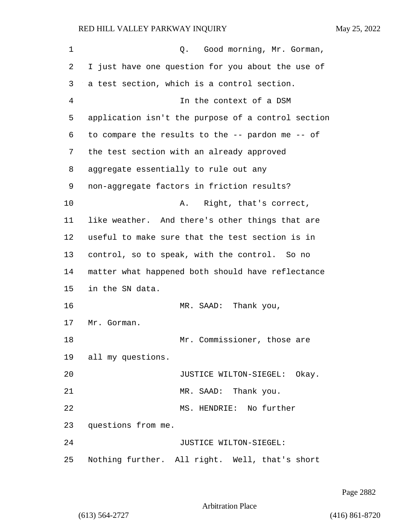| $\mathbf 1$ | Good morning, Mr. Gorman,<br>Q.                    |
|-------------|----------------------------------------------------|
| 2           | I just have one question for you about the use of  |
| 3           | a test section, which is a control section.        |
| 4           | In the context of a DSM                            |
| 5           | application isn't the purpose of a control section |
| 6           | to compare the results to the -- pardon me -- of   |
| 7           | the test section with an already approved          |
| 8           | aggregate essentially to rule out any              |
| 9           | non-aggregate factors in friction results?         |
| 10          | Right, that's correct,<br>Α.                       |
| 11          | like weather. And there's other things that are    |
| 12          | useful to make sure that the test section is in    |
| 13          | control, so to speak, with the control. So no      |
| 14          | matter what happened both should have reflectance  |
| 15          | in the SN data.                                    |
| 16          | MR. SAAD: Thank you,                               |
| 17          | Mr. Gorman.                                        |
| 18          | Mr. Commissioner, those are                        |
|             | 19 all my questions.                               |
| 20          | JUSTICE WILTON-SIEGEL: Okay.                       |
| 21          | MR. SAAD: Thank you.                               |
| 22          | MS. HENDRIE: No further                            |
| 23          | questions from me.                                 |
| 24          | JUSTICE WILTON-SIEGEL:                             |
| 25          | Nothing further. All right. Well, that's short     |

Page 2882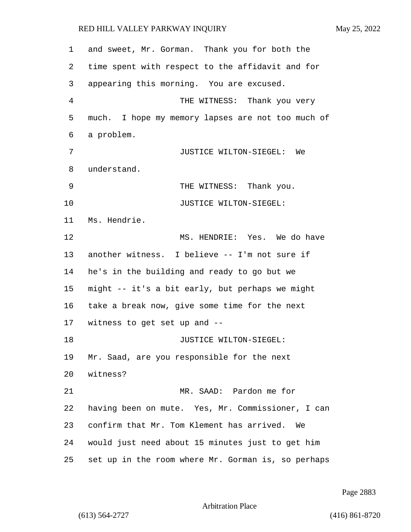| 1  | and sweet, Mr. Gorman. Thank you for both the      |
|----|----------------------------------------------------|
| 2  | time spent with respect to the affidavit and for   |
| 3  | appearing this morning. You are excused.           |
| 4  | THE WITNESS: Thank you very                        |
| 5  | much. I hope my memory lapses are not too much of  |
| 6  | a problem.                                         |
| 7  | JUSTICE WILTON-SIEGEL: We                          |
| 8  | understand.                                        |
| 9  | THE WITNESS: Thank you.                            |
| 10 | JUSTICE WILTON-SIEGEL:                             |
| 11 | Ms. Hendrie.                                       |
| 12 | MS. HENDRIE: Yes. We do have                       |
| 13 | another witness. I believe -- I'm not sure if      |
| 14 | he's in the building and ready to go but we        |
| 15 | might -- it's a bit early, but perhaps we might    |
| 16 | take a break now, give some time for the next      |
| 17 | witness to get set up and --                       |
| 18 | JUSTICE WILTON-SIEGEL:                             |
| 19 | Mr. Saad, are you responsible for the next         |
| 20 | witness?                                           |
| 21 | MR. SAAD: Pardon me for                            |
| 22 | having been on mute. Yes, Mr. Commissioner, I can  |
| 23 | confirm that Mr. Tom Klement has arrived.<br>We    |
| 24 | would just need about 15 minutes just to get him   |
| 25 | set up in the room where Mr. Gorman is, so perhaps |

Page 2883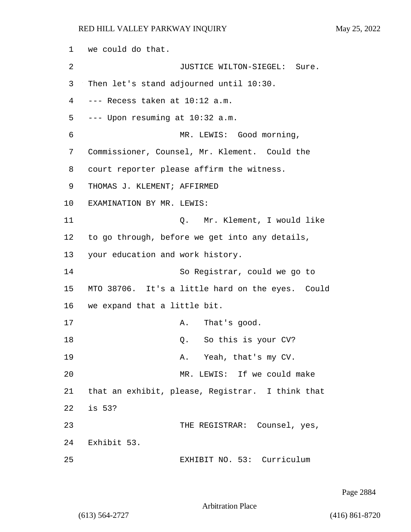1 we could do that. 2 JUSTICE WILTON-SIEGEL: Sure. 3 Then let's stand adjourned until 10:30. 4 --- Recess taken at 10:12 a.m. 5 --- Upon resuming at 10:32 a.m. 6 MR. LEWIS: Good morning, 7 Commissioner, Counsel, Mr. Klement. Could the 8 court reporter please affirm the witness. 9 THOMAS J. KLEMENT; AFFIRMED 10 EXAMINATION BY MR. LEWIS: 11 Q. Mr. Klement, I would like 12 to go through, before we get into any details, 13 your education and work history. 14 So Registrar, could we go to 15 MTO 38706. It's a little hard on the eyes. Could 16 we expand that a little bit. 17 A. That's good. 18 Q. So this is your CV? 19 A. Yeah, that's my CV. 20 MR. LEWIS: If we could make 21 that an exhibit, please, Registrar. I think that 22 is 53? 23 THE REGISTRAR: Counsel, yes, 24 Exhibit 53. 25 EXHIBIT NO. 53: Curriculum

Page 2884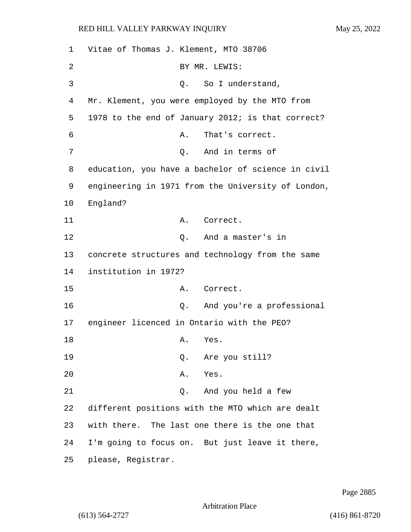1 Vitae of Thomas J. Klement, MTO 38706 2 BY MR. LEWIS: 3 Q. So I understand, 4 Mr. Klement, you were employed by the MTO from 5 1978 to the end of January 2012; is that correct? 6 A. That's correct. 7 Q. And in terms of 8 education, you have a bachelor of science in civil 9 engineering in 1971 from the University of London, 10 England? 11 A. Correct. 12 Q. And a master's in 13 concrete structures and technology from the same 14 institution in 1972? 15 A. Correct. 16 Q. And you're a professional 17 engineer licenced in Ontario with the PEO? 18 A. Yes. 19 Q. Are you still? 20 A. Yes. 21 Q. And you held a few 22 different positions with the MTO which are dealt 23 with there. The last one there is the one that 24 I'm going to focus on. But just leave it there, 25 please, Registrar.

Page 2885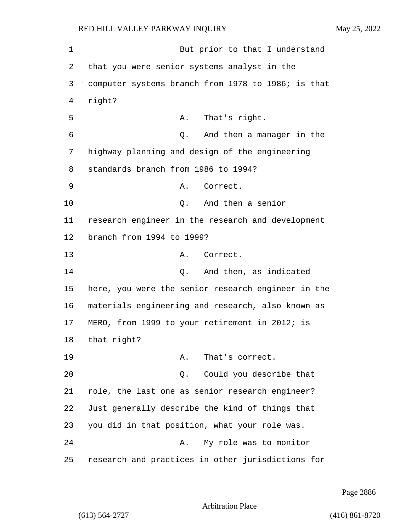1 But prior to that I understand 2 that you were senior systems analyst in the 3 computer systems branch from 1978 to 1986; is that 4 right? 5 A. That's right. 6 Q. And then a manager in the 7 highway planning and design of the engineering 8 standards branch from 1986 to 1994? 9 A. Correct. 10 Q. And then a senior 11 research engineer in the research and development 12 branch from 1994 to 1999? 13 A. Correct. 14 Q. And then, as indicated 15 here, you were the senior research engineer in the 16 materials engineering and research, also known as 17 MERO, from 1999 to your retirement in 2012; is 18 that right? 19 A. That's correct. 20 Q. Could you describe that 21 role, the last one as senior research engineer? 22 Just generally describe the kind of things that 23 you did in that position, what your role was. 24 A. My role was to monitor 25 research and practices in other jurisdictions for

Page 2886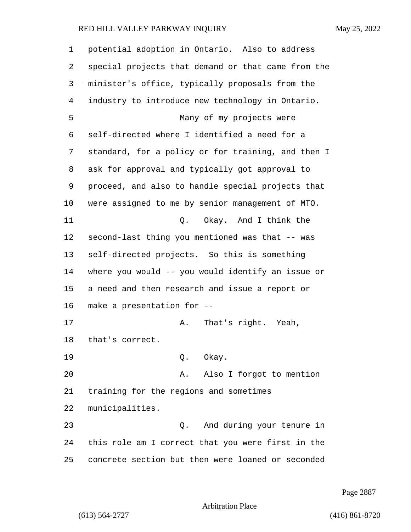| 1  | potential adoption in Ontario. Also to address     |
|----|----------------------------------------------------|
| 2  | special projects that demand or that came from the |
| 3  | minister's office, typically proposals from the    |
| 4  | industry to introduce new technology in Ontario.   |
| 5  | Many of my projects were                           |
| 6  | self-directed where I identified a need for a      |
| 7  | standard, for a policy or for training, and then I |
| 8  | ask for approval and typically got approval to     |
| 9  | proceed, and also to handle special projects that  |
| 10 | were assigned to me by senior management of MTO.   |
| 11 | Okay. And I think the<br>Q.                        |
| 12 | second-last thing you mentioned was that -- was    |
| 13 | self-directed projects. So this is something       |
| 14 | where you would -- you would identify an issue or  |
| 15 | a need and then research and issue a report or     |
| 16 | make a presentation for --                         |
| 17 | That's right. Yeah,<br>Α.                          |
| 18 | that's correct.                                    |
| 19 | Q. Okay.                                           |
| 20 | Also I forgot to mention<br>A.                     |
| 21 | training for the regions and sometimes             |
| 22 | municipalities.                                    |
| 23 | And during your tenure in<br>О.                    |
| 24 | this role am I correct that you were first in the  |
| 25 | concrete section but then were loaned or seconded  |

Page 2887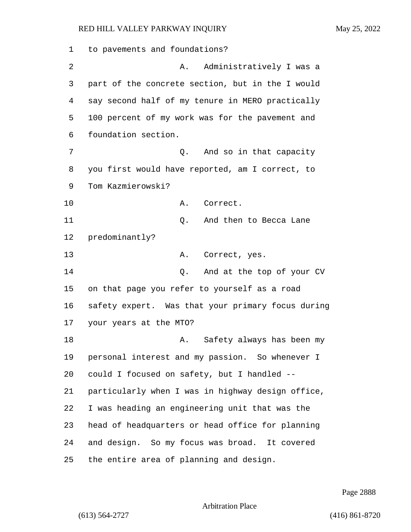to pavements and foundations? 2 A. Administratively I was a part of the concrete section, but in the I would say second half of my tenure in MERO practically 100 percent of my work was for the pavement and foundation section. 7 and so in that capacity you first would have reported, am I correct, to Tom Kazmierowski? 10 A. Correct. 11 and then to Becca Lane predominantly? 13 A. Correct, yes. 14 Q. And at the top of your CV on that page you refer to yourself as a road safety expert. Was that your primary focus during your years at the MTO? 18 A. Safety always has been my personal interest and my passion. So whenever I could I focused on safety, but I handled -- particularly when I was in highway design office, I was heading an engineering unit that was the head of headquarters or head office for planning and design. So my focus was broad. It covered the entire area of planning and design.

Page 2888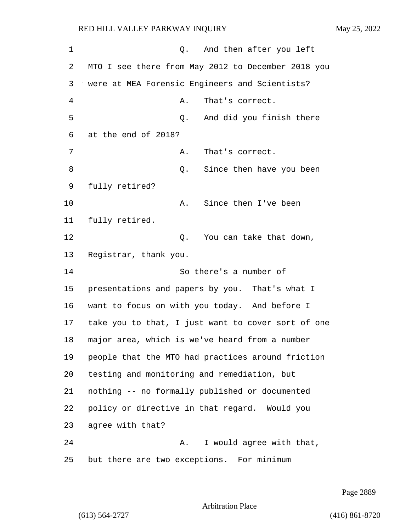1 and then after you left MTO I see there from May 2012 to December 2018 you were at MEA Forensic Engineers and Scientists? 4 A. That's correct. 5 Q. And did you finish there at the end of 2018? 7 A. That's correct. 8 Q. Since then have you been fully retired? 10 A. Since then I've been fully retired. 12 O. You can take that down, Registrar, thank you. 14 So there's a number of presentations and papers by you. That's what I want to focus on with you today. And before I take you to that, I just want to cover sort of one major area, which is we've heard from a number people that the MTO had practices around friction testing and monitoring and remediation, but nothing -- no formally published or documented policy or directive in that regard. Would you agree with that? 24 A. I would agree with that, but there are two exceptions. For minimum

Page 2889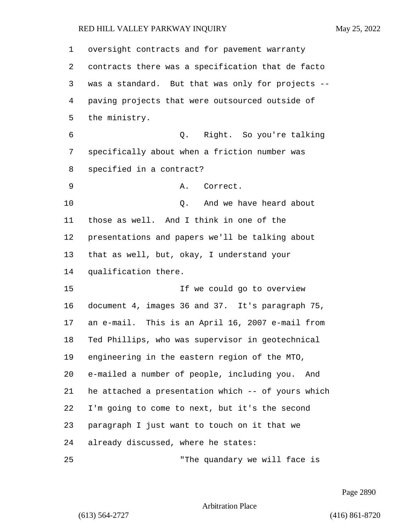| 1  | oversight contracts and for pavement warranty      |
|----|----------------------------------------------------|
| 2  | contracts there was a specification that de facto  |
| 3  | was a standard. But that was only for projects --  |
| 4  | paving projects that were outsourced outside of    |
| 5  | the ministry.                                      |
| 6  | Right. So you're talking<br>Q.                     |
| 7  | specifically about when a friction number was      |
| 8  | specified in a contract?                           |
| 9  | Correct.<br>Α.                                     |
| 10 | And we have heard about<br>Q.                      |
| 11 | those as well. And I think in one of the           |
| 12 | presentations and papers we'll be talking about    |
| 13 | that as well, but, okay, I understand your         |
| 14 | qualification there.                               |
| 15 | If we could go to overview                         |
| 16 | document 4, images 36 and 37. It's paragraph 75,   |
| 17 | an e-mail. This is an April 16, 2007 e-mail from   |
| 18 | Ted Phillips, who was supervisor in geotechnical   |
| 19 | engineering in the eastern region of the MTO,      |
| 20 | e-mailed a number of people, including you. And    |
| 21 | he attached a presentation which -- of yours which |
| 22 | I'm going to come to next, but it's the second     |
| 23 | paragraph I just want to touch on it that we       |
| 24 | already discussed, where he states:                |
| 25 | "The quandary we will face is                      |

Page 2890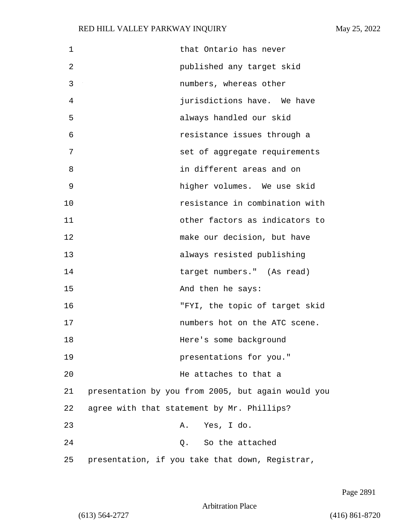| $\mathbf 1$ | that Ontario has never                             |
|-------------|----------------------------------------------------|
| 2           | published any target skid                          |
| 3           | numbers, whereas other                             |
| 4           | jurisdictions have. We have                        |
| 5           | always handled our skid                            |
| 6           | resistance issues through a                        |
| 7           | set of aggregate requirements                      |
| 8           | in different areas and on                          |
| 9           | higher volumes. We use skid                        |
| 10          | resistance in combination with                     |
| 11          | other factors as indicators to                     |
| 12          | make our decision, but have                        |
| 13          | always resisted publishing                         |
| 14          | target numbers." (As read)                         |
| 15          | And then he says:                                  |
| 16          | "FYI, the topic of target skid                     |
| 17          | numbers hot on the ATC scene.                      |
| 18          | Here's some background                             |
| 19          | presentations for you."                            |
| 20          | He attaches to that a                              |
| 21          | presentation by you from 2005, but again would you |
| 22          | agree with that statement by Mr. Phillips?         |
| 23          | A. Yes, I do.                                      |
| 24          | Q. So the attached                                 |
| 25          | presentation, if you take that down, Registrar,    |

Page 2891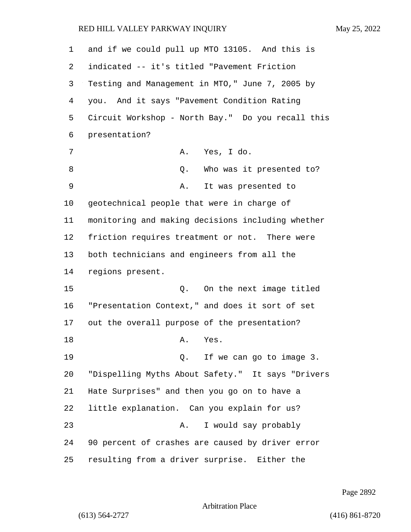| 1  | and if we could pull up MTO 13105. And this is    |
|----|---------------------------------------------------|
| 2  | indicated -- it's titled "Pavement Friction       |
| 3  | Testing and Management in MTO," June 7, 2005 by   |
| 4  | you. And it says "Pavement Condition Rating       |
| 5  | Circuit Workshop - North Bay." Do you recall this |
| 6  | presentation?                                     |
| 7  | Yes, I do.<br>Α.                                  |
| 8  | Who was it presented to?<br>Q.                    |
| 9  | It was presented to<br>Α.                         |
| 10 | geotechnical people that were in charge of        |
| 11 | monitoring and making decisions including whether |
| 12 | friction requires treatment or not. There were    |
| 13 | both technicians and engineers from all the       |
| 14 | regions present.                                  |
| 15 | Q. On the next image titled                       |
| 16 | "Presentation Context," and does it sort of set   |
| 17 | out the overall purpose of the presentation?      |
| 18 | Yes.<br>Α.                                        |
| 19 | Q. If we can go to image 3.                       |
| 20 | "Dispelling Myths About Safety." It says "Drivers |
| 21 | Hate Surprises" and then you go on to have a      |
| 22 | little explanation. Can you explain for us?       |
| 23 | I would say probably<br>Α.                        |
| 24 | 90 percent of crashes are caused by driver error  |
| 25 | resulting from a driver surprise. Either the      |

Page 2892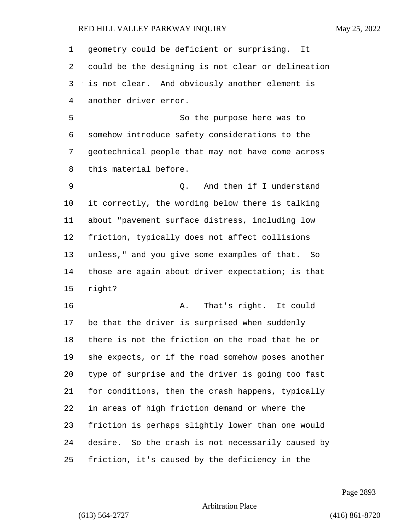geometry could be deficient or surprising. It could be the designing is not clear or delineation is not clear. And obviously another element is another driver error.

5 So the purpose here was to somehow introduce safety considerations to the geotechnical people that may not have come across this material before.

9 Q. And then if I understand it correctly, the wording below there is talking about "pavement surface distress, including low friction, typically does not affect collisions unless," and you give some examples of that. So those are again about driver expectation; is that right?

16 A. That's right. It could be that the driver is surprised when suddenly there is not the friction on the road that he or she expects, or if the road somehow poses another type of surprise and the driver is going too fast for conditions, then the crash happens, typically in areas of high friction demand or where the friction is perhaps slightly lower than one would desire. So the crash is not necessarily caused by friction, it's caused by the deficiency in the

Page 2893

Arbitration Place

(613) 564-2727 (416) 861-8720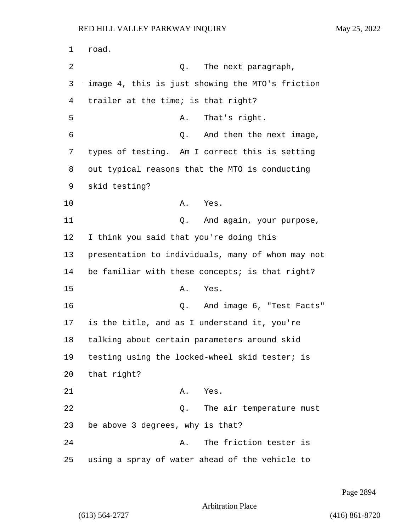1 road. 2 a Q. The next paragraph, 3 image 4, this is just showing the MTO's friction 4 trailer at the time; is that right? 5 A. That's right. 6 Q. And then the next image, 7 types of testing. Am I correct this is setting 8 out typical reasons that the MTO is conducting 9 skid testing? 10 A. Yes. 11 Q. And again, your purpose, 12 I think you said that you're doing this 13 presentation to individuals, many of whom may not 14 be familiar with these concepts; is that right? 15 A. Yes. 16 Q. And image 6, "Test Facts" 17 is the title, and as I understand it, you're 18 talking about certain parameters around skid 19 testing using the locked-wheel skid tester; is 20 that right? 21 A. Yes. 22 Q. The air temperature must 23 be above 3 degrees, why is that? 24 A. The friction tester is 25 using a spray of water ahead of the vehicle to

Page 2894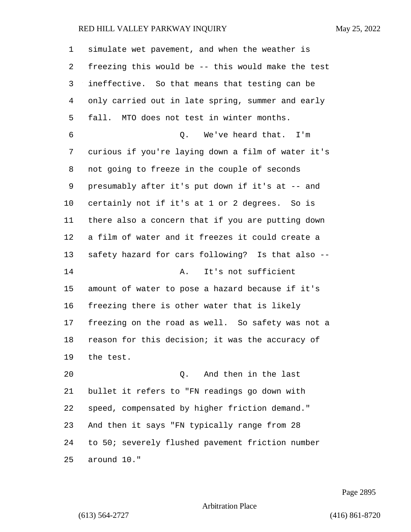simulate wet pavement, and when the weather is freezing this would be -- this would make the test ineffective. So that means that testing can be only carried out in late spring, summer and early fall. MTO does not test in winter months. 6 Q. We've heard that. I'm curious if you're laying down a film of water it's not going to freeze in the couple of seconds presumably after it's put down if it's at -- and certainly not if it's at 1 or 2 degrees. So is there also a concern that if you are putting down a film of water and it freezes it could create a safety hazard for cars following? Is that also -- 14 A. It's not sufficient amount of water to pose a hazard because if it's freezing there is other water that is likely freezing on the road as well. So safety was not a reason for this decision; it was the accuracy of the test. 20 Q. And then in the last bullet it refers to "FN readings go down with speed, compensated by higher friction demand." And then it says "FN typically range from 28 to 50; severely flushed pavement friction number around 10."

Page 2895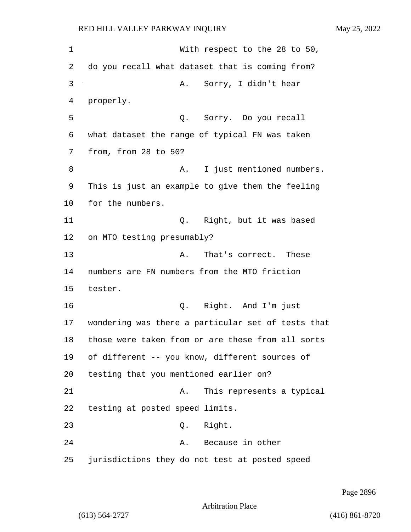1 With respect to the 28 to 50, 2 do you recall what dataset that is coming from? 3 A. Sorry, I didn't hear 4 properly. 5 Q. Sorry. Do you recall 6 what dataset the range of typical FN was taken 7 from, from 28 to 50? 8 A. I just mentioned numbers. 9 This is just an example to give them the feeling 10 for the numbers. 11 Q. Right, but it was based 12 on MTO testing presumably? 13 A. That's correct. These 14 numbers are FN numbers from the MTO friction 15 tester. 16 Q. Right. And I'm just 17 wondering was there a particular set of tests that 18 those were taken from or are these from all sorts 19 of different -- you know, different sources of 20 testing that you mentioned earlier on? 21 A. This represents a typical 22 testing at posted speed limits. 23 Q. Right. 24 A. Because in other 25 jurisdictions they do not test at posted speed

Page 2896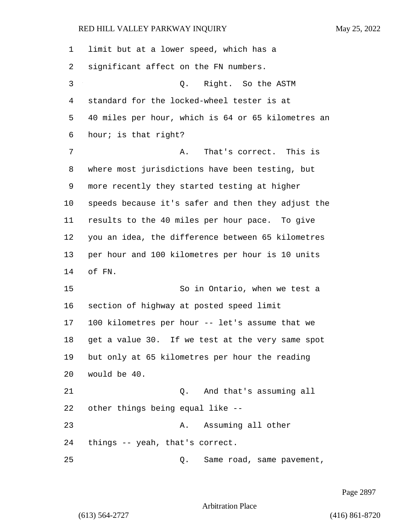| 1  | limit but at a lower speed, which has a            |
|----|----------------------------------------------------|
| 2  | significant affect on the FN numbers.              |
| 3  | Q. Right. So the ASTM                              |
| 4  | standard for the locked-wheel tester is at         |
| 5  | 40 miles per hour, which is 64 or 65 kilometres an |
| 6  | hour; is that right?                               |
| 7  | That's correct. This is<br>Α.                      |
| 8  | where most jurisdictions have been testing, but    |
| 9  | more recently they started testing at higher       |
| 10 | speeds because it's safer and then they adjust the |
| 11 | results to the 40 miles per hour pace. To give     |
| 12 | you an idea, the difference between 65 kilometres  |
| 13 | per hour and 100 kilometres per hour is 10 units   |
| 14 | of FN.                                             |
| 15 | So in Ontario, when we test a                      |
| 16 | section of highway at posted speed limit           |
| 17 | 100 kilometres per hour -- let's assume that we    |
| 18 | get a value 30. If we test at the very same spot   |
| 19 | but only at 65 kilometres per hour the reading     |
| 20 | would be 40.                                       |
| 21 | Q. And that's assuming all                         |
| 22 | other things being equal like --                   |
| 23 | Assuming all other<br>Α.                           |
| 24 | things -- yeah, that's correct.                    |
| 25 | Same road, same pavement,<br>Q.                    |

Page 2897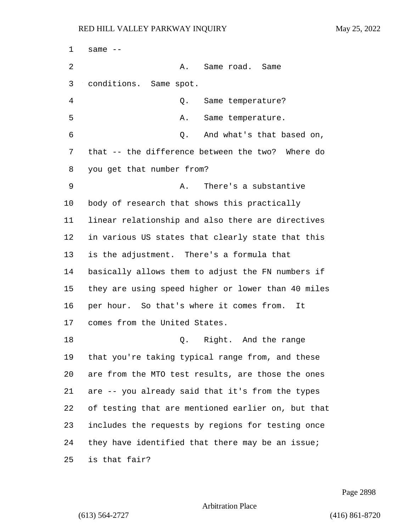1 same  $-$ 2 A. Same road. Same conditions. Same spot. 4 Q. Same temperature? 5 A. Same temperature. 6 Q. And what's that based on, that -- the difference between the two? Where do you get that number from? 9 A. There's a substantive body of research that shows this practically linear relationship and also there are directives in various US states that clearly state that this is the adjustment. There's a formula that basically allows them to adjust the FN numbers if they are using speed higher or lower than 40 miles per hour. So that's where it comes from. It comes from the United States. 18 Q. Right. And the range that you're taking typical range from, and these are from the MTO test results, are those the ones are -- you already said that it's from the types of testing that are mentioned earlier on, but that includes the requests by regions for testing once they have identified that there may be an issue; is that fair?

Page 2898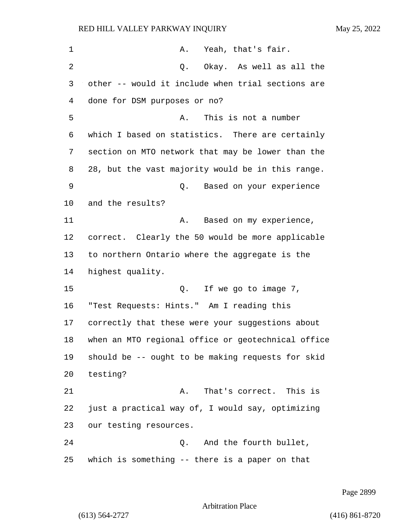| 1  | Yeah, that's fair.<br>Α.                           |
|----|----------------------------------------------------|
| 2  | Okay. As well as all the<br>Q.                     |
| 3  | other -- would it include when trial sections are  |
| 4  | done for DSM purposes or no?                       |
| 5  | This is not a number<br>Α.                         |
| 6  | which I based on statistics. There are certainly   |
| 7  | section on MTO network that may be lower than the  |
| 8  | 28, but the vast majority would be in this range.  |
| 9  | Based on your experience<br>Q.                     |
| 10 | and the results?                                   |
| 11 | Based on my experience,<br>Α.                      |
| 12 | correct. Clearly the 50 would be more applicable   |
| 13 | to northern Ontario where the aggregate is the     |
| 14 | highest quality.                                   |
| 15 | If we go to image 7,<br>Q.                         |
| 16 | "Test Requests: Hints." Am I reading this          |
| 17 | correctly that these were your suggestions about   |
| 18 | when an MTO regional office or geotechnical office |
| 19 | should be -- ought to be making requests for skid  |
| 20 | testing?                                           |
| 21 | That's correct. This is<br>Α.                      |
| 22 | just a practical way of, I would say, optimizing   |
| 23 | our testing resources.                             |
| 24 | And the fourth bullet,<br>Q.                       |
| 25 | which is something -- there is a paper on that     |

Page 2899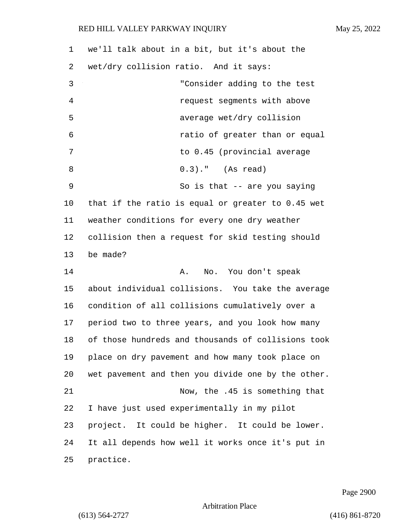| 1  | we'll talk about in a bit, but it's about the      |
|----|----------------------------------------------------|
| 2  | wet/dry collision ratio. And it says:              |
| 3  | "Consider adding to the test                       |
| 4  | request segments with above                        |
| 5  | average wet/dry collision                          |
| 6  | ratio of greater than or equal                     |
| 7  | to 0.45 (provincial average                        |
| 8  | $0.3)$ ." (As read)                                |
| 9  | So is that $-$ are you saying                      |
| 10 | that if the ratio is equal or greater to 0.45 wet  |
| 11 | weather conditions for every one dry weather       |
| 12 | collision then a request for skid testing should   |
| 13 | be made?                                           |
| 14 | No. You don't speak<br>A.                          |
| 15 | about individual collisions. You take the average  |
| 16 | condition of all collisions cumulatively over a    |
| 17 | period two to three years, and you look how many   |
| 18 | of those hundreds and thousands of collisions took |
| 19 | place on dry pavement and how many took place on   |
| 20 | wet pavement and then you divide one by the other. |
| 21 | Now, the .45 is something that                     |
| 22 | I have just used experimentally in my pilot        |
| 23 | project. It could be higher. It could be lower.    |
| 24 | It all depends how well it works once it's put in  |
| 25 | practice.                                          |

Page 2900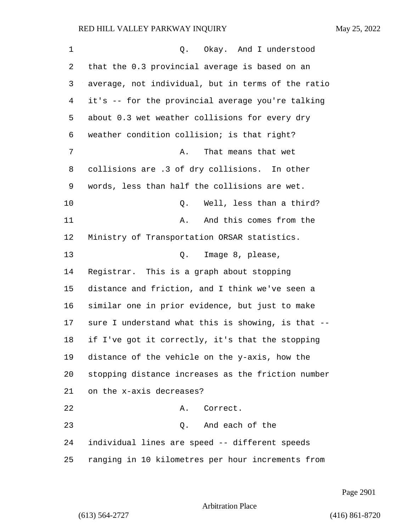| $\mathbf 1$    | Okay. And I understood<br>Q.                       |
|----------------|----------------------------------------------------|
| 2              | that the 0.3 provincial average is based on an     |
| 3              | average, not individual, but in terms of the ratio |
| $\overline{4}$ | it's -- for the provincial average you're talking  |
| 5              | about 0.3 wet weather collisions for every dry     |
| 6              | weather condition collision; is that right?        |
| 7              | That means that wet<br>Α.                          |
| 8              | collisions are .3 of dry collisions. In other      |
| 9              | words, less than half the collisions are wet.      |
| 10             | Well, less than a third?<br>Q.                     |
| 11             | And this comes from the<br>Α.                      |
| 12             | Ministry of Transportation ORSAR statistics.       |
| 13             | Image 8, please,<br>Q.                             |
| 14             | Registrar. This is a graph about stopping          |
| 15             | distance and friction, and I think we've seen a    |
| 16             | similar one in prior evidence, but just to make    |
| 17             | sure I understand what this is showing, is that -- |
| 18             | if I've got it correctly, it's that the stopping   |
| 19             | distance of the vehicle on the y-axis, how the     |
| 20             | stopping distance increases as the friction number |
| 21             | on the x-axis decreases?                           |
| 22             | Correct.<br>Α.                                     |
| 23             | And each of the<br>Q.                              |
| 24             | individual lines are speed -- different speeds     |
| 25             | ranging in 10 kilometres per hour increments from  |

Page 2901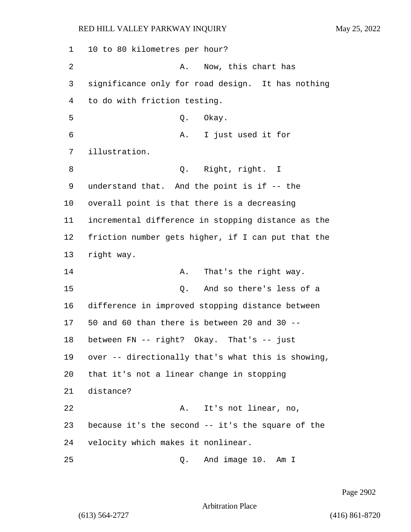10 to 80 kilometres per hour? 2 A. Now, this chart has significance only for road design. It has nothing to do with friction testing. 5 Q. Okay. 6 A. I just used it for illustration. 8 Q. Right, right. I understand that. And the point is if -- the overall point is that there is a decreasing incremental difference in stopping distance as the friction number gets higher, if I can put that the right way. 14 A. That's the right way. 15 Q. And so there's less of a difference in improved stopping distance between 50 and 60 than there is between 20 and 30 -- between FN -- right? Okay. That's -- just over -- directionally that's what this is showing, that it's not a linear change in stopping distance? 22 A. It's not linear, no, because it's the second -- it's the square of the velocity which makes it nonlinear.

25 Q. And image 10. Am I

Page 2902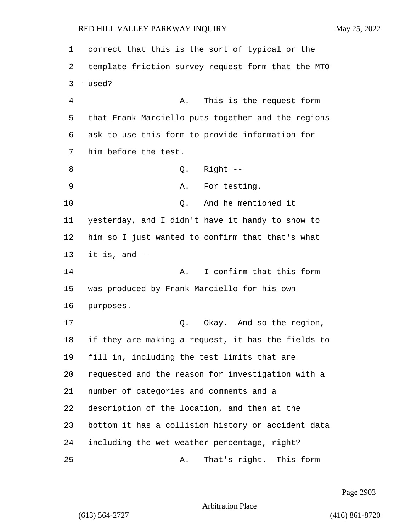correct that this is the sort of typical or the template friction survey request form that the MTO used? 4 A. This is the request form that Frank Marciello puts together and the regions ask to use this form to provide information for him before the test. 8 Q. Right -- 9 A. For testing. 10 Q. And he mentioned it yesterday, and I didn't have it handy to show to him so I just wanted to confirm that that's what 13 it is, and  $-$ **A.** I confirm that this form was produced by Frank Marciello for his own purposes. 17 and so the region, 17 if they are making a request, it has the fields to fill in, including the test limits that are requested and the reason for investigation with a number of categories and comments and a description of the location, and then at the bottom it has a collision history or accident data including the wet weather percentage, right? 25 A. That's right. This form

Page 2903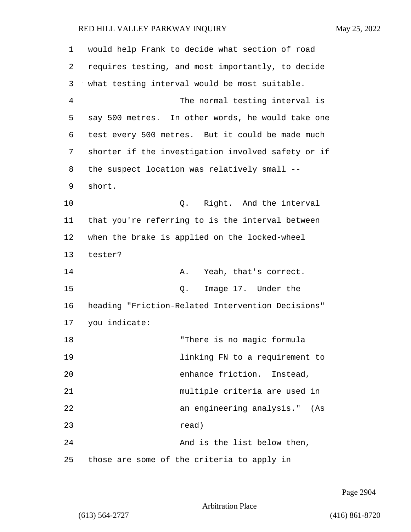| 1              | would help Frank to decide what section of road    |
|----------------|----------------------------------------------------|
| 2              | requires testing, and most importantly, to decide  |
| 3              | what testing interval would be most suitable.      |
| $\overline{4}$ | The normal testing interval is                     |
| 5              | say 500 metres. In other words, he would take one  |
| 6              | test every 500 metres. But it could be made much   |
| 7              | shorter if the investigation involved safety or if |
| 8              | the suspect location was relatively small --       |
| 9              | short.                                             |
| 10             | Right. And the interval<br>Q.                      |
| 11             | that you're referring to is the interval between   |
| 12             | when the brake is applied on the locked-wheel      |
| 13             | tester?                                            |
| 14             | Yeah, that's correct.<br>Α.                        |
| 15             | Image 17. Under the<br>Q.                          |
| 16             | heading "Friction-Related Intervention Decisions"  |
| 17             | you indicate:                                      |
| 18             | "There is no magic formula                         |
| 19             | linking FN to a requirement to                     |
| 20             | enhance friction. Instead,                         |
| 21             | multiple criteria are used in                      |
| 22             | an engineering analysis." (As                      |
| 23             | read)                                              |
| 24             | And is the list below then,                        |
| 25             | those are some of the criteria to apply in         |

Page 2904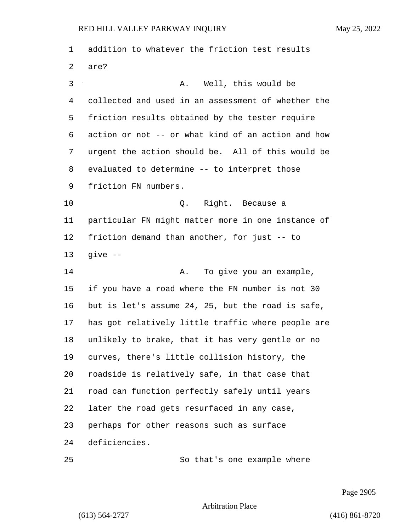addition to whatever the friction test results are? 3 A. Well, this would be collected and used in an assessment of whether the friction results obtained by the tester require action or not -- or what kind of an action and how urgent the action should be. All of this would be evaluated to determine -- to interpret those friction FN numbers. 10 Q. Right. Because a particular FN might matter more in one instance of friction demand than another, for just -- to qive  $-$ 14 A. To give you an example, if you have a road where the FN number is not 30 but is let's assume 24, 25, but the road is safe, has got relatively little traffic where people are unlikely to brake, that it has very gentle or no curves, there's little collision history, the roadside is relatively safe, in that case that road can function perfectly safely until years later the road gets resurfaced in any case, perhaps for other reasons such as surface deficiencies. 25 So that's one example where

Page 2905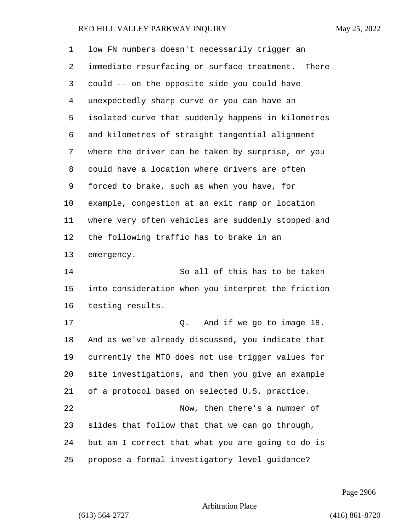| 1  | low FN numbers doesn't necessarily trigger an      |
|----|----------------------------------------------------|
| 2  | immediate resurfacing or surface treatment. There  |
| 3  | could -- on the opposite side you could have       |
| 4  | unexpectedly sharp curve or you can have an        |
| 5  | isolated curve that suddenly happens in kilometres |
| 6  | and kilometres of straight tangential alignment    |
| 7  | where the driver can be taken by surprise, or you  |
| 8  | could have a location where drivers are often      |
| 9  | forced to brake, such as when you have, for        |
| 10 | example, congestion at an exit ramp or location    |
| 11 | where very often vehicles are suddenly stopped and |
| 12 | the following traffic has to brake in an           |
| 13 | emergency.                                         |
| 14 | So all of this has to be taken                     |
| 15 | into consideration when you interpret the friction |
| 16 | testing results.                                   |
| 17 | And if we go to image 18.<br>Q.                    |
| 18 | And as we've already discussed, you indicate that  |
| 19 | currently the MTO does not use trigger values for  |
| 20 | site investigations, and then you give an example  |
| 21 | of a protocol based on selected U.S. practice.     |
| 22 | Now, then there's a number of                      |
| 23 | slides that follow that that we can go through,    |
| 24 | but am I correct that what you are going to do is  |
| 25 | propose a formal investigatory level guidance?     |

Page 2906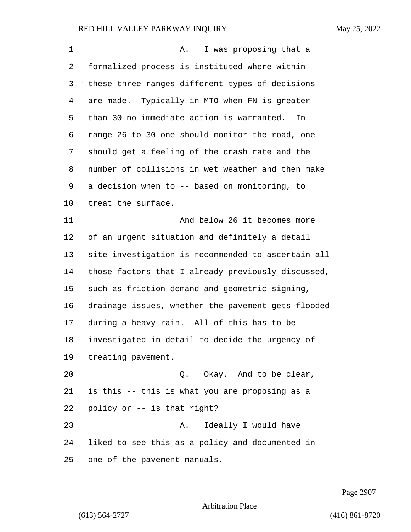1 A. I was proposing that a formalized process is instituted where within these three ranges different types of decisions are made. Typically in MTO when FN is greater than 30 no immediate action is warranted. In range 26 to 30 one should monitor the road, one should get a feeling of the crash rate and the number of collisions in wet weather and then make a decision when to -- based on monitoring, to treat the surface. 11 and below 26 it becomes more of an urgent situation and definitely a detail site investigation is recommended to ascertain all those factors that I already previously discussed, such as friction demand and geometric signing, drainage issues, whether the pavement gets flooded during a heavy rain. All of this has to be investigated in detail to decide the urgency of treating pavement. 20 Q. Okay. And to be clear, is this -- this is what you are proposing as a policy or -- is that right? 23 A. Ideally I would have liked to see this as a policy and documented in one of the pavement manuals.

Page 2907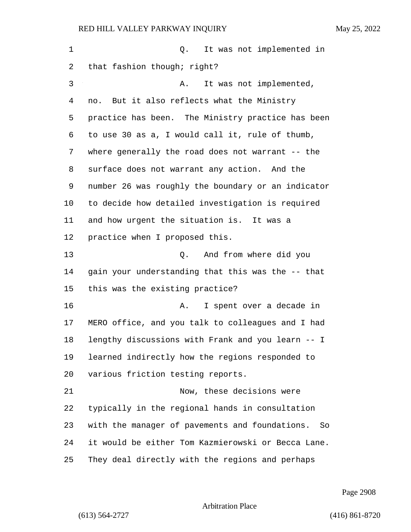| 1  | It was not implemented in<br>Q.                      |
|----|------------------------------------------------------|
| 2  | that fashion though; right?                          |
| 3  | It was not implemented,<br>Α.                        |
| 4  | But it also reflects what the Ministry<br>no.        |
| 5  | practice has been. The Ministry practice has been    |
| 6  | to use 30 as a, I would call it, rule of thumb,      |
| 7  | where generally the road does not warrant -- the     |
| 8  | surface does not warrant any action. And the         |
| 9  | number 26 was roughly the boundary or an indicator   |
| 10 | to decide how detailed investigation is required     |
| 11 | and how urgent the situation is. It was a            |
| 12 | practice when I proposed this.                       |
| 13 | And from where did you<br>Q.                         |
| 14 | gain your understanding that this was the -- that    |
| 15 | this was the existing practice?                      |
| 16 | I spent over a decade in<br>Α.                       |
| 17 | MERO office, and you talk to colleagues and I had    |
| 18 | lengthy discussions with Frank and you learn -- I    |
| 19 | learned indirectly how the regions responded to      |
| 20 | various friction testing reports.                    |
| 21 | Now, these decisions were                            |
| 22 | typically in the regional hands in consultation      |
| 23 | with the manager of pavements and foundations.<br>So |
| 24 | it would be either Tom Kazmierowski or Becca Lane.   |
| 25 | They deal directly with the regions and perhaps      |

Page 2908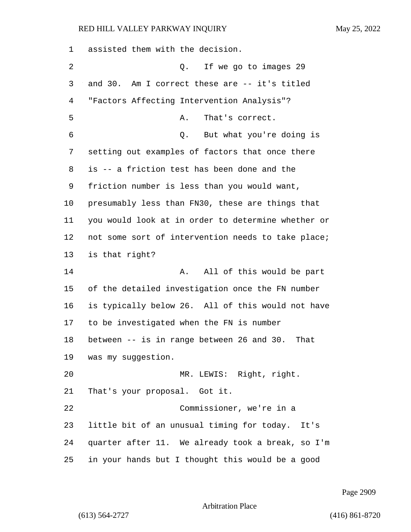assisted them with the decision. 2 Q. If we go to images 29 and 30. Am I correct these are -- it's titled "Factors Affecting Intervention Analysis"? 5 A. That's correct. 6 Q. But what you're doing is setting out examples of factors that once there is -- a friction test has been done and the friction number is less than you would want, presumably less than FN30, these are things that you would look at in order to determine whether or not some sort of intervention needs to take place; is that right? **A.** All of this would be part of the detailed investigation once the FN number is typically below 26. All of this would not have to be investigated when the FN is number between -- is in range between 26 and 30. That was my suggestion. 20 MR. LEWIS: Right, right. That's your proposal. Got it. 22 Commissioner, we're in a little bit of an unusual timing for today. It's quarter after 11. We already took a break, so I'm in your hands but I thought this would be a good

Page 2909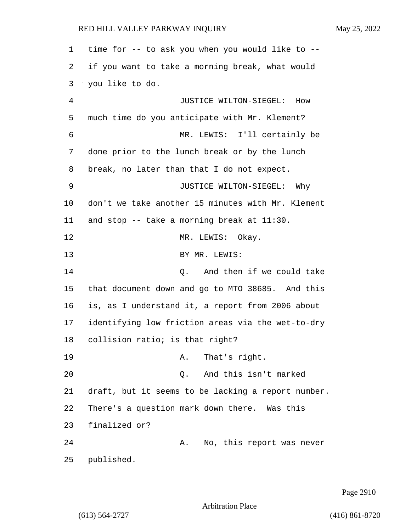time for -- to ask you when you would like to -- if you want to take a morning break, what would you like to do. 4 JUSTICE WILTON-SIEGEL: How much time do you anticipate with Mr. Klement? 6 MR. LEWIS: I'll certainly be done prior to the lunch break or by the lunch break, no later than that I do not expect. 9 JUSTICE WILTON-SIEGEL: Why don't we take another 15 minutes with Mr. Klement and stop -- take a morning break at 11:30. 12 MR. LEWIS: Okay. 13 BY MR. LEWIS: 14 Q. And then if we could take that document down and go to MTO 38685. And this is, as I understand it, a report from 2006 about identifying low friction areas via the wet-to-dry collision ratio; is that right? 19 A. That's right. 20 Q. And this isn't marked draft, but it seems to be lacking a report number. There's a question mark down there. Was this finalized or? 24 A. No, this report was never published.

Page 2910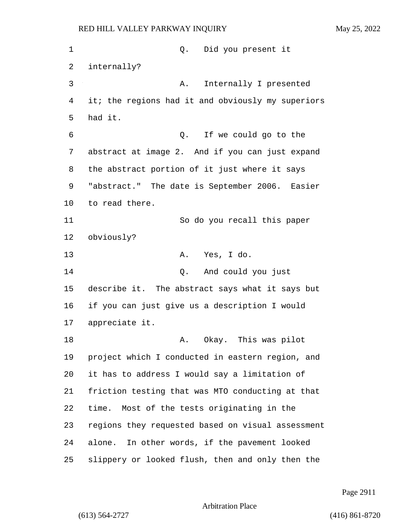1 and 1 Q. Did you present it internally? 3 A. Internally I presented it; the regions had it and obviously my superiors had it. 6 Q. If we could go to the abstract at image 2. And if you can just expand the abstract portion of it just where it says "abstract." The date is September 2006. Easier to read there. 11 So do you recall this paper obviously? 13 A. Yes, I do. 14 Q. And could you just describe it. The abstract says what it says but if you can just give us a description I would appreciate it. 18 A. Okay. This was pilot project which I conducted in eastern region, and it has to address I would say a limitation of friction testing that was MTO conducting at that time. Most of the tests originating in the regions they requested based on visual assessment alone. In other words, if the pavement looked slippery or looked flush, then and only then the

Page 2911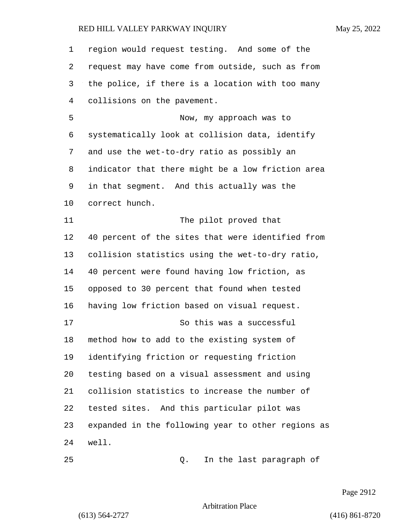region would request testing. And some of the request may have come from outside, such as from the police, if there is a location with too many collisions on the pavement. 5 Now, my approach was to systematically look at collision data, identify and use the wet-to-dry ratio as possibly an indicator that there might be a low friction area in that segment. And this actually was the correct hunch. 11 The pilot proved that 40 percent of the sites that were identified from collision statistics using the wet-to-dry ratio, 40 percent were found having low friction, as opposed to 30 percent that found when tested having low friction based on visual request. 17 So this was a successful method how to add to the existing system of identifying friction or requesting friction testing based on a visual assessment and using collision statistics to increase the number of tested sites. And this particular pilot was expanded in the following year to other regions as well. 25 Q. In the last paragraph of

Page 2912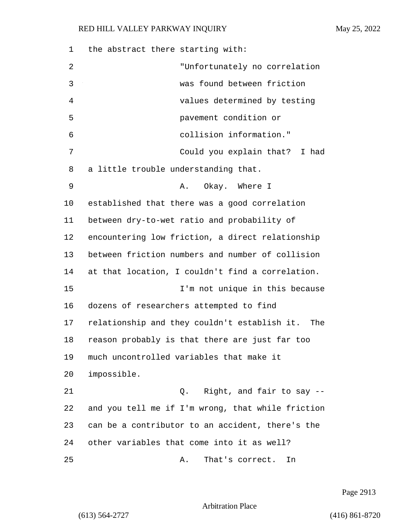| 1  | the abstract there starting with:                 |
|----|---------------------------------------------------|
| 2  | "Unfortunately no correlation                     |
| 3  | was found between friction                        |
| 4  | values determined by testing                      |
| 5  | pavement condition or                             |
| 6  | collision information."                           |
| 7  | Could you explain that? I had                     |
| 8  | a little trouble understanding that.              |
| 9  | Okay. Where I<br>Α.                               |
| 10 | established that there was a good correlation     |
| 11 | between dry-to-wet ratio and probability of       |
| 12 | encountering low friction, a direct relationship  |
| 13 | between friction numbers and number of collision  |
| 14 | at that location, I couldn't find a correlation.  |
| 15 | I'm not unique in this because                    |
| 16 | dozens of researchers attempted to find           |
| 17 | relationship and they couldn't establish it. The  |
| 18 | reason probably is that there are just far too    |
| 19 | much uncontrolled variables that make it          |
| 20 | impossible.                                       |
| 21 | Right, and fair to say --<br>Q.                   |
| 22 | and you tell me if I'm wrong, that while friction |
| 23 | can be a contributor to an accident, there's the  |
| 24 | other variables that come into it as well?        |
| 25 | That's correct. In<br>Α.                          |

Page 2913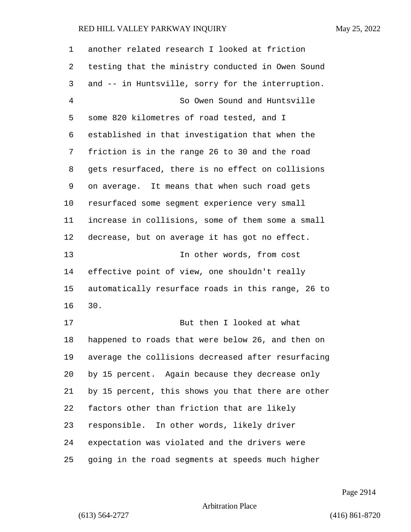another related research I looked at friction testing that the ministry conducted in Owen Sound and -- in Huntsville, sorry for the interruption. 4 So Owen Sound and Huntsville some 820 kilometres of road tested, and I established in that investigation that when the friction is in the range 26 to 30 and the road gets resurfaced, there is no effect on collisions on average. It means that when such road gets resurfaced some segment experience very small increase in collisions, some of them some a small decrease, but on average it has got no effect. 13 In other words, from cost effective point of view, one shouldn't really automatically resurface roads in this range, 26 to 30. 17 But then I looked at what happened to roads that were below 26, and then on average the collisions decreased after resurfacing by 15 percent. Again because they decrease only by 15 percent, this shows you that there are other factors other than friction that are likely responsible. In other words, likely driver expectation was violated and the drivers were going in the road segments at speeds much higher

Page 2914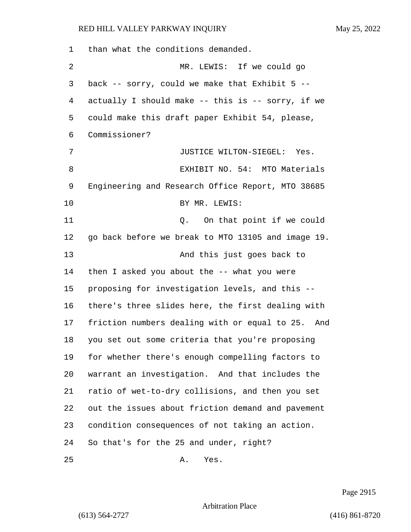| 1  | than what the conditions demanded.                 |
|----|----------------------------------------------------|
| 2  | MR. LEWIS: If we could go                          |
| 3  | back -- sorry, could we make that Exhibit $5$ --   |
| 4  | actually I should make -- this is -- sorry, if we  |
| 5  | could make this draft paper Exhibit 54, please,    |
| 6  | Commissioner?                                      |
| 7  | JUSTICE WILTON-SIEGEL: Yes.                        |
| 8  | EXHIBIT NO. 54: MTO Materials                      |
| 9  | Engineering and Research Office Report, MTO 38685  |
| 10 | BY MR. LEWIS:                                      |
| 11 | On that point if we could<br>Q.                    |
| 12 | go back before we break to MTO 13105 and image 19. |
| 13 | And this just goes back to                         |
| 14 | then I asked you about the -- what you were        |
| 15 | proposing for investigation levels, and this --    |
| 16 | there's three slides here, the first dealing with  |
| 17 | friction numbers dealing with or equal to 25. And  |
| 18 | you set out some criteria that you're proposing    |
| 19 | for whether there's enough compelling factors to   |
| 20 | warrant an investigation. And that includes the    |
| 21 | ratio of wet-to-dry collisions, and then you set   |
| 22 | out the issues about friction demand and pavement  |
| 23 | condition consequences of not taking an action.    |
| 24 | So that's for the 25 and under, right?             |
| 25 | Yes.<br>Α.                                         |

Page 2915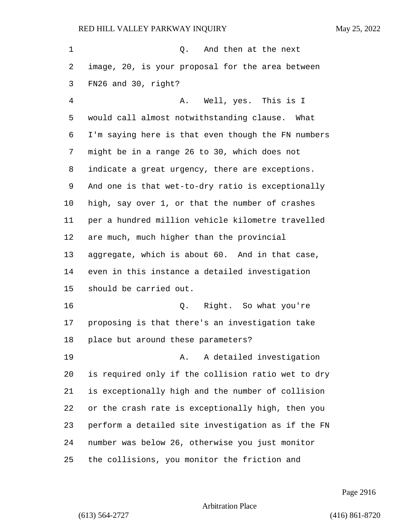1 and then at the next image, 20, is your proposal for the area between FN26 and 30, right? 4 A. Well, yes. This is I would call almost notwithstanding clause. What I'm saying here is that even though the FN numbers might be in a range 26 to 30, which does not indicate a great urgency, there are exceptions. And one is that wet-to-dry ratio is exceptionally high, say over 1, or that the number of crashes per a hundred million vehicle kilometre travelled are much, much higher than the provincial aggregate, which is about 60. And in that case, even in this instance a detailed investigation should be carried out. 16 Q. Right. So what you're proposing is that there's an investigation take place but around these parameters? 19 A. A detailed investigation is required only if the collision ratio wet to dry is exceptionally high and the number of collision or the crash rate is exceptionally high, then you perform a detailed site investigation as if the FN number was below 26, otherwise you just monitor the collisions, you monitor the friction and

Page 2916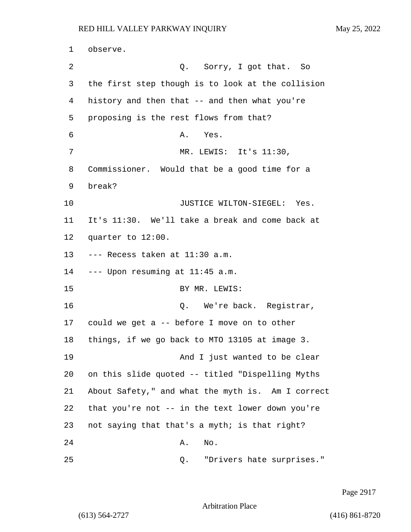1 observe. 2 Q. Sorry, I got that. So 3 the first step though is to look at the collision 4 history and then that -- and then what you're 5 proposing is the rest flows from that? 6 A. Yes. 7 MR. LEWIS: It's 11:30, 8 Commissioner. Would that be a good time for a 9 break? 10 JUSTICE WILTON-SIEGEL: Yes. 11 It's 11:30. We'll take a break and come back at 12 quarter to 12:00. 13 --- Recess taken at 11:30 a.m. 14 --- Upon resuming at 11:45 a.m. 15 BY MR. LEWIS: 16 Q. We're back. Registrar, 17 could we get a -- before I move on to other 18 things, if we go back to MTO 13105 at image 3. 19 And I just wanted to be clear 20 on this slide quoted -- titled "Dispelling Myths 21 About Safety," and what the myth is. Am I correct 22 that you're not -- in the text lower down you're 23 not saying that that's a myth; is that right? 24 A. No. 25 Q. "Drivers hate surprises."

Page 2917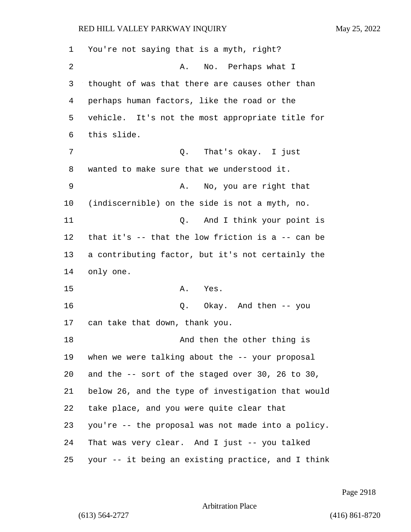| 1  | You're not saying that is a myth, right?            |
|----|-----------------------------------------------------|
| 2  | No. Perhaps what I<br>Α.                            |
| 3  | thought of was that there are causes other than     |
| 4  | perhaps human factors, like the road or the         |
| 5  | vehicle. It's not the most appropriate title for    |
| 6  | this slide.                                         |
| 7  | Q. That's okay. I just                              |
| 8  | wanted to make sure that we understood it.          |
| 9  | No, you are right that<br>Α.                        |
| 10 | (indiscernible) on the side is not a myth, no.      |
| 11 | And I think your point is<br>Q.                     |
| 12 | that it's $-$ that the low friction is a $-$ can be |
| 13 | a contributing factor, but it's not certainly the   |
| 14 | only one.                                           |
| 15 | Α.<br>Yes.                                          |
| 16 | Okay. And then -- you<br>Q.                         |
| 17 | can take that down, thank you.                      |
| 18 | And then the other thing is                         |
| 19 | when we were talking about the -- your proposal     |
| 20 | and the -- sort of the staged over 30, 26 to 30,    |
| 21 | below 26, and the type of investigation that would  |
| 22 | take place, and you were quite clear that           |
| 23 | you're -- the proposal was not made into a policy.  |
| 24 | That was very clear. And I just -- you talked       |
| 25 | your -- it being an existing practice, and I think  |

Page 2918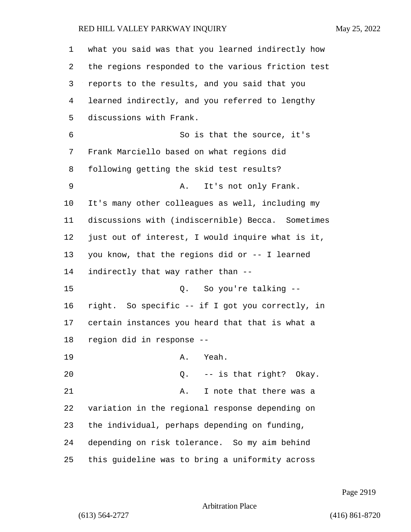what you said was that you learned indirectly how the regions responded to the various friction test reports to the results, and you said that you learned indirectly, and you referred to lengthy discussions with Frank. 6 So is that the source, it's Frank Marciello based on what regions did following getting the skid test results? 9 A. It's not only Frank. It's many other colleagues as well, including my discussions with (indiscernible) Becca. Sometimes just out of interest, I would inquire what is it, you know, that the regions did or -- I learned indirectly that way rather than -- 15 Q. So you're talking -- right. So specific -- if I got you correctly, in certain instances you heard that that is what a region did in response -- 19 A. Yeah. 20 Q. -- is that right? Okay. 21 A. I note that there was a variation in the regional response depending on the individual, perhaps depending on funding, depending on risk tolerance. So my aim behind this guideline was to bring a uniformity across

Page 2919

Arbitration Place

(613) 564-2727 (416) 861-8720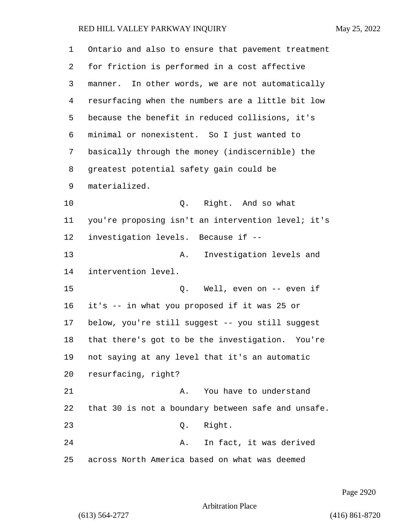| 1  | Ontario and also to ensure that pavement treatment |
|----|----------------------------------------------------|
| 2  | for friction is performed in a cost affective      |
| 3  | manner. In other words, we are not automatically   |
| 4  | resurfacing when the numbers are a little bit low  |
| 5  | because the benefit in reduced collisions, it's    |
| 6  | minimal or nonexistent. So I just wanted to        |
| 7  | basically through the money (indiscernible) the    |
| 8  | greatest potential safety gain could be            |
| 9  | materialized.                                      |
| 10 | Right. And so what<br>Q.                           |
| 11 | you're proposing isn't an intervention level; it's |
| 12 | investigation levels. Because if --                |
| 13 | Investigation levels and<br>Α.                     |
| 14 | intervention level.                                |
| 15 | Q. Well, even on -- even if                        |
| 16 | it's -- in what you proposed if it was 25 or       |
| 17 | below, you're still suggest -- you still suggest   |
| 18 | that there's got to be the investigation. You're   |
| 19 | not saying at any level that it's an automatic     |
| 20 | resurfacing, right?                                |
| 21 | You have to understand<br>Α.                       |
| 22 | that 30 is not a boundary between safe and unsafe. |
| 23 | Right.<br>Q.                                       |
| 24 | In fact, it was derived<br>Α.                      |
| 25 | across North America based on what was deemed      |

Page 2920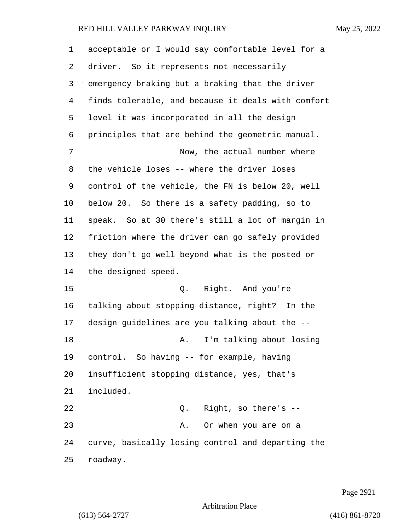| 1  | acceptable or I would say comfortable level for a  |
|----|----------------------------------------------------|
| 2  | driver. So it represents not necessarily           |
| 3  | emergency braking but a braking that the driver    |
| 4  | finds tolerable, and because it deals with comfort |
| 5  | level it was incorporated in all the design        |
| 6  | principles that are behind the geometric manual.   |
| 7  | Now, the actual number where                       |
| 8  | the vehicle loses -- where the driver loses        |
| 9  | control of the vehicle, the FN is below 20, well   |
| 10 | below 20. So there is a safety padding, so to      |
| 11 | speak. So at 30 there's still a lot of margin in   |
| 12 | friction where the driver can go safely provided   |
| 13 | they don't go well beyond what is the posted or    |
| 14 | the designed speed.                                |
| 15 | Q. Right. And you're                               |
| 16 | talking about stopping distance, right? In the     |
| 17 | design guidelines are you talking about the --     |
| 18 | I'm talking about losing<br>Α.                     |
| 19 | control. So having -- for example, having          |
| 20 | insufficient stopping distance, yes, that's        |
| 21 | included.                                          |
| 22 | Right, so there's --<br>Q.                         |
| 23 | Or when you are on a<br>Α.                         |
| 24 | curve, basically losing control and departing the  |
| 25 | roadway.                                           |

Page 2921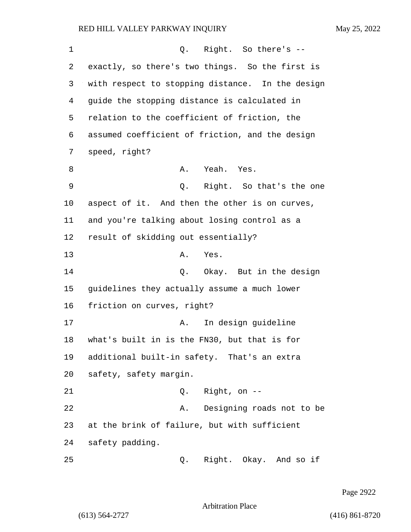| 1  | Q. Right. So there's --                          |
|----|--------------------------------------------------|
| 2  | exactly, so there's two things. So the first is  |
| 3  | with respect to stopping distance. In the design |
| 4  | guide the stopping distance is calculated in     |
| 5  | relation to the coefficient of friction, the     |
| 6  | assumed coefficient of friction, and the design  |
| 7  | speed, right?                                    |
| 8  | Yeah. Yes.<br>Α.                                 |
| 9  | Right. So that's the one<br>Q.                   |
| 10 | aspect of it. And then the other is on curves,   |
| 11 | and you're talking about losing control as a     |
| 12 | result of skidding out essentially?              |
| 13 | Yes.<br>Α.                                       |
| 14 | Q. Okay. But in the design                       |
| 15 | guidelines they actually assume a much lower     |
| 16 | friction on curves, right?                       |
| 17 | In design guideline<br>Α.                        |
| 18 | what's built in is the FN30, but that is for     |
| 19 | additional built-in safety. That's an extra      |
| 20 | safety, safety margin.                           |
| 21 | Q. Right, on --                                  |
| 22 | Designing roads not to be<br>Α.                  |
| 23 | at the brink of failure, but with sufficient     |
| 24 | safety padding.                                  |
| 25 | Right. Okay. And so if<br>Q.                     |

Page 2922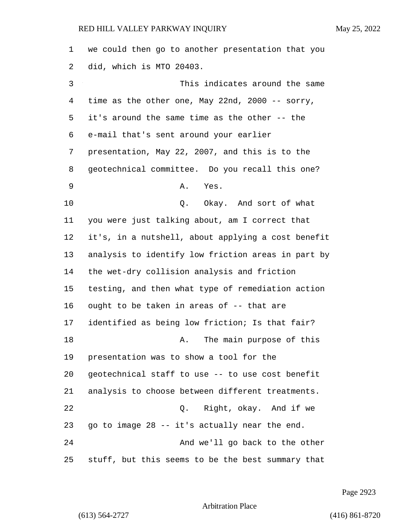| 1  | we could then go to another presentation that you  |
|----|----------------------------------------------------|
| 2  | did, which is MTO 20403.                           |
| 3  | This indicates around the same                     |
| 4  | time as the other one, May 22nd, 2000 -- sorry,    |
| 5  | it's around the same time as the other -- the      |
| 6  | e-mail that's sent around your earlier             |
| 7  | presentation, May 22, 2007, and this is to the     |
| 8  | geotechnical committee. Do you recall this one?    |
| 9  | A. Yes.                                            |
| 10 | Q. Okay. And sort of what                          |
| 11 | you were just talking about, am I correct that     |
| 12 | it's, in a nutshell, about applying a cost benefit |
| 13 | analysis to identify low friction areas in part by |
| 14 | the wet-dry collision analysis and friction        |
| 15 | testing, and then what type of remediation action  |
| 16 | ought to be taken in areas of -- that are          |
| 17 | identified as being low friction; Is that fair?    |
| 18 | The main purpose of this<br>Α.                     |
| 19 | presentation was to show a tool for the            |
| 20 | geotechnical staff to use -- to use cost benefit   |
| 21 | analysis to choose between different treatments.   |
| 22 | Q. Right, okay. And if we                          |
| 23 | go to image 28 -- it's actually near the end.      |
| 24 | And we'll go back to the other                     |
| 25 | stuff, but this seems to be the best summary that  |

Page 2923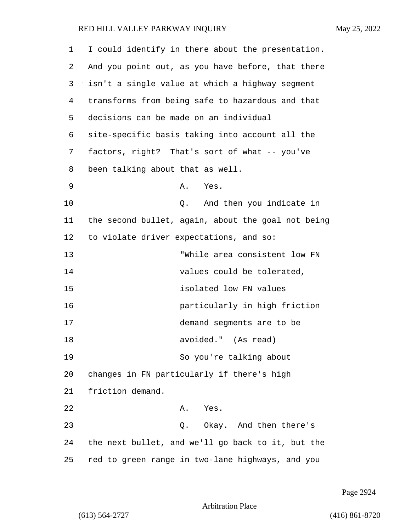| 1  | I could identify in there about the presentation.  |
|----|----------------------------------------------------|
| 2  | And you point out, as you have before, that there  |
| 3  | isn't a single value at which a highway segment    |
| 4  | transforms from being safe to hazardous and that   |
| 5  | decisions can be made on an individual             |
| 6  | site-specific basis taking into account all the    |
| 7  | factors, right? That's sort of what -- you've      |
| 8  | been talking about that as well.                   |
| 9  | Α.<br>Yes.                                         |
| 10 | And then you indicate in<br>Q.                     |
| 11 | the second bullet, again, about the goal not being |
| 12 | to violate driver expectations, and so:            |
| 13 | "While area consistent low FN                      |
| 14 | values could be tolerated,                         |
| 15 | isolated low FN values                             |
| 16 | particularly in high friction                      |
| 17 | demand segments are to be                          |
| 18 | avoided." (As read)                                |
| 19 | So you're talking about                            |
| 20 | changes in FN particularly if there's high         |
| 21 | friction demand.                                   |
| 22 | A. Yes.                                            |
| 23 | Okay. And then there's<br>Q.                       |
| 24 | the next bullet, and we'll go back to it, but the  |
| 25 | red to green range in two-lane highways, and you   |

Page 2924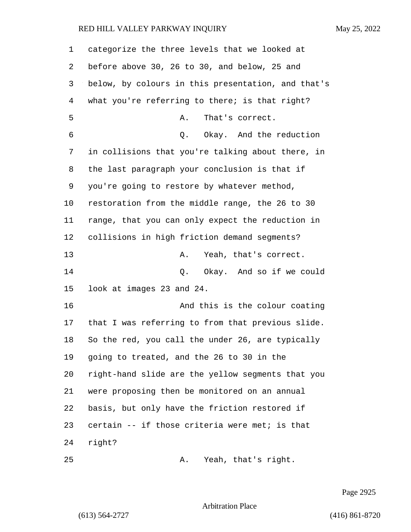| 1  | categorize the three levels that we looked at      |
|----|----------------------------------------------------|
| 2  | before above 30, 26 to 30, and below, 25 and       |
| 3  | below, by colours in this presentation, and that's |
| 4  | what you're referring to there; is that right?     |
| 5  | That's correct.<br>Α.                              |
| 6  | Okay. And the reduction<br>Q.                      |
| 7  | in collisions that you're talking about there, in  |
| 8  | the last paragraph your conclusion is that if      |
| 9  | you're going to restore by whatever method,        |
| 10 | restoration from the middle range, the 26 to 30    |
| 11 | range, that you can only expect the reduction in   |
| 12 | collisions in high friction demand segments?       |
| 13 | Yeah, that's correct.<br>Α.                        |
| 14 | Q.<br>Okay. And so if we could                     |
| 15 | look at images 23 and 24.                          |
| 16 | And this is the colour coating                     |
| 17 | that I was referring to from that previous slide.  |
| 18 | So the red, you call the under 26, are typically   |
| 19 | going to treated, and the 26 to 30 in the          |
| 20 | right-hand slide are the yellow segments that you  |
| 21 | were proposing then be monitored on an annual      |
| 22 | basis, but only have the friction restored if      |
| 23 | certain -- if those criteria were met; is that     |
| 24 | right?                                             |
| 25 | Yeah, that's right.<br>Α.                          |

Page 2925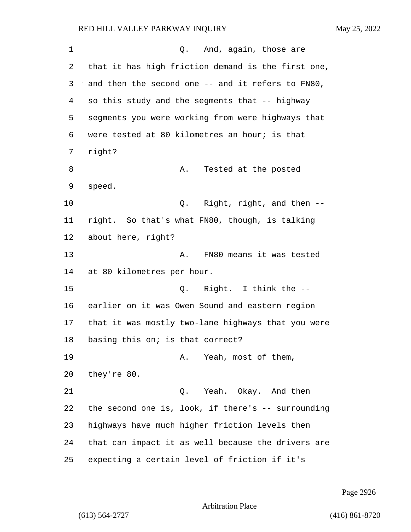1 and, again, those are that it has high friction demand is the first one, and then the second one -- and it refers to FN80, so this study and the segments that -- highway segments you were working from were highways that were tested at 80 kilometres an hour; is that right? 8 A. Tested at the posted speed. **Q.** Right, right, and then -- right. So that's what FN80, though, is talking about here, right? 13 A. FN80 means it was tested at 80 kilometres per hour. 15 Q. Right. I think the -- earlier on it was Owen Sound and eastern region that it was mostly two-lane highways that you were basing this on; is that correct? 19 A. Yeah, most of them, they're 80. 21 C. Yeah. Okay. And then the second one is, look, if there's -- surrounding highways have much higher friction levels then that can impact it as well because the drivers are expecting a certain level of friction if it's

Page 2926

Arbitration Place

(613) 564-2727 (416) 861-8720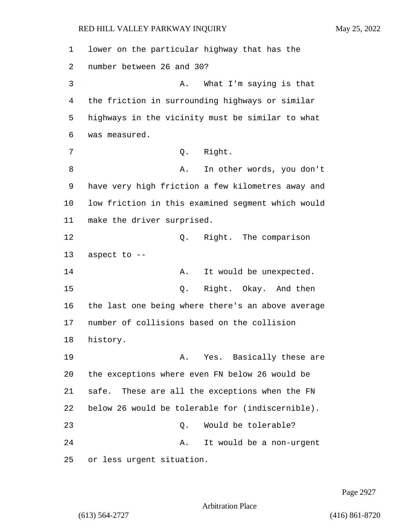1 lower on the particular highway that has the 2 number between 26 and 30? 3 A. What I'm saying is that 4 the friction in surrounding highways or similar 5 highways in the vicinity must be similar to what 6 was measured. 7 Q. Right. 8 a. In other words, you don't 9 have very high friction a few kilometres away and 10 low friction in this examined segment which would 11 make the driver surprised. 12 C. Right. The comparison 13 aspect to -- 14 A. It would be unexpected. 15 Q. Right. Okay. And then 16 the last one being where there's an above average 17 number of collisions based on the collision 18 history. 19 The Communist Charles A. Yes. Basically these are 20 the exceptions where even FN below 26 would be 21 safe. These are all the exceptions when the FN 22 below 26 would be tolerable for (indiscernible). 23 O. Would be tolerable? 24 A. It would be a non-urgent 25 or less urgent situation.

Page 2927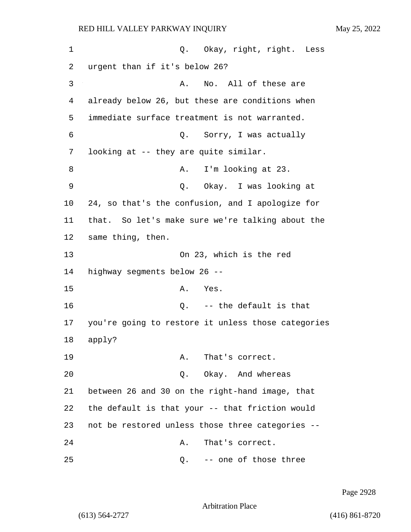1 0. Okay, right, right. Less 2 urgent than if it's below 26? 3 A. No. All of these are 4 already below 26, but these are conditions when 5 immediate surface treatment is not warranted. 6 Q. Sorry, I was actually 7 looking at -- they are quite similar. 8 A. I'm looking at 23. 9 Q. Okay. I was looking at 10 24, so that's the confusion, and I apologize for 11 that. So let's make sure we're talking about the 12 same thing, then. 13 On 23, which is the red 14 highway segments below 26 -- 15 A. Yes. 16 Q. -- the default is that 17 you're going to restore it unless those categories 18 apply? 19 A. That's correct. 20 Q. Okay. And whereas 21 between 26 and 30 on the right-hand image, that 22 the default is that your -- that friction would 23 not be restored unless those three categories -- 24 A. That's correct. 25 Q. -- one of those three

Page 2928

Arbitration Place

(613) 564-2727 (416) 861-8720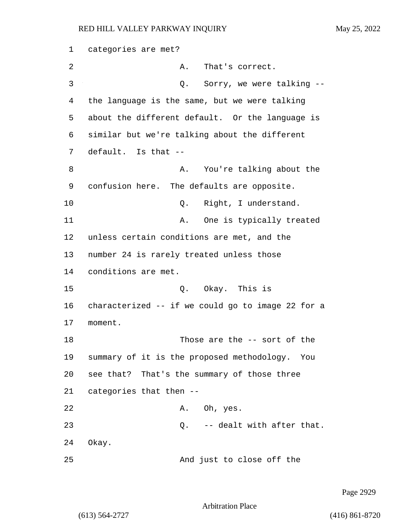1 categories are met? 2 A. That's correct. 3 Q. Sorry, we were talking -- 4 the language is the same, but we were talking 5 about the different default. Or the language is 6 similar but we're talking about the different 7 default. Is that -- 8 A. You're talking about the 9 confusion here. The defaults are opposite. 10 Q. Right, I understand. 11 A. One is typically treated 12 unless certain conditions are met, and the 13 number 24 is rarely treated unless those 14 conditions are met. 15 Q. Okay. This is 16 characterized -- if we could go to image 22 for a 17 moment. 18 Those are the -- sort of the 19 summary of it is the proposed methodology. You 20 see that? That's the summary of those three 21 categories that then -- 22 A. Oh, yes. 23 Q. -- dealt with after that. 24 Okay. 25 And just to close off the

Page 2929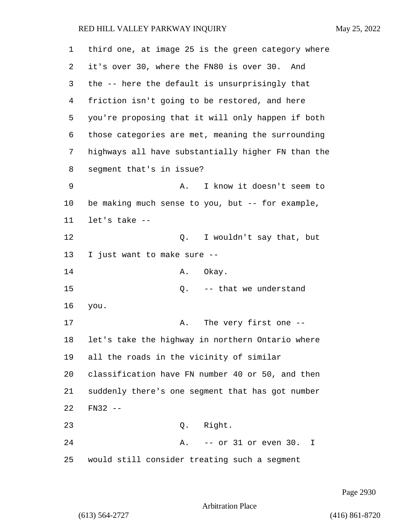| 1  | third one, at image 25 is the green category where |
|----|----------------------------------------------------|
| 2  | it's over 30, where the FN80 is over 30. And       |
| 3  | the -- here the default is unsurprisingly that     |
| 4  | friction isn't going to be restored, and here      |
| 5  | you're proposing that it will only happen if both  |
| 6  | those categories are met, meaning the surrounding  |
| 7  | highways all have substantially higher FN than the |
| 8  | segment that's in issue?                           |
| 9  | I know it doesn't seem to<br>Α.                    |
| 10 | be making much sense to you, but -- for example,   |
| 11 | let's take --                                      |
| 12 | I wouldn't say that, but<br>Q.                     |
| 13 | I just want to make sure --                        |
| 14 | Okay.<br>Α.                                        |
| 15 | -- that we understand<br>Q.                        |
| 16 | you.                                               |
| 17 | The very first one --<br>Α.                        |
| 18 | let's take the highway in northern Ontario where   |
| 19 | all the roads in the vicinity of similar           |
| 20 | classification have FN number 40 or 50, and then   |
| 21 | suddenly there's one segment that has got number   |
| 22 | $FN32 - -$                                         |
| 23 | Right.<br>Q.                                       |
| 24 | -- or 31 or even 30.<br>A.<br>I                    |
| 25 | would still consider treating such a segment       |

Page 2930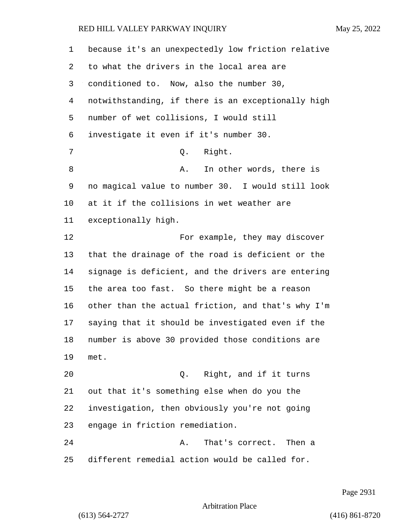| 1              | because it's an unexpectedly low friction relative |
|----------------|----------------------------------------------------|
| 2              | to what the drivers in the local area are          |
| 3              | conditioned to. Now, also the number 30,           |
| $\overline{4}$ | notwithstanding, if there is an exceptionally high |
| 5              | number of wet collisions, I would still            |
| 6              | investigate it even if it's number 30.             |
| 7              | Right.<br>Q.                                       |
| 8              | In other words, there is<br>А.                     |
| 9              | no magical value to number 30. I would still look  |
| 10             | at it if the collisions in wet weather are         |
| 11             | exceptionally high.                                |
| 12             | For example, they may discover                     |
| 13             | that the drainage of the road is deficient or the  |
| 14             | signage is deficient, and the drivers are entering |
| 15             | the area too fast. So there might be a reason      |
| 16             | other than the actual friction, and that's why I'm |
| 17             | saying that it should be investigated even if the  |
| 18             | number is above 30 provided those conditions are   |
| 19             | met.                                               |
| 20             | Right, and if it turns<br>$\circ$ .                |
| 21             | out that it's something else when do you the       |
| 22             | investigation, then obviously you're not going     |
| 23             | engage in friction remediation.                    |
| 24             | That's correct. Then a<br>Α.                       |
| 25             | different remedial action would be called for.     |

Page 2931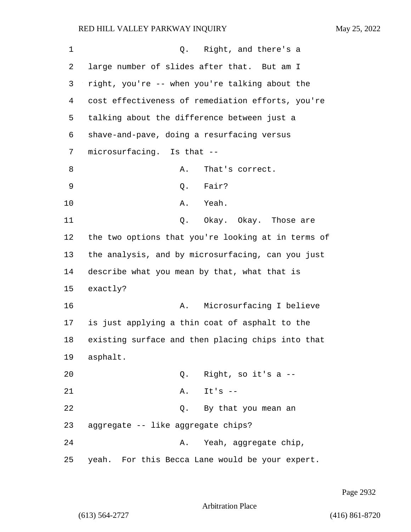| $\mathbf 1$ | Right, and there's a<br>Q.                         |
|-------------|----------------------------------------------------|
| 2           | large number of slides after that. But am I        |
| 3           | right, you're -- when you're talking about the     |
| 4           | cost effectiveness of remediation efforts, you're  |
| 5           | talking about the difference between just a        |
| 6           | shave-and-pave, doing a resurfacing versus         |
| 7           | microsurfacing. Is that --                         |
| 8           | That's correct.<br>Α.                              |
| 9           | Fair?<br>Q.                                        |
| 10          | Yeah.<br>Α.                                        |
| 11          | Okay. Okay. Those are<br>Q.                        |
| 12          | the two options that you're looking at in terms of |
| 13          | the analysis, and by microsurfacing, can you just  |
| 14          | describe what you mean by that, what that is       |
| 15          | exactly?                                           |
| 16          | Microsurfacing I believe<br>Α.                     |
| 17          | is just applying a thin coat of asphalt to the     |
| 18          | existing surface and then placing chips into that  |
| 19          | asphalt.                                           |
| 20          | Right, so it's a --<br>Q.                          |
| 21          | $It's --$<br>Α.                                    |
| 22          | By that you mean an<br>Q.                          |
| 23          | aggregate -- like aggregate chips?                 |
| 24          | Yeah, aggregate chip,<br>A.                        |
| 25          | yeah. For this Becca Lane would be your expert.    |

Page 2932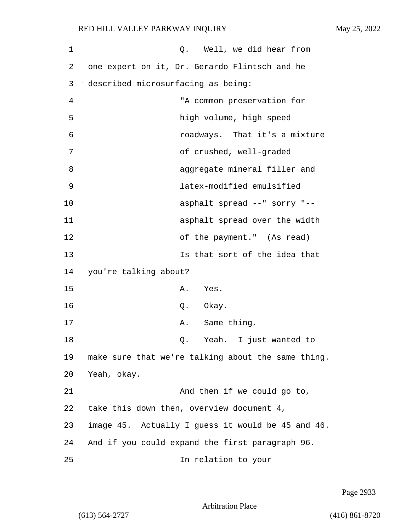| 1  | Well, we did hear from<br>Q.                       |
|----|----------------------------------------------------|
| 2  | one expert on it, Dr. Gerardo Flintsch and he      |
| 3  | described microsurfacing as being:                 |
| 4  | "A common preservation for                         |
| 5  | high volume, high speed                            |
| 6  | roadways. That it's a mixture                      |
| 7  | of crushed, well-graded                            |
| 8  | aggregate mineral filler and                       |
| 9  | latex-modified emulsified                          |
| 10 | asphalt spread --" sorry "--                       |
| 11 | asphalt spread over the width                      |
| 12 | of the payment." (As read)                         |
| 13 | Is that sort of the idea that                      |
| 14 | you're talking about?                              |
| 15 | Yes.<br>Α.                                         |
| 16 | Q. Okay.                                           |
| 17 | Same thing.<br>Α.                                  |
| 18 | Yeah. I just wanted to<br>Q.                       |
| 19 | make sure that we're talking about the same thing. |
| 20 | Yeah, okay.                                        |
| 21 | And then if we could go to,                        |
| 22 | take this down then, overview document 4,          |
| 23 | image 45. Actually I guess it would be 45 and 46.  |
| 24 | And if you could expand the first paragraph 96.    |
| 25 | In relation to your                                |

Page 2933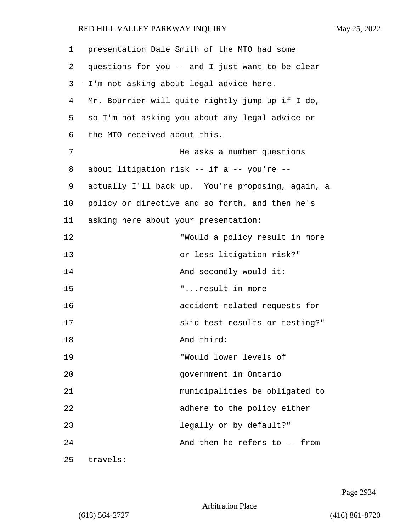| 1  | presentation Dale Smith of the MTO had some       |
|----|---------------------------------------------------|
| 2  | questions for you -- and I just want to be clear  |
| 3  | I'm not asking about legal advice here.           |
| 4  | Mr. Bourrier will quite rightly jump up if I do,  |
| 5  | so I'm not asking you about any legal advice or   |
| 6  | the MTO received about this.                      |
| 7  | He asks a number questions                        |
| 8  | about litigation risk -- if a -- you're --        |
| 9  | actually I'll back up. You're proposing, again, a |
| 10 | policy or directive and so forth, and then he's   |
| 11 | asking here about your presentation:              |
| 12 | "Would a policy result in more                    |
| 13 | or less litigation risk?"                         |
| 14 | And secondly would it:                            |
| 15 | "result in more                                   |
| 16 | accident-related requests for                     |
| 17 | skid test results or testing?"                    |
| 18 | And third:                                        |
| 19 | "Would lower levels of                            |
| 20 | government in Ontario                             |
| 21 | municipalities be obligated to                    |
| 22 | adhere to the policy either                       |
| 23 | legally or by default?"                           |
| 24 | And then he refers to -- from                     |
| 25 | travels:                                          |

Page 2934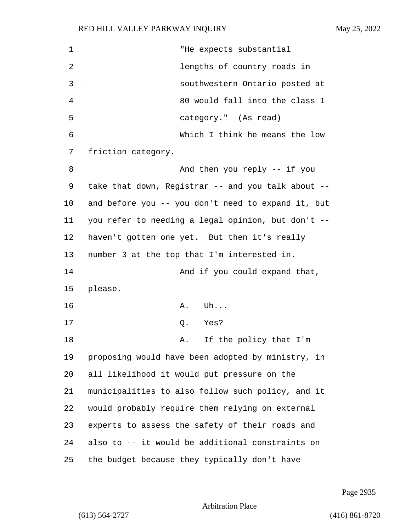| 1       | "He expects substantial                            |
|---------|----------------------------------------------------|
| 2       | lengths of country roads in                        |
| 3       | southwestern Ontario posted at                     |
| 4       | 80 would fall into the class 1                     |
| 5       | category." (As read)                               |
| 6       | Which I think he means the low                     |
| 7       | friction category.                                 |
| 8       | And then you reply -- if you                       |
| 9       | take that down, Registrar -- and you talk about -- |
| $10 \,$ | and before you -- you don't need to expand it, but |
| 11      | you refer to needing a legal opinion, but don't -- |
| 12      | haven't gotten one yet. But then it's really       |
| 13      | number 3 at the top that I'm interested in.        |
| 14      | And if you could expand that,                      |
| 15      | please.                                            |
| 16      | Uh. $\ldots$<br>Α.                                 |
| 17      | Q.<br>Yes?                                         |
| 18      | If the policy that I'm<br>Α.                       |
| 19      | proposing would have been adopted by ministry, in  |
| 20      | all likelihood it would put pressure on the        |
| 21      | municipalities to also follow such policy, and it  |
| 22      | would probably require them relying on external    |
| 23      | experts to assess the safety of their roads and    |
| 24      | also to -- it would be additional constraints on   |
| 25      | the budget because they typically don't have       |

Page 2935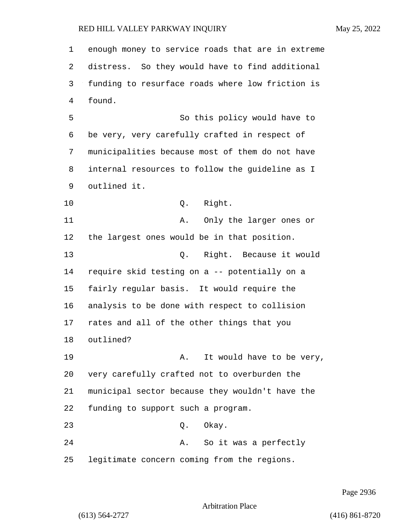enough money to service roads that are in extreme distress. So they would have to find additional funding to resurface roads where low friction is found. 5 So this policy would have to be very, very carefully crafted in respect of municipalities because most of them do not have internal resources to follow the guideline as I outlined it. 10 Q. Right. 11 A. Only the larger ones or the largest ones would be in that position. 13 Q. Right. Because it would require skid testing on a -- potentially on a fairly regular basis. It would require the analysis to be done with respect to collision rates and all of the other things that you outlined? 19 A. It would have to be very, very carefully crafted not to overburden the municipal sector because they wouldn't have the funding to support such a program. 23 Q. Okay. 24 A. So it was a perfectly legitimate concern coming from the regions.

Page 2936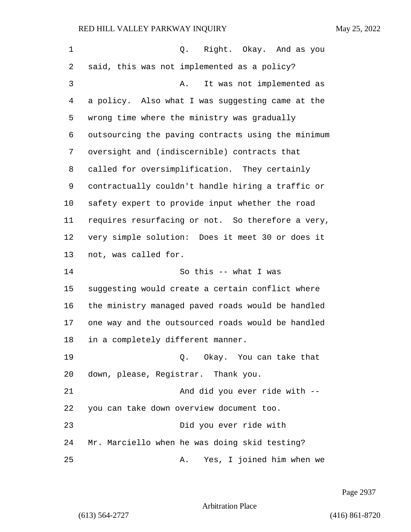| $\mathbf 1$ | Q. Right. Okay. And as you                         |
|-------------|----------------------------------------------------|
| 2           | said, this was not implemented as a policy?        |
| 3           | It was not implemented as<br>Α.                    |
| 4           | a policy. Also what I was suggesting came at the   |
| 5           | wrong time where the ministry was gradually        |
| 6           | outsourcing the paving contracts using the minimum |
| 7           | oversight and (indiscernible) contracts that       |
| 8           | called for oversimplification. They certainly      |
| 9           | contractually couldn't handle hiring a traffic or  |
| 10          | safety expert to provide input whether the road    |
| 11          | requires resurfacing or not. So therefore a very,  |
| 12          | very simple solution: Does it meet 30 or does it   |
| 13          | not, was called for.                               |
| 14          | So this -- what I was                              |
| 15          | suggesting would create a certain conflict where   |
| 16          | the ministry managed paved roads would be handled  |
| 17          | one way and the outsourced roads would be handled  |
| 18          | in a completely different manner.                  |
| 19          | Q. Okay. You can take that                         |
| 20          | down, please, Registrar. Thank you.                |
| 21          | And did you ever ride with --                      |
| 22          | you can take down overview document too.           |
| 23          | Did you ever ride with                             |
| 24          | Mr. Marciello when he was doing skid testing?      |
| 25          | Yes, I joined him when we<br>Α.                    |

Page 2937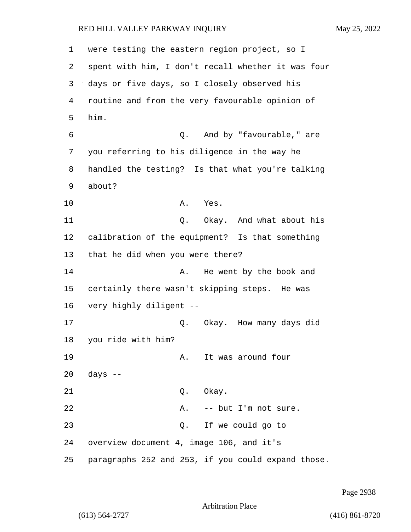1 were testing the eastern region project, so I 2 spent with him, I don't recall whether it was four 3 days or five days, so I closely observed his 4 routine and from the very favourable opinion of 5 him. 6 Q. And by "favourable," are 7 you referring to his diligence in the way he 8 handled the testing? Is that what you're talking 9 about? 10 A. Yes. 11 Q. Okay. And what about his 12 calibration of the equipment? Is that something 13 that he did when you were there? 14 A. He went by the book and 15 certainly there wasn't skipping steps. He was 16 very highly diligent -- 17 Q. Okay. How many days did 18 you ride with him? 19 A. It was around four  $20$  days  $-$ 21 Q. Okay. 22 A. -- but I'm not sure. 23 Q. If we could go to 24 overview document 4, image 106, and it's 25 paragraphs 252 and 253, if you could expand those.

Page 2938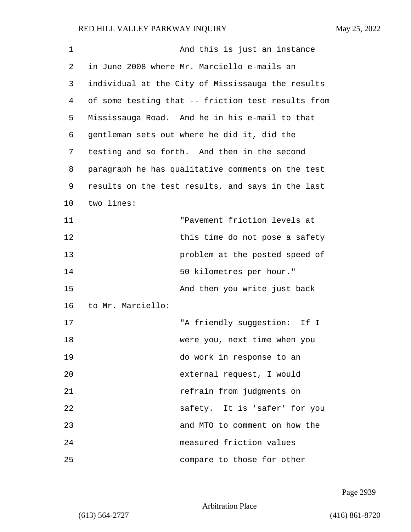| 1  | And this is just an instance                       |
|----|----------------------------------------------------|
| 2  | in June 2008 where Mr. Marciello e-mails an        |
| 3  | individual at the City of Mississauga the results  |
| 4  | of some testing that -- friction test results from |
| 5  | Mississauga Road. And he in his e-mail to that     |
| 6  | gentleman sets out where he did it, did the        |
| 7  | testing and so forth. And then in the second       |
| 8  | paragraph he has qualitative comments on the test  |
| 9  | results on the test results, and says in the last  |
| 10 | two lines:                                         |
| 11 | "Pavement friction levels at                       |
| 12 | this time do not pose a safety                     |
| 13 | problem at the posted speed of                     |
| 14 | 50 kilometres per hour."                           |
| 15 | And then you write just back                       |
| 16 | to Mr. Marciello:                                  |
| 17 | "A friendly suggestion:<br>If I                    |
| 18 | were you, next time when you                       |
| 19 | do work in response to an                          |
| 20 | external request, I would                          |
| 21 | refrain from judgments on                          |
| 22 | safety. It is 'safer' for you                      |
| 23 | and MTO to comment on how the                      |
| 24 | measured friction values                           |
| 25 | compare to those for other                         |

Page 2939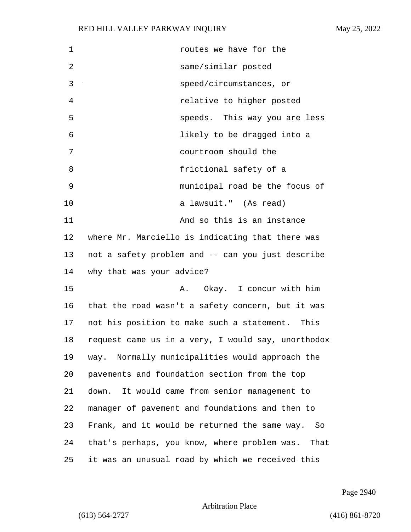| $\mathbf 1$ | routes we have for the                               |
|-------------|------------------------------------------------------|
| 2           | same/similar posted                                  |
| 3           | speed/circumstances, or                              |
| 4           | relative to higher posted                            |
| 5           | speeds. This way you are less                        |
| 6           | likely to be dragged into a                          |
| 7           | courtroom should the                                 |
| 8           | frictional safety of a                               |
| 9           | municipal road be the focus of                       |
| 10          | a lawsuit." (As read)                                |
| 11          | And so this is an instance                           |
| 12          | where Mr. Marciello is indicating that there was     |
| 13          | not a safety problem and -- can you just describe    |
| 14          | why that was your advice?                            |
| 15          | Okay. I concur with him<br>Α.                        |
| 16          | that the road wasn't a safety concern, but it was    |
| 17          | not his position to make such a statement. This      |
| 18          | request came us in a very, I would say, unorthodox   |
| 19          | way. Normally municipalities would approach the      |
| 20          | pavements and foundation section from the top        |
| 21          | It would came from senior management to<br>down.     |
| 22          | manager of pavement and foundations and then to      |
| 23          | Frank, and it would be returned the same way.<br>So  |
| 24          | that's perhaps, you know, where problem was.<br>That |
| 25          | it was an unusual road by which we received this     |

Page 2940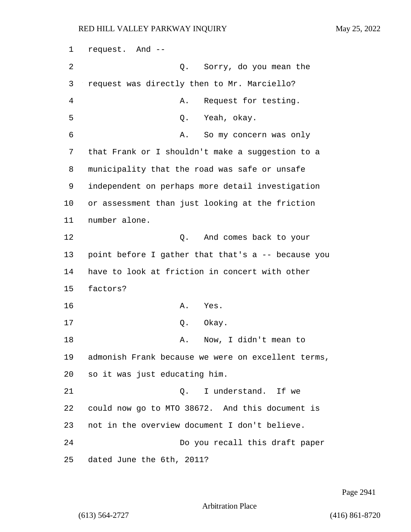1 request. And -- 2 Q. Sorry, do you mean the 3 request was directly then to Mr. Marciello? 4 A. Request for testing. 5 Q. Yeah, okay. 6 A. So my concern was only 7 that Frank or I shouldn't make a suggestion to a 8 municipality that the road was safe or unsafe 9 independent on perhaps more detail investigation 10 or assessment than just looking at the friction 11 number alone. 12 O. And comes back to your 13 point before I gather that that's a -- because you 14 have to look at friction in concert with other 15 factors? 16 A. Yes. 17 O. Okay. 18 A. Now, I didn't mean to 19 admonish Frank because we were on excellent terms, 20 so it was just educating him. 21 Q. I understand. If we 22 could now go to MTO 38672. And this document is 23 not in the overview document I don't believe. 24 Do you recall this draft paper 25 dated June the 6th, 2011?

Page 2941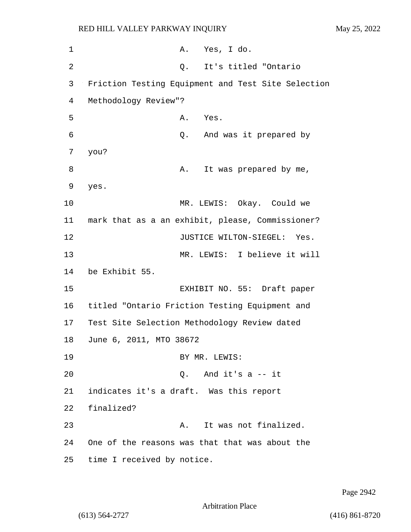| 1  | Yes, I do.<br>Α.                                   |
|----|----------------------------------------------------|
| 2  | It's titled "Ontario<br>Q.                         |
| 3  | Friction Testing Equipment and Test Site Selection |
| 4  | Methodology Review"?                               |
| 5  | Yes.<br>Α.                                         |
| 6  | Q. And was it prepared by                          |
| 7  | you?                                               |
| 8  | It was prepared by me,<br>Α.                       |
| 9  | yes.                                               |
| 10 | MR. LEWIS: Okay. Could we                          |
| 11 | mark that as a an exhibit, please, Commissioner?   |
| 12 | JUSTICE WILTON-SIEGEL: Yes.                        |
| 13 | MR. LEWIS: I believe it will                       |
| 14 | be Exhibit 55.                                     |
| 15 | EXHIBIT NO. 55: Draft paper                        |
| 16 | titled "Ontario Friction Testing Equipment and     |
| 17 | Test Site Selection Methodology Review dated       |
| 18 | June 6, 2011, MTO 38672                            |
| 19 | BY MR. LEWIS:                                      |
| 20 | Q. And it's $a - i t$                              |
| 21 | indicates it's a draft. Was this report            |
| 22 | finalized?                                         |
| 23 | It was not finalized.<br>Α.                        |
| 24 | One of the reasons was that that was about the     |
| 25 | time I received by notice.                         |

Page 2942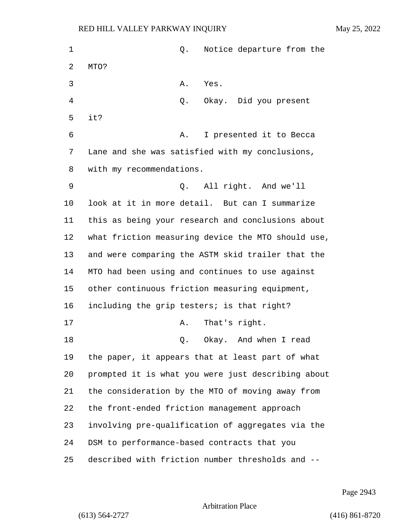1 and 1 Q. Notice departure from the MTO? 3 A. Yes. 4 Q. Okay. Did you present it? **A.** I presented it to Becca Lane and she was satisfied with my conclusions, with my recommendations. 9 Q. All right. And we'll look at it in more detail. But can I summarize this as being your research and conclusions about what friction measuring device the MTO should use, and were comparing the ASTM skid trailer that the MTO had been using and continues to use against other continuous friction measuring equipment, including the grip testers; is that right? 17 A. That's right. 18 C. Okay. And when I read the paper, it appears that at least part of what prompted it is what you were just describing about the consideration by the MTO of moving away from the front-ended friction management approach involving pre-qualification of aggregates via the DSM to performance-based contracts that you described with friction number thresholds and --

Page 2943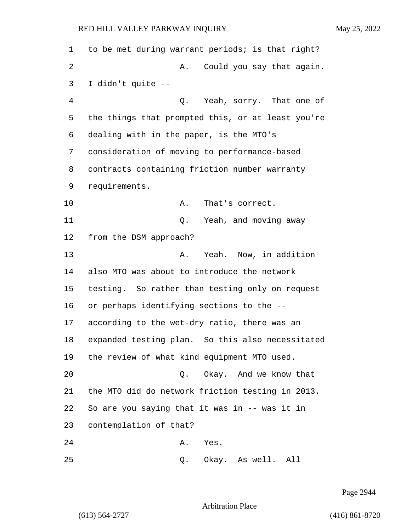to be met during warrant periods; is that right? 2 A. Could you say that again. I didn't quite -- 4 Q. Yeah, sorry. That one of the things that prompted this, or at least you're dealing with in the paper, is the MTO's consideration of moving to performance-based contracts containing friction number warranty requirements. 10 A. That's correct. 11 C. Yeah, and moving away from the DSM approach? 13 A. Yeah. Now, in addition also MTO was about to introduce the network testing. So rather than testing only on request or perhaps identifying sections to the -- according to the wet-dry ratio, there was an expanded testing plan. So this also necessitated the review of what kind equipment MTO used. 20 Q. Okay. And we know that the MTO did do network friction testing in 2013. So are you saying that it was in -- was it in contemplation of that? 24 A. Yes. 25 Q. Okay. As well. All

Page 2944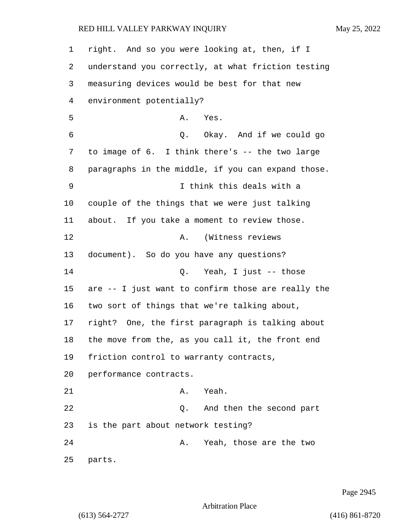| $\mathbf{1}$ | right. And so you were looking at, then, if I      |
|--------------|----------------------------------------------------|
| 2            | understand you correctly, at what friction testing |
| 3            | measuring devices would be best for that new       |
| 4            | environment potentially?                           |
| 5            | Yes.<br>Α.                                         |
| 6            | Q. Okay. And if we could go                        |
| 7            | to image of 6. I think there's -- the two large    |
| 8            | paragraphs in the middle, if you can expand those. |
| $\mathsf 9$  | I think this deals with a                          |
| 10           | couple of the things that we were just talking     |
| 11           | about. If you take a moment to review those.       |
| 12           | (Witness reviews<br>Α.                             |
| 13           | document). So do you have any questions?           |
| 14           | Yeah, I just -- those<br>Q.                        |
| 15           | are -- I just want to confirm those are really the |
| 16           | two sort of things that we're talking about,       |
| 17           | right? One, the first paragraph is talking about   |
| 18           | the move from the, as you call it, the front end   |
| 19           | friction control to warranty contracts,            |
| 20           | performance contracts.                             |
| 21           | Yeah.<br>Α.                                        |
| 22           | And then the second part<br>Q.                     |
| 23           | is the part about network testing?                 |
| 24           | Yeah, those are the two<br>Α.                      |
| 25           | parts.                                             |

Page 2945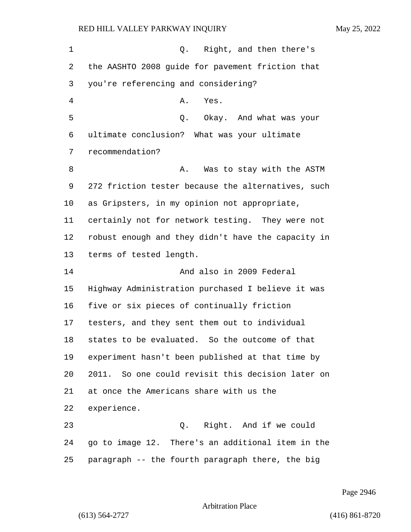1 C. Right, and then there's the AASHTO 2008 guide for pavement friction that you're referencing and considering? 4 A. Yes. 5 Q. Okay. And what was your ultimate conclusion? What was your ultimate recommendation? 8 A. Was to stay with the ASTM 272 friction tester because the alternatives, such as Gripsters, in my opinion not appropriate, certainly not for network testing. They were not robust enough and they didn't have the capacity in terms of tested length. 14 And also in 2009 Federal Highway Administration purchased I believe it was five or six pieces of continually friction testers, and they sent them out to individual states to be evaluated. So the outcome of that experiment hasn't been published at that time by 2011. So one could revisit this decision later on at once the Americans share with us the experience. 23 Q. Right. And if we could go to image 12. There's an additional item in the paragraph -- the fourth paragraph there, the big

Page 2946

### Arbitration Place

(613) 564-2727 (416) 861-8720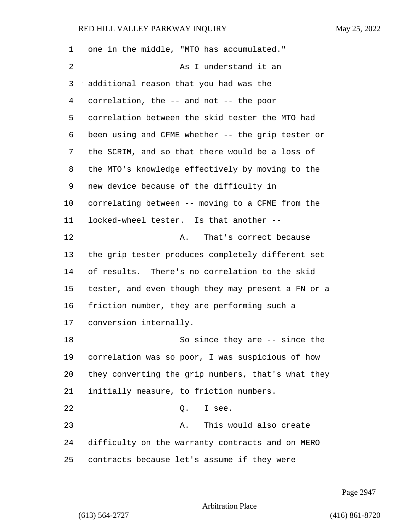one in the middle, "MTO has accumulated." 2 As I understand it an additional reason that you had was the correlation, the -- and not -- the poor correlation between the skid tester the MTO had been using and CFME whether -- the grip tester or the SCRIM, and so that there would be a loss of the MTO's knowledge effectively by moving to the new device because of the difficulty in correlating between -- moving to a CFME from the locked-wheel tester. Is that another -- **A.** That's correct because the grip tester produces completely different set of results. There's no correlation to the skid tester, and even though they may present a FN or a friction number, they are performing such a conversion internally. 18 So since they are -- since the correlation was so poor, I was suspicious of how they converting the grip numbers, that's what they initially measure, to friction numbers. 22 Q. I see. 23 A. This would also create difficulty on the warranty contracts and on MERO contracts because let's assume if they were

Page 2947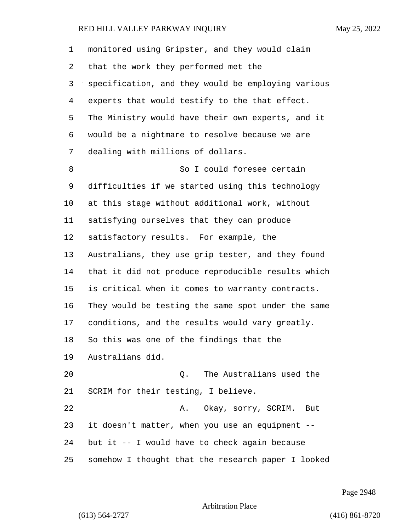| $\mathbf{1}$   | monitored using Gripster, and they would claim     |
|----------------|----------------------------------------------------|
| 2              | that the work they performed met the               |
| 3              | specification, and they would be employing various |
| $\overline{4}$ | experts that would testify to the that effect.     |
| 5              | The Ministry would have their own experts, and it  |
| 6              | would be a nightmare to resolve because we are     |
| 7              | dealing with millions of dollars.                  |
| 8              | So I could foresee certain                         |
| 9              | difficulties if we started using this technology   |
| 10             | at this stage without additional work, without     |
| 11             | satisfying ourselves that they can produce         |
| 12             | satisfactory results. For example, the             |
| 13             | Australians, they use grip tester, and they found  |
| 14             | that it did not produce reproducible results which |
| 15             | is critical when it comes to warranty contracts.   |
| 16             | They would be testing the same spot under the same |
| 17             | conditions, and the results would vary greatly.    |
| 18             | So this was one of the findings that the           |
| 19             | Australians did.                                   |
| 20             | The Australians used the<br>Q.                     |
| 21             | SCRIM for their testing, I believe.                |
| 22             | Okay, sorry, SCRIM.<br>Α.<br>But                   |
| 23             | it doesn't matter, when you use an equipment --    |
| 24             | but it -- I would have to check again because      |
| 25             | somehow I thought that the research paper I looked |

Page 2948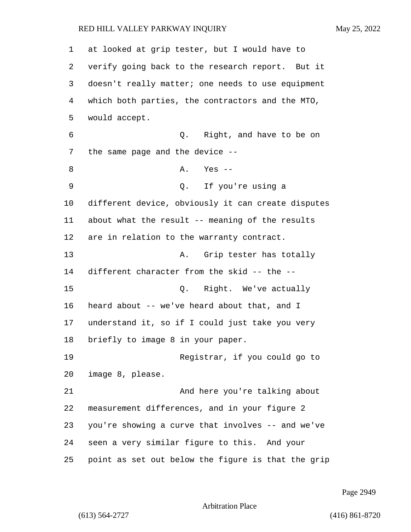at looked at grip tester, but I would have to verify going back to the research report. But it doesn't really matter; one needs to use equipment which both parties, the contractors and the MTO, would accept. 6 Q. Right, and have to be on the same page and the device -- 8 A. Yes --9 Q. If you're using a different device, obviously it can create disputes about what the result -- meaning of the results are in relation to the warranty contract. 13 A. Grip tester has totally different character from the skid -- the -- 15 Q. Right. We've actually heard about -- we've heard about that, and I understand it, so if I could just take you very briefly to image 8 in your paper. 19 Registrar, if you could go to image 8, please. 21 And here you're talking about measurement differences, and in your figure 2 you're showing a curve that involves -- and we've seen a very similar figure to this. And your point as set out below the figure is that the grip

Page 2949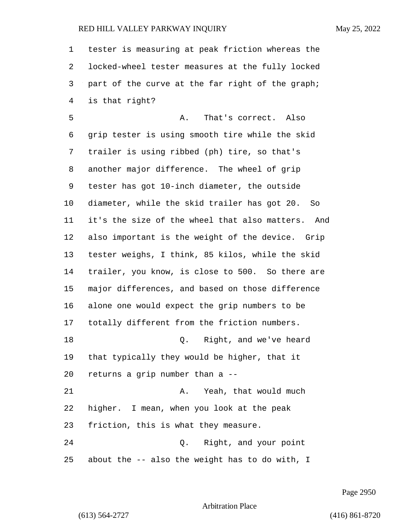tester is measuring at peak friction whereas the locked-wheel tester measures at the fully locked part of the curve at the far right of the graph; is that right?

5 A. That's correct. Also grip tester is using smooth tire while the skid trailer is using ribbed (ph) tire, so that's another major difference. The wheel of grip tester has got 10-inch diameter, the outside diameter, while the skid trailer has got 20. So it's the size of the wheel that also matters. And also important is the weight of the device. Grip tester weighs, I think, 85 kilos, while the skid trailer, you know, is close to 500. So there are major differences, and based on those difference alone one would expect the grip numbers to be totally different from the friction numbers. 18 Q. Right, and we've heard that typically they would be higher, that it returns a grip number than a -- 21 A. Yeah, that would much higher. I mean, when you look at the peak friction, this is what they measure. 24 Q. Right, and your point about the -- also the weight has to do with, I

Page 2950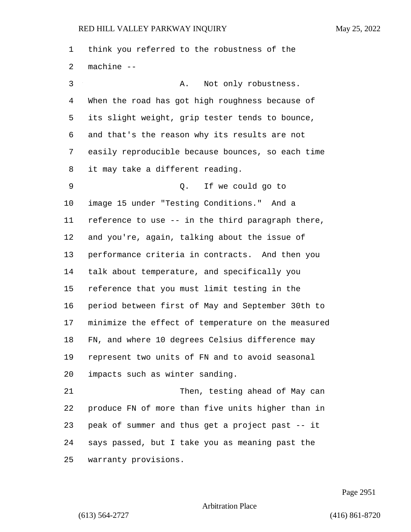think you referred to the robustness of the machine -- 3 A. Not only robustness. When the road has got high roughness because of its slight weight, grip tester tends to bounce, and that's the reason why its results are not easily reproducible because bounces, so each time it may take a different reading. 9 Q. If we could go to image 15 under "Testing Conditions." And a reference to use -- in the third paragraph there, and you're, again, talking about the issue of performance criteria in contracts. And then you talk about temperature, and specifically you reference that you must limit testing in the period between first of May and September 30th to minimize the effect of temperature on the measured FN, and where 10 degrees Celsius difference may represent two units of FN and to avoid seasonal impacts such as winter sanding. 21 Then, testing ahead of May can produce FN of more than five units higher than in peak of summer and thus get a project past -- it says passed, but I take you as meaning past the warranty provisions.

Page 2951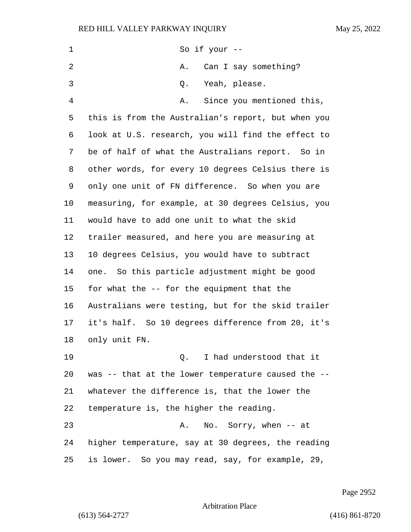| $\mathbf 1$ | So if your --                                      |
|-------------|----------------------------------------------------|
| 2           | Can I say something?<br>Α.                         |
| 3           | Yeah, please.<br>Q.                                |
| 4           | Since you mentioned this,<br>Α.                    |
| 5           | this is from the Australian's report, but when you |
| 6           | look at U.S. research, you will find the effect to |
| 7           | be of half of what the Australians report. So in   |
| 8           | other words, for every 10 degrees Celsius there is |
| 9           | only one unit of FN difference. So when you are    |
| 10          | measuring, for example, at 30 degrees Celsius, you |
| 11          | would have to add one unit to what the skid        |
| 12          | trailer measured, and here you are measuring at    |
| 13          | 10 degrees Celsius, you would have to subtract     |
| 14          | one. So this particle adjustment might be good     |
| 15          | for what the -- for the equipment that the         |
| 16          | Australians were testing, but for the skid trailer |
| 17          | it's half. So 10 degrees difference from 20, it's  |
| 18          | only unit FN.                                      |
| 19          | I had understood that it<br>Ο.                     |
| 20          | was -- that at the lower temperature caused the -- |
| 21          | whatever the difference is, that the lower the     |
| 22          | temperature is, the higher the reading.            |
| 23          | No. Sorry, when -- at<br>Α.                        |
| 24          | higher temperature, say at 30 degrees, the reading |
| 25          | is lower. So you may read, say, for example, 29,   |

Page 2952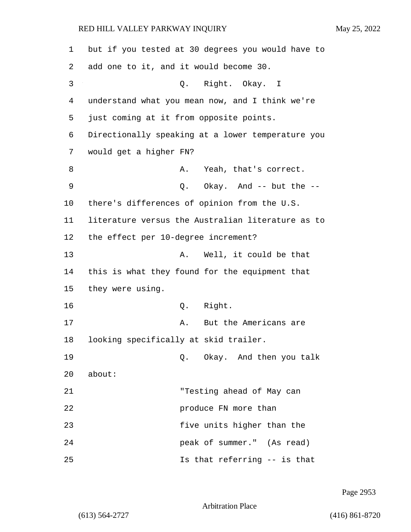| 1  | but if you tested at 30 degrees you would have to |
|----|---------------------------------------------------|
| 2  | add one to it, and it would become 30.            |
| 3  | Q. Right. Okay. I                                 |
| 4  | understand what you mean now, and I think we're   |
| 5  | just coming at it from opposite points.           |
| 6  | Directionally speaking at a lower temperature you |
| 7  | would get a higher FN?                            |
| 8  | A. Yeah, that's correct.                          |
| 9  | Q. Okay. And $-$ but the $-$                      |
| 10 | there's differences of opinion from the U.S.      |
| 11 | literature versus the Australian literature as to |
| 12 | the effect per 10-degree increment?               |
| 13 | Well, it could be that<br>Α.                      |
| 14 | this is what they found for the equipment that    |
| 15 | they were using.                                  |
| 16 | Q. Right.                                         |
| 17 | But the Americans are<br>Α.                       |
| 18 | looking specifically at skid trailer.             |
| 19 | Q. Okay. And then you talk                        |
| 20 | about:                                            |
| 21 | "Testing ahead of May can                         |
| 22 | produce FN more than                              |
| 23 | five units higher than the                        |
| 24 | peak of summer." (As read)                        |
| 25 | Is that referring -- is that                      |

Page 2953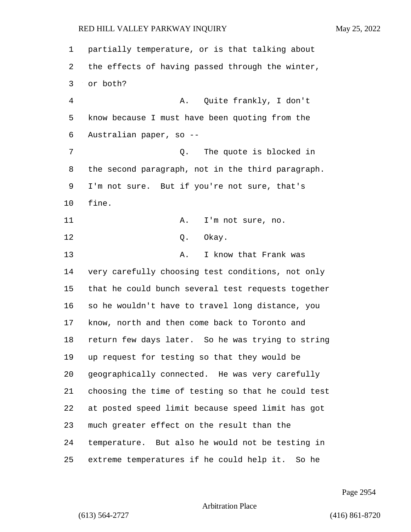partially temperature, or is that talking about the effects of having passed through the winter, or both? 4 A. Quite frankly, I don't know because I must have been quoting from the Australian paper, so -- 7 Q. The quote is blocked in the second paragraph, not in the third paragraph. I'm not sure. But if you're not sure, that's fine. 11 A. I'm not sure, no. 12 0. Okay. 13 A. I know that Frank was very carefully choosing test conditions, not only that he could bunch several test requests together so he wouldn't have to travel long distance, you know, north and then come back to Toronto and return few days later. So he was trying to string up request for testing so that they would be geographically connected. He was very carefully choosing the time of testing so that he could test at posted speed limit because speed limit has got much greater effect on the result than the temperature. But also he would not be testing in extreme temperatures if he could help it. So he

Page 2954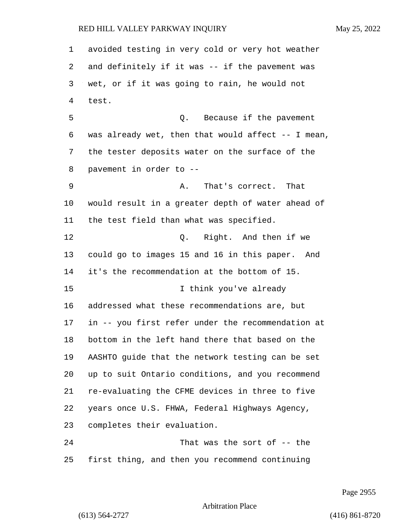avoided testing in very cold or very hot weather and definitely if it was -- if the pavement was wet, or if it was going to rain, he would not test. 5 Q. Because if the pavement was already wet, then that would affect -- I mean, the tester deposits water on the surface of the pavement in order to -- 9 A. That's correct. That would result in a greater depth of water ahead of the test field than what was specified. **D.** Right. And then if we could go to images 15 and 16 in this paper. And it's the recommendation at the bottom of 15. 15 I think you've already addressed what these recommendations are, but in -- you first refer under the recommendation at bottom in the left hand there that based on the AASHTO guide that the network testing can be set up to suit Ontario conditions, and you recommend re-evaluating the CFME devices in three to five years once U.S. FHWA, Federal Highways Agency, completes their evaluation. 24 That was the sort of -- the first thing, and then you recommend continuing

Page 2955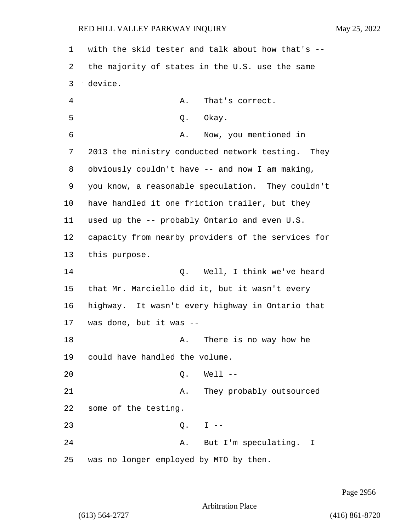1 with the skid tester and talk about how that's -- 2 the majority of states in the U.S. use the same 3 device. 4 A. That's correct. 5 Q. Okay. 6 A. Now, you mentioned in 7 2013 the ministry conducted network testing. They 8 obviously couldn't have -- and now I am making, 9 you know, a reasonable speculation. They couldn't 10 have handled it one friction trailer, but they 11 used up the -- probably Ontario and even U.S. 12 capacity from nearby providers of the services for 13 this purpose. 14 Q. Well, I think we've heard 15 that Mr. Marciello did it, but it wasn't every 16 highway. It wasn't every highway in Ontario that 17 was done, but it was -- 18 A. There is no way how he 19 could have handled the volume. 20 Q. Well -- 21 A. They probably outsourced 22 some of the testing. 23 Q. I -- 24 A. But I'm speculating. I 25 was no longer employed by MTO by then.

Page 2956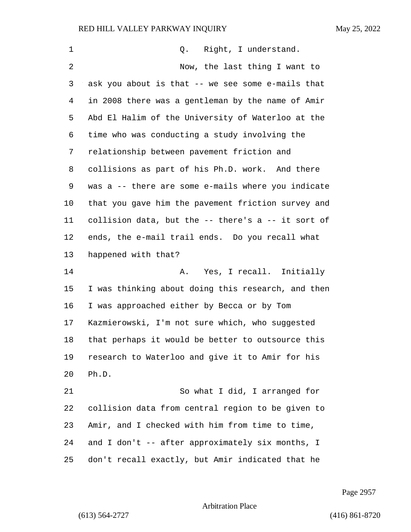| $\mathbf 1$ | Right, I understand.<br>Q.                         |
|-------------|----------------------------------------------------|
| 2           | Now, the last thing I want to                      |
| 3           | ask you about is that -- we see some e-mails that  |
| 4           | in 2008 there was a gentleman by the name of Amir  |
| 5           | Abd El Halim of the University of Waterloo at the  |
| 6           | time who was conducting a study involving the      |
| 7           | relationship between pavement friction and         |
| 8           | collisions as part of his Ph.D. work. And there    |
| 9           | was a -- there are some e-mails where you indicate |
| $10 \,$     | that you gave him the pavement friction survey and |
| 11          | collision data, but the -- there's a -- it sort of |
| 12          | ends, the e-mail trail ends. Do you recall what    |
| 13          | happened with that?                                |
| 14          | A. Yes, I recall. Initially                        |
| 15          | I was thinking about doing this research, and then |
| 16          | I was approached either by Becca or by Tom         |
| 17          | Kazmierowski, I'm not sure which, who suggested    |
| 18          | that perhaps it would be better to outsource this  |
| 19          | research to Waterloo and give it to Amir for his   |
| $20$        | Ph.D.                                              |
| 21          | So what I did, I arranged for                      |
| 22          | collision data from central region to be given to  |
| 23          | Amir, and I checked with him from time to time,    |
| 24          | and I don't -- after approximately six months, I   |
| 25          | don't recall exactly, but Amir indicated that he   |

Page 2957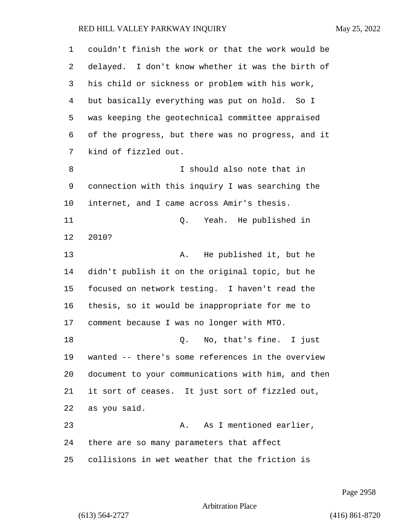couldn't finish the work or that the work would be delayed. I don't know whether it was the birth of his child or sickness or problem with his work, but basically everything was put on hold. So I was keeping the geotechnical committee appraised of the progress, but there was no progress, and it kind of fizzled out. 8 I should also note that in connection with this inquiry I was searching the internet, and I came across Amir's thesis. 11 Q. Yeah. He published in 2010? 13 A. He published it, but he didn't publish it on the original topic, but he focused on network testing. I haven't read the thesis, so it would be inappropriate for me to comment because I was no longer with MTO. 18 Q. No, that's fine. I just wanted -- there's some references in the overview document to your communications with him, and then it sort of ceases. It just sort of fizzled out, as you said. 23 A. As I mentioned earlier, there are so many parameters that affect collisions in wet weather that the friction is

Page 2958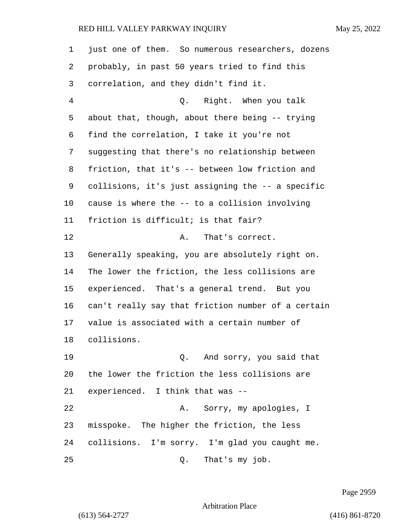just one of them. So numerous researchers, dozens probably, in past 50 years tried to find this correlation, and they didn't find it. 4 Q. Right. When you talk about that, though, about there being -- trying find the correlation, I take it you're not suggesting that there's no relationship between friction, that it's -- between low friction and collisions, it's just assigning the -- a specific cause is where the -- to a collision involving friction is difficult; is that fair? 12 A. That's correct. Generally speaking, you are absolutely right on. The lower the friction, the less collisions are experienced. That's a general trend. But you can't really say that friction number of a certain value is associated with a certain number of collisions. 19 Q. And sorry, you said that the lower the friction the less collisions are experienced. I think that was -- 22 A. Sorry, my apologies, I misspoke. The higher the friction, the less collisions. I'm sorry. I'm glad you caught me. 25 Q. That's my job.

Page 2959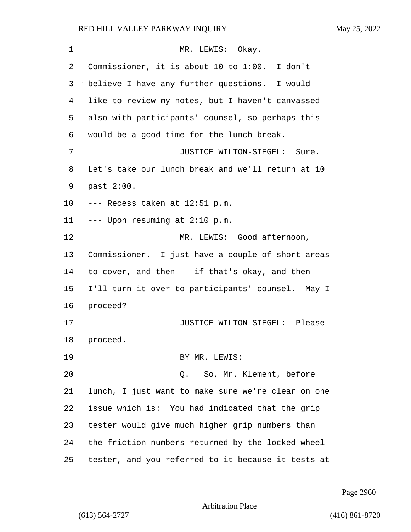| 1       | MR. LEWIS: Okay.                                   |
|---------|----------------------------------------------------|
| 2       | Commissioner, it is about 10 to 1:00. I don't      |
| 3       | believe I have any further questions. I would      |
| 4       | like to review my notes, but I haven't canvassed   |
| 5       | also with participants' counsel, so perhaps this   |
| 6       | would be a good time for the lunch break.          |
| 7       | JUSTICE WILTON-SIEGEL: Sure.                       |
| 8       | Let's take our lunch break and we'll return at 10  |
| 9       | past 2:00.                                         |
| $10 \,$ | --- Recess taken at 12:51 p.m.                     |
| 11      | --- Upon resuming at 2:10 p.m.                     |
| 12      | MR. LEWIS: Good afternoon,                         |
| 13      | Commissioner. I just have a couple of short areas  |
| 14      | to cover, and then -- if that's okay, and then     |
| 15      | I'll turn it over to participants' counsel. May I  |
| 16      | proceed?                                           |
| 17      | JUSTICE WILTON-SIEGEL: Please                      |
| 18      | proceed.                                           |
| 19      | BY MR. LEWIS:                                      |
| 20      | So, Mr. Klement, before<br>Q.                      |
| 21      | lunch, I just want to make sure we're clear on one |
| 22      | issue which is: You had indicated that the grip    |
| 23      | tester would give much higher grip numbers than    |
| 24      | the friction numbers returned by the locked-wheel  |
| 25      | tester, and you referred to it because it tests at |

Page 2960

Arbitration Place

(613) 564-2727 (416) 861-8720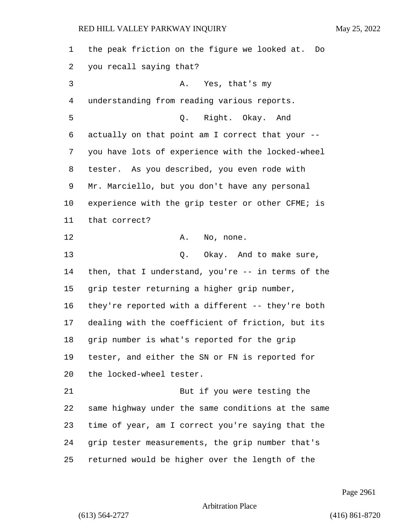| $\mathbf 1$ | the peak friction on the figure we looked at. Do   |
|-------------|----------------------------------------------------|
| 2           | you recall saying that?                            |
| 3           | Yes, that's my<br>Α.                               |
| 4           | understanding from reading various reports.        |
| 5           | Q. Right. Okay. And                                |
| 6           | actually on that point am I correct that your --   |
| 7           | you have lots of experience with the locked-wheel  |
| 8           | tester. As you described, you even rode with       |
| 9           | Mr. Marciello, but you don't have any personal     |
| $10 \,$     | experience with the grip tester or other CFME; is  |
| 11          | that correct?                                      |
| 12          | Α.<br>No, none.                                    |
| 13          | Q. Okay. And to make sure,                         |
| 14          | then, that I understand, you're -- in terms of the |
| 15          | grip tester returning a higher grip number,        |
| 16          | they're reported with a different -- they're both  |
| 17          | dealing with the coefficient of friction, but its  |
| 18          | grip number is what's reported for the grip        |
| 19          | tester, and either the SN or FN is reported for    |
| 20          | the locked-wheel tester.                           |
| 21          | But if you were testing the                        |
| 22          | same highway under the same conditions at the same |
| 23          | time of year, am I correct you're saying that the  |
| 24          | grip tester measurements, the grip number that's   |
| 25          | returned would be higher over the length of the    |

Page 2961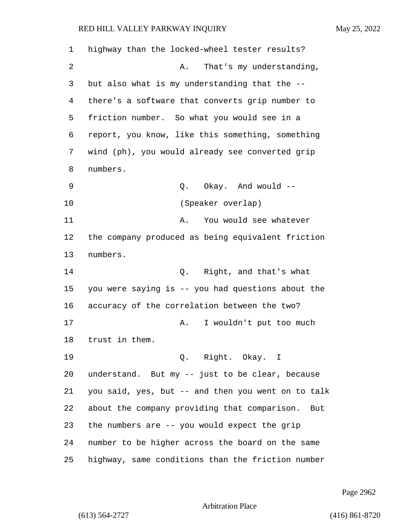| 1              | highway than the locked-wheel tester results?       |
|----------------|-----------------------------------------------------|
| $\overline{2}$ | That's my understanding,<br>Α.                      |
| 3              | but also what is my understanding that the --       |
| 4              | there's a software that converts grip number to     |
| 5              | friction number. So what you would see in a         |
| 6              | report, you know, like this something, something    |
| 7              | wind (ph), you would already see converted grip     |
| 8              | numbers.                                            |
| 9              | Okay. And would --<br>Q.                            |
| 10             | (Speaker overlap)                                   |
| 11             | You would see whatever<br>Α.                        |
| 12             | the company produced as being equivalent friction   |
| 13             | numbers.                                            |
| 14             | Right, and that's what<br>Q.                        |
| 15             | you were saying is -- you had questions about the   |
| 16             | accuracy of the correlation between the two?        |
| 17             | I wouldn't put too much<br>Α.                       |
| 18             | trust in them.                                      |
| 19             | Q. Right. Okay. I                                   |
| 20             | understand. But my -- just to be clear, because     |
| 21             | you said, yes, but -- and then you went on to talk  |
| 22             | about the company providing that comparison.<br>But |
| 23             | the numbers are -- you would expect the grip        |
| 24             | number to be higher across the board on the same    |
| 25             | highway, same conditions than the friction number   |

Page 2962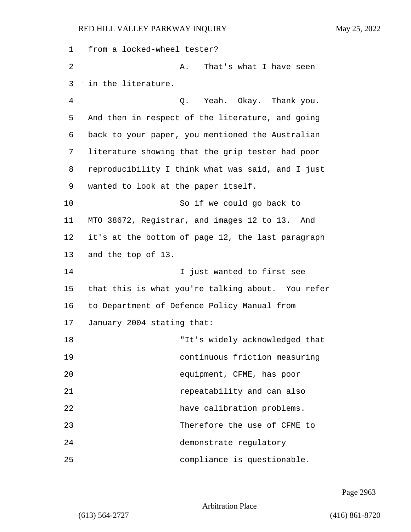1 from a locked-wheel tester? 2 A. That's what I have seen 3 in the literature. 4 Q. Yeah. Okay. Thank you. 5 And then in respect of the literature, and going 6 back to your paper, you mentioned the Australian 7 literature showing that the grip tester had poor 8 reproducibility I think what was said, and I just 9 wanted to look at the paper itself. 10 So if we could go back to 11 MTO 38672, Registrar, and images 12 to 13. And 12 it's at the bottom of page 12, the last paragraph 13 and the top of 13. 14 I just wanted to first see 15 that this is what you're talking about. You refer 16 to Department of Defence Policy Manual from 17 January 2004 stating that: 18 "It's widely acknowledged that 19 continuous friction measuring 20 equipment, CFME, has poor 21 repeatability and can also 22 have calibration problems. 23 Therefore the use of CFME to 24 demonstrate regulatory 25 compliance is questionable.

Page 2963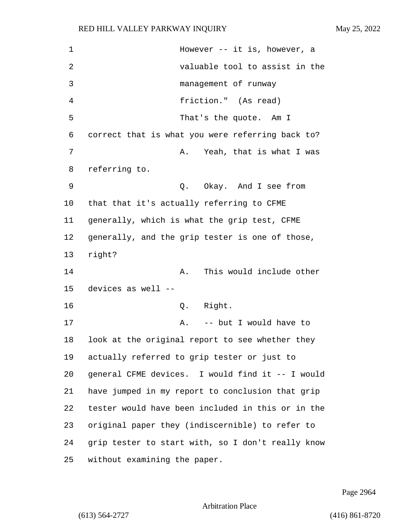1 However -- it is, however, a 2 valuable tool to assist in the 3 management of runway 4 friction." (As read) 5 That's the quote. Am I 6 correct that is what you were referring back to? 7 A. Yeah, that is what I was 8 referring to. 9 Q. Okay. And I see from 10 that that it's actually referring to CFME 11 generally, which is what the grip test, CFME 12 generally, and the grip tester is one of those, 13 right? 14 **A.** This would include other 15 devices as well -- 16 Q. Right. 17 A. -- but I would have to 18 look at the original report to see whether they 19 actually referred to grip tester or just to 20 general CFME devices. I would find it -- I would 21 have jumped in my report to conclusion that grip 22 tester would have been included in this or in the 23 original paper they (indiscernible) to refer to 24 grip tester to start with, so I don't really know 25 without examining the paper.

Page 2964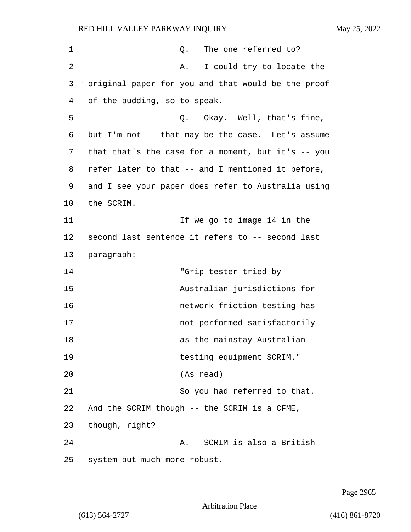| $\mathbf 1$ | Q.<br>The one referred to?                          |
|-------------|-----------------------------------------------------|
| 2           | I could try to locate the<br>Α.                     |
| 3           | original paper for you and that would be the proof  |
| 4           | of the pudding, so to speak.                        |
| 5           | Okay. Well, that's fine,<br>Q.                      |
| 6           | but I'm not -- that may be the case. Let's assume   |
| 7           | that that's the case for a moment, but it's $-$ you |
| 8           | refer later to that -- and I mentioned it before,   |
| 9           | and I see your paper does refer to Australia using  |
| 10          | the SCRIM.                                          |
| 11          | If we go to image 14 in the                         |
| 12          | second last sentence it refers to -- second last    |
| 13          | paragraph:                                          |
| 14          | "Grip tester tried by                               |
| 15          | Australian jurisdictions for                        |
| 16          | network friction testing has                        |
| 17          | not performed satisfactorily                        |
| 18          | as the mainstay Australian                          |
| 19          | testing equipment SCRIM."                           |
| 20          | (As read)                                           |
| 21          | So you had referred to that.                        |
| 22          | And the SCRIM though -- the SCRIM is a CFME,        |
| 23          | though, right?                                      |
| 24          | SCRIM is also a British<br>Α.                       |
| 25          | system but much more robust.                        |

Page 2965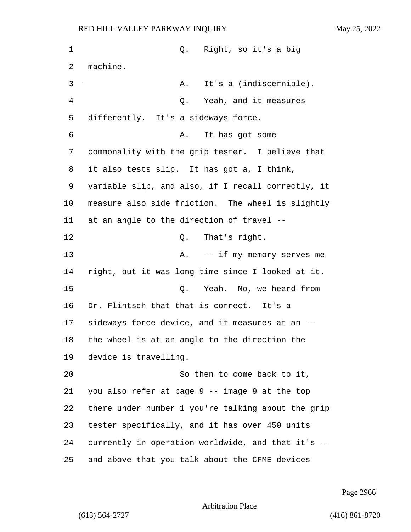| 1  | Q. Right, so it's a big                            |
|----|----------------------------------------------------|
| 2  | machine.                                           |
| 3  | It's a (indiscernible).<br>Α.                      |
| 4  | Yeah, and it measures<br>Q.                        |
| 5  | differently. It's a sideways force.                |
| 6  | It has got some<br>Α.                              |
| 7  | commonality with the grip tester. I believe that   |
| 8  | it also tests slip. It has got a, I think,         |
| 9  | variable slip, and also, if I recall correctly, it |
| 10 | measure also side friction. The wheel is slightly  |
| 11 | at an angle to the direction of travel --          |
| 12 | Q. That's right.                                   |
| 13 | Α.<br>-- if my memory serves me                    |
| 14 | right, but it was long time since I looked at it.  |
| 15 | Q. Yeah. No, we heard from                         |
| 16 | Dr. Flintsch that that is correct. It's a          |
| 17 | sideways force device, and it measures at an --    |
| 18 | the wheel is at an angle to the direction the      |
| 19 | device is travelling.                              |
| 20 | So then to come back to it,                        |
| 21 | you also refer at page 9 -- image 9 at the top     |
| 22 | there under number 1 you're talking about the grip |
| 23 | tester specifically, and it has over 450 units     |
| 24 | currently in operation worldwide, and that it's -- |
| 25 | and above that you talk about the CFME devices     |

Page 2966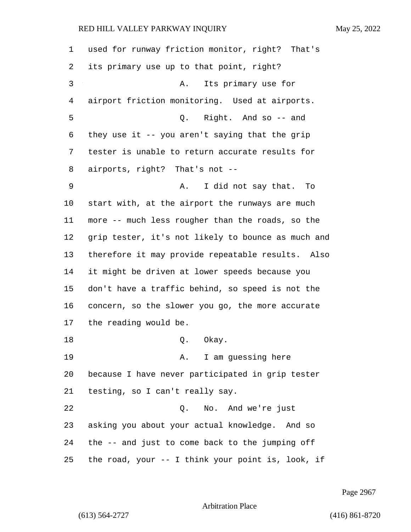used for runway friction monitor, right? That's its primary use up to that point, right? 3 A. Its primary use for airport friction monitoring. Used at airports. 5 Q. Right. And so -- and they use it -- you aren't saying that the grip tester is unable to return accurate results for airports, right? That's not -- 9 A. I did not say that. To start with, at the airport the runways are much more -- much less rougher than the roads, so the grip tester, it's not likely to bounce as much and therefore it may provide repeatable results. Also it might be driven at lower speeds because you don't have a traffic behind, so speed is not the concern, so the slower you go, the more accurate the reading would be. 18 Q. Okay. 19 A. I am guessing here because I have never participated in grip tester testing, so I can't really say. 22 Q. No. And we're just asking you about your actual knowledge. And so the -- and just to come back to the jumping off the road, your -- I think your point is, look, if

Page 2967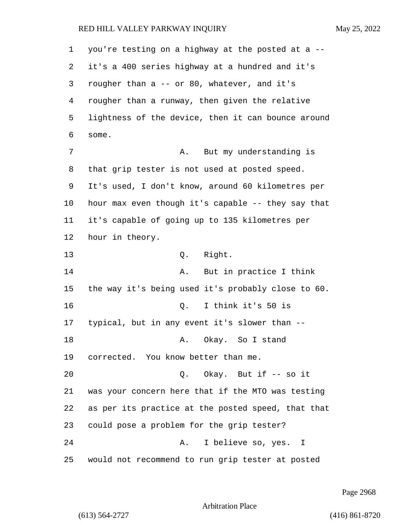you're testing on a highway at the posted at a -- it's a 400 series highway at a hundred and it's rougher than a -- or 80, whatever, and it's rougher than a runway, then given the relative lightness of the device, then it can bounce around some. 7 A. But my understanding is that grip tester is not used at posted speed. It's used, I don't know, around 60 kilometres per hour max even though it's capable -- they say that it's capable of going up to 135 kilometres per hour in theory. 13 Q. Right. **A.** But in practice I think the way it's being used it's probably close to 60. 16 Q. I think it's 50 is typical, but in any event it's slower than -- 18 A. Okay. So I stand corrected. You know better than me. 20 Q. Okay. But if -- so it was your concern here that if the MTO was testing as per its practice at the posted speed, that that could pose a problem for the grip tester? 24 A. I believe so, yes. I would not recommend to run grip tester at posted

Page 2968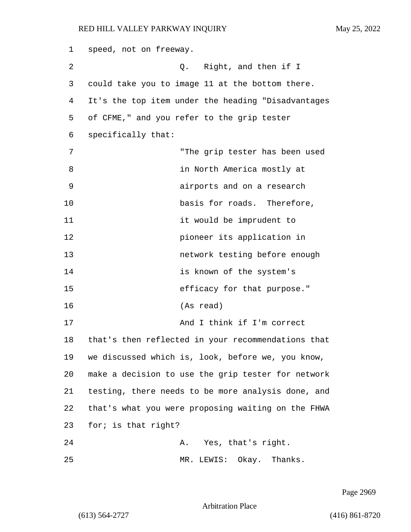| 1  | speed, not on freeway.                             |
|----|----------------------------------------------------|
| 2  | Right, and then if I<br>0.                         |
| 3  | could take you to image 11 at the bottom there.    |
| 4  | It's the top item under the heading "Disadvantages |
| 5  | of CFME," and you refer to the grip tester         |
| 6  | specifically that:                                 |
| 7  | "The grip tester has been used                     |
| 8  | in North America mostly at                         |
| 9  | airports and on a research                         |
| 10 | basis for roads. Therefore,                        |
| 11 | it would be imprudent to                           |
| 12 | pioneer its application in                         |
| 13 | network testing before enough                      |
| 14 | is known of the system's                           |
| 15 | efficacy for that purpose."                        |
| 16 | (As read)                                          |
| 17 | And I think if I'm correct                         |
| 18 | that's then reflected in your recommendations that |
| 19 | we discussed which is, look, before we, you know,  |
| 20 | make a decision to use the grip tester for network |
| 21 | testing, there needs to be more analysis done, and |
| 22 | that's what you were proposing waiting on the FHWA |
| 23 | for; is that right?                                |
| 24 | Yes, that's right.<br>Α.                           |
| 25 | Okay. Thanks.<br>MR. LEWIS:                        |

Page 2969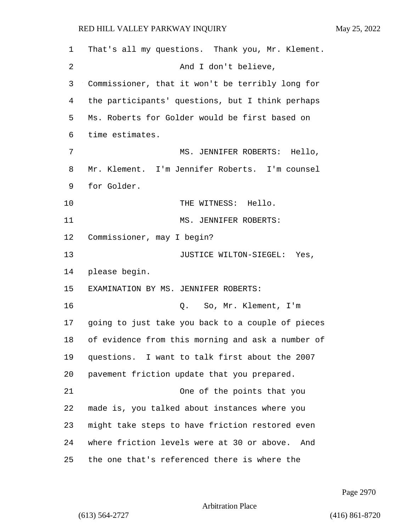That's all my questions. Thank you, Mr. Klement. 2 And I don't believe, Commissioner, that it won't be terribly long for the participants' questions, but I think perhaps Ms. Roberts for Golder would be first based on time estimates. 7 MS. JENNIFER ROBERTS: Hello, Mr. Klement. I'm Jennifer Roberts. I'm counsel for Golder. 10 THE WITNESS: Hello. 11 MS. JENNIFER ROBERTS: Commissioner, may I begin? 13 JUSTICE WILTON-SIEGEL: Yes, please begin. EXAMINATION BY MS. JENNIFER ROBERTS: 16 Q. So, Mr. Klement, I'm going to just take you back to a couple of pieces of evidence from this morning and ask a number of questions. I want to talk first about the 2007 pavement friction update that you prepared. 21 One of the points that you made is, you talked about instances where you might take steps to have friction restored even where friction levels were at 30 or above. And the one that's referenced there is where the

Page 2970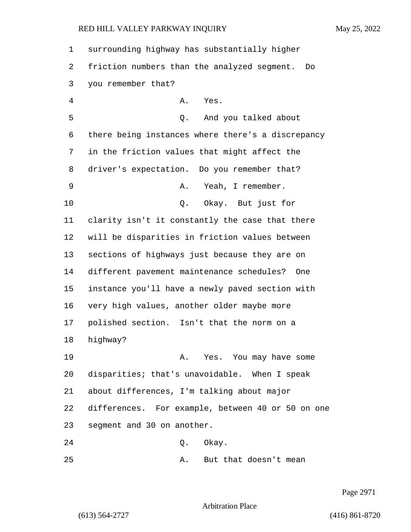| 1  | surrounding highway has substantially higher      |
|----|---------------------------------------------------|
| 2  | friction numbers than the analyzed segment.<br>Do |
| 3  | you remember that?                                |
| 4  | Α.<br>Yes.                                        |
| 5  | And you talked about<br>Q.                        |
| 6  | there being instances where there's a discrepancy |
| 7  | in the friction values that might affect the      |
| 8  | driver's expectation. Do you remember that?       |
| 9  | Yeah, I remember.<br>Α.                           |
| 10 | Okay. But just for<br>Q.                          |
| 11 | clarity isn't it constantly the case that there   |
| 12 | will be disparities in friction values between    |
| 13 | sections of highways just because they are on     |
| 14 | different pavement maintenance schedules? One     |
| 15 | instance you'll have a newly paved section with   |
| 16 | very high values, another older maybe more        |
| 17 | polished section. Isn't that the norm on a        |
| 18 | highway?                                          |
| 19 | Yes. You may have some<br>A.                      |
| 20 | disparities; that's unavoidable. When I speak     |
| 21 | about differences, I'm talking about major        |
| 22 | differences. For example, between 40 or 50 on one |
| 23 | segment and 30 on another.                        |
| 24 | Okay.<br>Q.                                       |
| 25 | But that doesn't mean<br>Α.                       |

Page 2971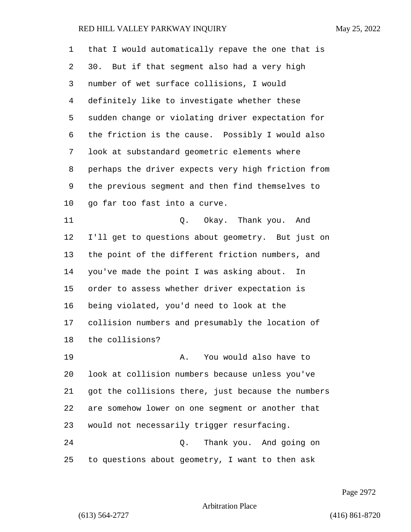| 1  | that I would automatically repave the one that is  |
|----|----------------------------------------------------|
| 2  | 30. But if that segment also had a very high       |
| 3  | number of wet surface collisions, I would          |
| 4  | definitely like to investigate whether these       |
| 5  | sudden change or violating driver expectation for  |
| 6  | the friction is the cause. Possibly I would also   |
| 7  | look at substandard geometric elements where       |
| 8  | perhaps the driver expects very high friction from |
| 9  | the previous segment and then find themselves to   |
| 10 | go far too fast into a curve.                      |
| 11 | Okay.   Thank you.<br>Q.<br>And                    |
| 12 | I'll get to questions about geometry. But just on  |
| 13 | the point of the different friction numbers, and   |
| 14 | you've made the point I was asking about. In       |
| 15 | order to assess whether driver expectation is      |
| 16 | being violated, you'd need to look at the          |
| 17 | collision numbers and presumably the location of   |
| 18 | the collisions?                                    |
| 19 | You would also have to<br>Α.                       |
| 20 | look at collision numbers because unless you've    |
| 21 | got the collisions there, just because the numbers |
| 22 | are somehow lower on one segment or another that   |
| 23 | would not necessarily trigger resurfacing.         |
| 24 | Thank you. And going on<br>Q.                      |
| 25 | to questions about geometry, I want to then ask    |

Page 2972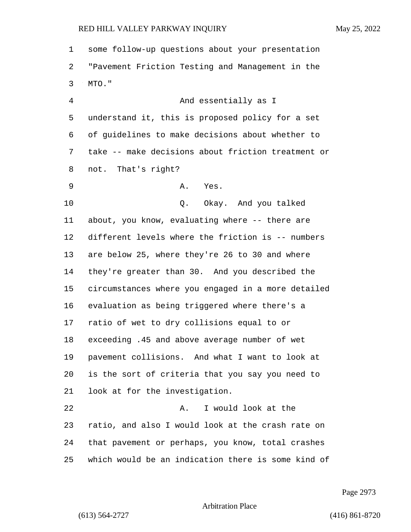| $\mathbf 1$    | some follow-up questions about your presentation   |
|----------------|----------------------------------------------------|
| 2              | "Pavement Friction Testing and Management in the   |
| 3              | MTO."                                              |
| $\overline{4}$ | And essentially as I                               |
| 5              | understand it, this is proposed policy for a set   |
| 6              | of guidelines to make decisions about whether to   |
| 7              | take -- make decisions about friction treatment or |
| 8              | not. That's right?                                 |
| 9              | Α.<br>Yes.                                         |
| 10             | Okay. And you talked<br>Q.                         |
| 11             | about, you know, evaluating where -- there are     |
| 12             | different levels where the friction is -- numbers  |
| 13             | are below 25, where they're 26 to 30 and where     |
| 14             | they're greater than 30. And you described the     |
| 15             | circumstances where you engaged in a more detailed |
| 16             | evaluation as being triggered where there's a      |
| 17             | ratio of wet to dry collisions equal to or         |
| 18             | exceeding .45 and above average number of wet      |
| 19             | pavement collisions. And what I want to look at    |
| 20             | is the sort of criteria that you say you need to   |
| 21             | look at for the investigation.                     |
| 22             | I would look at the<br>Α.                          |
| 23             | ratio, and also I would look at the crash rate on  |
| 24             | that pavement or perhaps, you know, total crashes  |
| 25             | which would be an indication there is some kind of |

Page 2973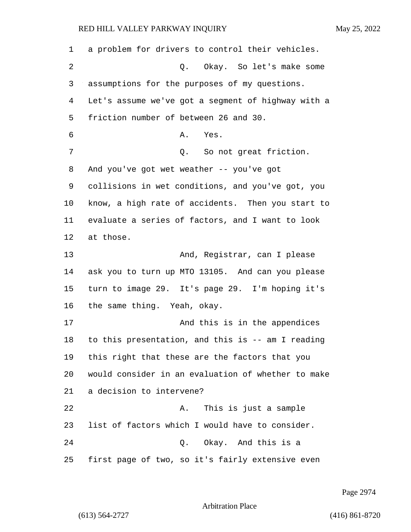a problem for drivers to control their vehicles. 2 Q. Okay. So let's make some assumptions for the purposes of my questions. Let's assume we've got a segment of highway with a friction number of between 26 and 30. 6 A. Yes. 7 0. So not great friction. And you've got wet weather -- you've got collisions in wet conditions, and you've got, you know, a high rate of accidents. Then you start to evaluate a series of factors, and I want to look at those. 13 And, Registrar, can I please ask you to turn up MTO 13105. And can you please turn to image 29. It's page 29. I'm hoping it's the same thing. Yeah, okay. **And this is in the appendices**  to this presentation, and this is -- am I reading this right that these are the factors that you would consider in an evaluation of whether to make a decision to intervene? 22 A. This is just a sample list of factors which I would have to consider. 24 Q. Okay. And this is a first page of two, so it's fairly extensive even

Page 2974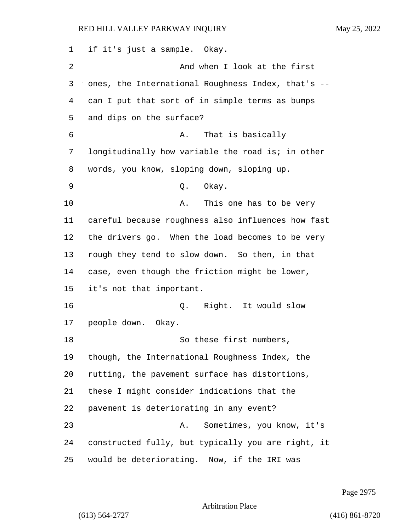| 1  | if it's just a sample. Okay.                       |
|----|----------------------------------------------------|
| 2  | And when I look at the first                       |
| 3  | ones, the International Roughness Index, that's -- |
| 4  | can I put that sort of in simple terms as bumps    |
| 5  | and dips on the surface?                           |
| 6  | That is basically<br>Α.                            |
| 7  | longitudinally how variable the road is; in other  |
| 8  | words, you know, sloping down, sloping up.         |
| 9  | Okay.<br>Q.                                        |
| 10 | This one has to be very<br>Α.                      |
| 11 | careful because roughness also influences how fast |
| 12 | the drivers go. When the load becomes to be very   |
| 13 | rough they tend to slow down. So then, in that     |
| 14 | case, even though the friction might be lower,     |
| 15 | it's not that important.                           |
| 16 | Right. It would slow<br>Q.                         |
| 17 | people down. Okay.                                 |
| 18 | So these first numbers,                            |
| 19 | though, the International Roughness Index, the     |
| 20 | rutting, the pavement surface has distortions,     |
| 21 | these I might consider indications that the        |
| 22 | pavement is deteriorating in any event?            |
| 23 | Sometimes, you know, it's<br>Α.                    |
| 24 | constructed fully, but typically you are right, it |
| 25 | would be deteriorating. Now, if the IRI was        |

Page 2975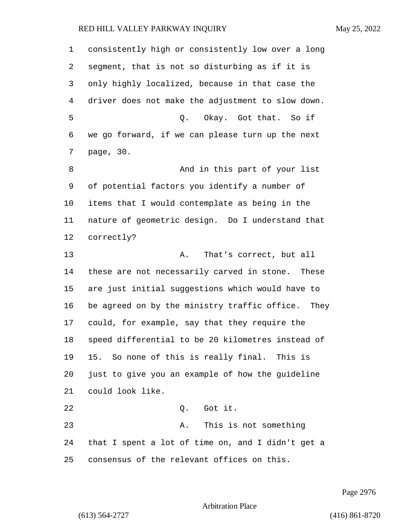consistently high or consistently low over a long segment, that is not so disturbing as if it is only highly localized, because in that case the driver does not make the adjustment to slow down.

5 Q. Okay. Got that. So if we go forward, if we can please turn up the next page, 30.

8 And in this part of your list of potential factors you identify a number of items that I would contemplate as being in the nature of geometric design. Do I understand that correctly?

13 A. That's correct, but all these are not necessarily carved in stone. These are just initial suggestions which would have to be agreed on by the ministry traffic office. They could, for example, say that they require the speed differential to be 20 kilometres instead of 15. So none of this is really final. This is just to give you an example of how the guideline could look like. 22 Q. Got it. 23 A. This is not something

that I spent a lot of time on, and I didn't get a

consensus of the relevant offices on this.

Page 2976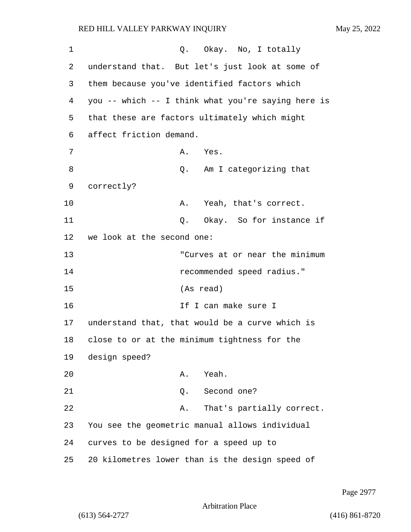| 1  | Q. Okay. No, I totally                             |
|----|----------------------------------------------------|
| 2  | understand that. But let's just look at some of    |
| 3  | them because you've identified factors which       |
| 4  | you -- which -- I think what you're saying here is |
| 5  | that these are factors ultimately which might      |
| 6  | affect friction demand.                            |
| 7  | Α.<br>Yes.                                         |
| 8  | Q. Am I categorizing that                          |
| 9  | correctly?                                         |
| 10 | Yeah, that's correct.<br>Α.                        |
| 11 | Okay. So for instance if<br>Q.                     |
| 12 | we look at the second one:                         |
| 13 | "Curves at or near the minimum                     |
| 14 | recommended speed radius."                         |
| 15 | (As read)                                          |
| 16 | If I can make sure I                               |
| 17 | understand that, that would be a curve which is    |
| 18 | close to or at the minimum tightness for the       |
| 19 | design speed?                                      |
| 20 | Yeah.<br>Α.                                        |
| 21 | Second one?<br>Q.                                  |
| 22 | That's partially correct.<br>Α.                    |
| 23 | You see the geometric manual allows individual     |
| 24 | curves to be designed for a speed up to            |
| 25 | 20 kilometres lower than is the design speed of    |

Page 2977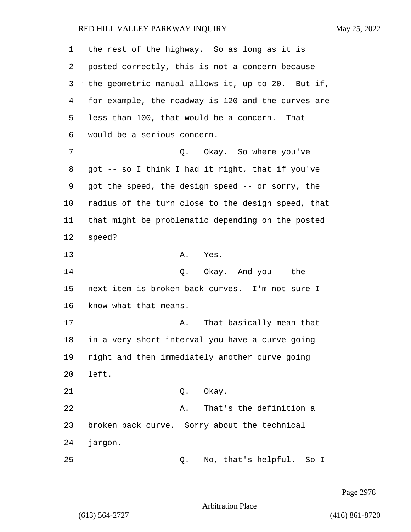| 1  | the rest of the highway. So as long as it is       |
|----|----------------------------------------------------|
| 2  | posted correctly, this is not a concern because    |
| 3  | the geometric manual allows it, up to 20. But if,  |
| 4  | for example, the roadway is 120 and the curves are |
| 5  | less than 100, that would be a concern. That       |
| 6  | would be a serious concern.                        |
| 7  | Q. Okay. So where you've                           |
| 8  | got -- so I think I had it right, that if you've   |
| 9  | got the speed, the design speed -- or sorry, the   |
| 10 | radius of the turn close to the design speed, that |
| 11 | that might be problematic depending on the posted  |
| 12 | speed?                                             |
| 13 | Α.<br>Yes.                                         |
| 14 | Q. Okay. And you -- the                            |
| 15 | next item is broken back curves. I'm not sure I    |
| 16 | know what that means.                              |
| 17 | That basically mean that<br>Α.                     |
| 18 | in a very short interval you have a curve going    |
| 19 | right and then immediately another curve going     |
| 20 | left.                                              |
| 21 | Okay.<br>Q.                                        |
| 22 | That's the definition a<br>Α.                      |
| 23 | broken back curve. Sorry about the technical       |
| 24 | jargon.                                            |
| 25 | No, that's helpful.<br>So I<br>Q.                  |

Page 2978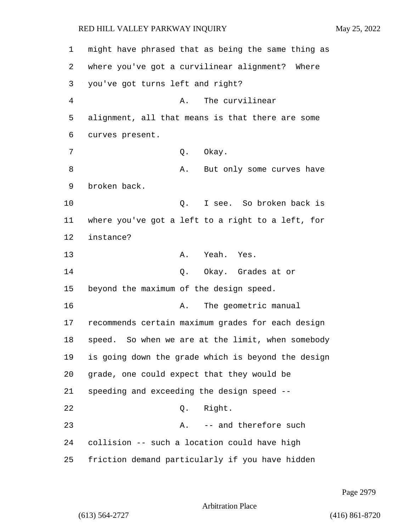might have phrased that as being the same thing as where you've got a curvilinear alignment? Where you've got turns left and right? 4 A. The curvilinear alignment, all that means is that there are some curves present. 7 O. Okay. 8 A. But only some curves have broken back. 10 Q. I see. So broken back is where you've got a left to a right to a left, for instance? 13 A. Yeah. Yes. 14 Q. Okay. Grades at or beyond the maximum of the design speed. 16 A. The geometric manual recommends certain maximum grades for each design speed. So when we are at the limit, when somebody is going down the grade which is beyond the design grade, one could expect that they would be speeding and exceeding the design speed -- 22 Q. Right. 23 A. -- and therefore such collision -- such a location could have high friction demand particularly if you have hidden

Page 2979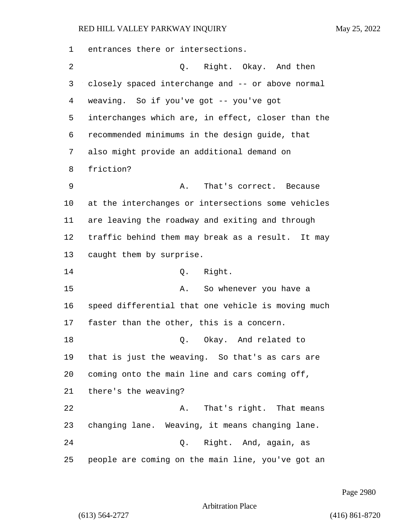entrances there or intersections. 2 Q. Right. Okay. And then closely spaced interchange and -- or above normal weaving. So if you've got -- you've got interchanges which are, in effect, closer than the recommended minimums in the design guide, that also might provide an additional demand on friction? 9 A. That's correct. Because at the interchanges or intersections some vehicles are leaving the roadway and exiting and through traffic behind them may break as a result. It may caught them by surprise. 14 Q. Right. 15 A. So whenever you have a speed differential that one vehicle is moving much faster than the other, this is a concern. 18 Q. Okay. And related to that is just the weaving. So that's as cars are coming onto the main line and cars coming off, there's the weaving? 22 A. That's right. That means changing lane. Weaving, it means changing lane. 24 Q. Right. And, again, as people are coming on the main line, you've got an

Page 2980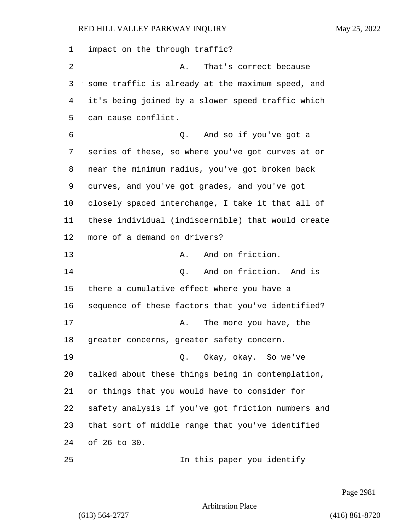impact on the through traffic? 2 A. That's correct because some traffic is already at the maximum speed, and it's being joined by a slower speed traffic which can cause conflict. 6 Q. And so if you've got a series of these, so where you've got curves at or near the minimum radius, you've got broken back curves, and you've got grades, and you've got closely spaced interchange, I take it that all of these individual (indiscernible) that would create more of a demand on drivers? 13 A. And on friction. 14 Q. And on friction. And is there a cumulative effect where you have a sequence of these factors that you've identified? 17 A. The more you have, the greater concerns, greater safety concern. 19 Q. Okay, okay. So we've talked about these things being in contemplation, or things that you would have to consider for safety analysis if you've got friction numbers and that sort of middle range that you've identified of 26 to 30. 25 In this paper you identify

Page 2981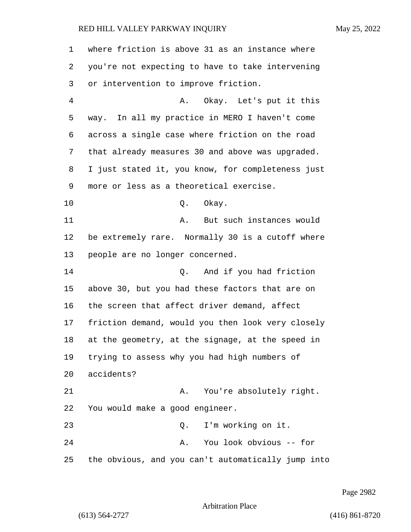where friction is above 31 as an instance where you're not expecting to have to take intervening or intervention to improve friction. 4 A. Okay. Let's put it this way. In all my practice in MERO I haven't come across a single case where friction on the road that already measures 30 and above was upgraded. I just stated it, you know, for completeness just more or less as a theoretical exercise. 10 Q. Okay. 11 A. But such instances would be extremely rare. Normally 30 is a cutoff where people are no longer concerned. 14 Q. And if you had friction above 30, but you had these factors that are on the screen that affect driver demand, affect friction demand, would you then look very closely at the geometry, at the signage, at the speed in trying to assess why you had high numbers of accidents? 21 A. You're absolutely right. You would make a good engineer. 23 Q. I'm working on it. 24 A. You look obvious -- for the obvious, and you can't automatically jump into

Page 2982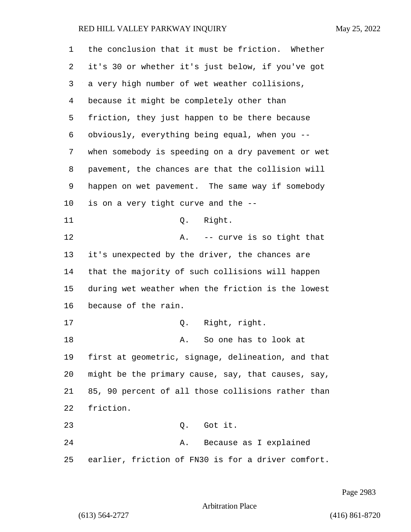| 1       | the conclusion that it must be friction. Whether   |
|---------|----------------------------------------------------|
| 2       | it's 30 or whether it's just below, if you've got  |
| 3       | a very high number of wet weather collisions,      |
| 4       | because it might be completely other than          |
| 5       | friction, they just happen to be there because     |
| 6       | obviously, everything being equal, when you --     |
| 7       | when somebody is speeding on a dry pavement or wet |
| 8       | pavement, the chances are that the collision will  |
| 9       | happen on wet pavement. The same way if somebody   |
| $10 \,$ | is on a very tight curve and the --                |
| 11      | Right.<br>Q.                                       |
| 12      | A. -- curve is so tight that                       |
| 13      | it's unexpected by the driver, the chances are     |
| 14      | that the majority of such collisions will happen   |
| 15      | during wet weather when the friction is the lowest |
| 16      | because of the rain.                               |
| 17      | Right, right.<br>Q.                                |
| 18      | So one has to look at<br>Α.                        |
| 19      | first at geometric, signage, delineation, and that |
| 20      | might be the primary cause, say, that causes, say, |
| 21      | 85, 90 percent of all those collisions rather than |
| 22      | friction.                                          |
| 23      | Q. Got it.                                         |
| 24      | Because as I explained<br>Α.                       |
| 25      | earlier, friction of FN30 is for a driver comfort. |

Page 2983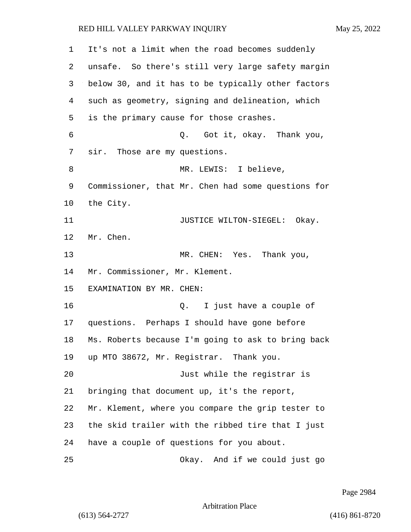It's not a limit when the road becomes suddenly unsafe. So there's still very large safety margin below 30, and it has to be typically other factors such as geometry, signing and delineation, which is the primary cause for those crashes. 6 Q. Got it, okay. Thank you, sir. Those are my questions. 8 MR. LEWIS: I believe, Commissioner, that Mr. Chen had some questions for the City. **JUSTICE WILTON-SIEGEL:** Okay. Mr. Chen. 13 MR. CHEN: Yes. Thank you, Mr. Commissioner, Mr. Klement. EXAMINATION BY MR. CHEN: 16 Q. I just have a couple of questions. Perhaps I should have gone before Ms. Roberts because I'm going to ask to bring back up MTO 38672, Mr. Registrar. Thank you. 20 Just while the registrar is bringing that document up, it's the report, Mr. Klement, where you compare the grip tester to the skid trailer with the ribbed tire that I just have a couple of questions for you about. 25 Okay. And if we could just go

Page 2984

Arbitration Place

(613) 564-2727 (416) 861-8720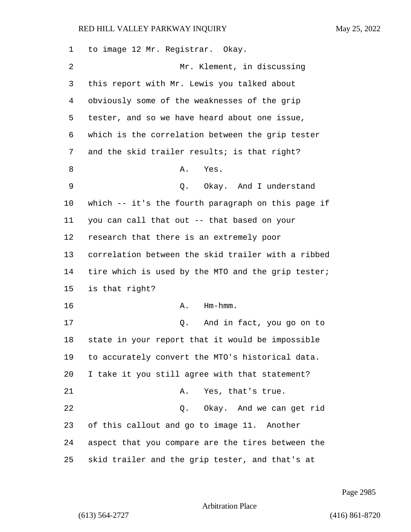| 1  | to image 12 Mr. Registrar. Okay.                   |
|----|----------------------------------------------------|
| 2  | Mr. Klement, in discussing                         |
| 3  | this report with Mr. Lewis you talked about        |
| 4  | obviously some of the weaknesses of the grip       |
| 5  | tester, and so we have heard about one issue,      |
| 6  | which is the correlation between the grip tester   |
| 7  | and the skid trailer results; is that right?       |
| 8  | Yes.<br>Α.                                         |
| 9  | Q. Okay. And I understand                          |
| 10 | which -- it's the fourth paragraph on this page if |
| 11 | you can call that out -- that based on your        |
| 12 | research that there is an extremely poor           |
| 13 | correlation between the skid trailer with a ribbed |
| 14 | tire which is used by the MTO and the grip tester; |
| 15 | is that right?                                     |
| 16 | Hm-hmm.<br>Α.                                      |
| 17 | Q.<br>And in fact, you go on to                    |
| 18 | state in your report that it would be impossible   |
| 19 | to accurately convert the MTO's historical data.   |
| 20 | I take it you still agree with that statement?     |
| 21 | Yes, that's true.<br>Α.                            |
| 22 | Okay. And we can get rid<br>Q.                     |
| 23 | of this callout and go to image 11. Another        |
| 24 | aspect that you compare are the tires between the  |
| 25 | skid trailer and the grip tester, and that's at    |

Page 2985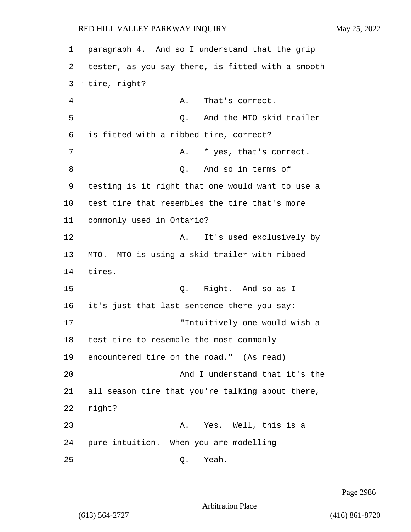1 paragraph 4. And so I understand that the grip 2 tester, as you say there, is fitted with a smooth 3 tire, right? 4 A. That's correct. 5 Q. And the MTO skid trailer 6 is fitted with a ribbed tire, correct? 7 A. \* yes, that's correct. 8 Q. And so in terms of 9 testing is it right that one would want to use a 10 test tire that resembles the tire that's more 11 commonly used in Ontario? 12 **A.** It's used exclusively by 13 MTO. MTO is using a skid trailer with ribbed 14 tires. 15 Q. Right. And so as I -- 16 it's just that last sentence there you say: 17 "Intuitively one would wish a 18 test tire to resemble the most commonly 19 encountered tire on the road." (As read) 20 And I understand that it's the 21 all season tire that you're talking about there, 22 right? 23 A. Yes. Well, this is a 24 pure intuition. When you are modelling -- 25 Q. Yeah.

Page 2986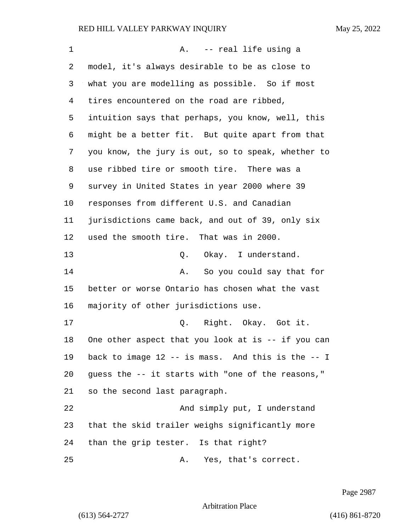| 1  | -- real life using a<br>Α.                          |
|----|-----------------------------------------------------|
| 2  | model, it's always desirable to be as close to      |
| 3  | what you are modelling as possible. So if most      |
| 4  | tires encountered on the road are ribbed,           |
| 5  | intuition says that perhaps, you know, well, this   |
| 6  | might be a better fit. But quite apart from that    |
| 7  | you know, the jury is out, so to speak, whether to  |
| 8  | use ribbed tire or smooth tire. There was a         |
| 9  | survey in United States in year 2000 where 39       |
| 10 | responses from different U.S. and Canadian          |
| 11 | jurisdictions came back, and out of 39, only six    |
| 12 | used the smooth tire. That was in 2000.             |
| 13 | Okay. I understand.<br>Q.                           |
| 14 | So you could say that for<br>Α.                     |
| 15 | better or worse Ontario has chosen what the vast    |
| 16 | majority of other jurisdictions use.                |
| 17 | Q. Right. Okay. Got it.                             |
| 18 | One other aspect that you look at is -- if you can  |
| 19 | back to image $12$ -- is mass. And this is the -- I |
| 20 | guess the -- it starts with "one of the reasons,"   |
| 21 | so the second last paragraph.                       |
| 22 | And simply put, I understand                        |
| 23 | that the skid trailer weighs significantly more     |
| 24 | than the grip tester. Is that right?                |
| 25 | Yes, that's correct.<br>Α.                          |

Page 2987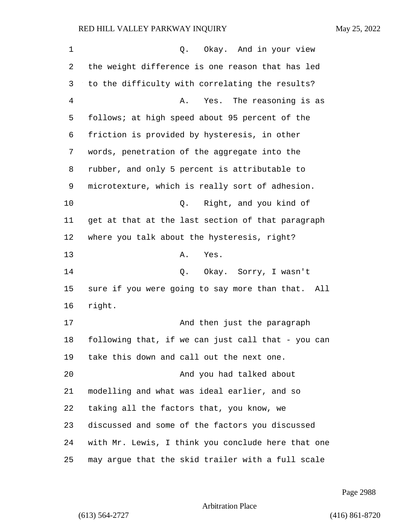1 0. Okay. And in your view the weight difference is one reason that has led to the difficulty with correlating the results? 4 A. Yes. The reasoning is as follows; at high speed about 95 percent of the friction is provided by hysteresis, in other words, penetration of the aggregate into the rubber, and only 5 percent is attributable to microtexture, which is really sort of adhesion. 10 Q. Right, and you kind of get at that at the last section of that paragraph where you talk about the hysteresis, right? 13 A. Yes. 14 O. Okay. Sorry, I wasn't sure if you were going to say more than that. All right. 17 And then just the paragraph following that, if we can just call that - you can take this down and call out the next one. 20 And you had talked about modelling and what was ideal earlier, and so taking all the factors that, you know, we discussed and some of the factors you discussed with Mr. Lewis, I think you conclude here that one may argue that the skid trailer with a full scale

Page 2988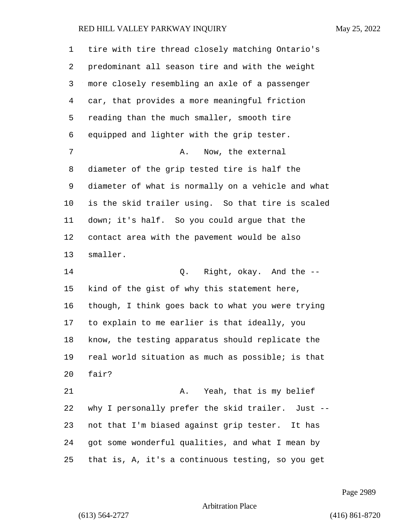tire with tire thread closely matching Ontario's predominant all season tire and with the weight more closely resembling an axle of a passenger car, that provides a more meaningful friction reading than the much smaller, smooth tire equipped and lighter with the grip tester. 7 A. Now, the external diameter of the grip tested tire is half the diameter of what is normally on a vehicle and what is the skid trailer using. So that tire is scaled down; it's half. So you could argue that the contact area with the pavement would be also smaller. 14 Q. Right, okay. And the -- kind of the gist of why this statement here, though, I think goes back to what you were trying to explain to me earlier is that ideally, you know, the testing apparatus should replicate the real world situation as much as possible; is that fair? 21 A. Yeah, that is my belief why I personally prefer the skid trailer. Just --

not that I'm biased against grip tester. It has

got some wonderful qualities, and what I mean by

that is, A, it's a continuous testing, so you get

Arbitration Place

(613) 564-2727 (416) 861-8720

Page 2989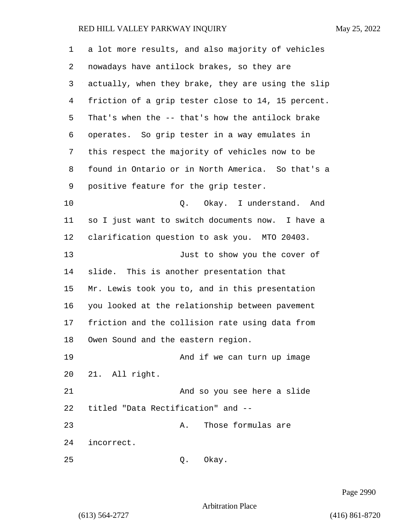| 1  | a lot more results, and also majority of vehicles  |
|----|----------------------------------------------------|
| 2  | nowadays have antilock brakes, so they are         |
| 3  | actually, when they brake, they are using the slip |
| 4  | friction of a grip tester close to 14, 15 percent. |
| 5  | That's when the -- that's how the antilock brake   |
| 6  | operates. So grip tester in a way emulates in      |
| 7  | this respect the majority of vehicles now to be    |
| 8  | found in Ontario or in North America. So that's a  |
| 9  | positive feature for the grip tester.              |
| 10 | Q. Okay. I understand. And                         |
| 11 | so I just want to switch documents now. I have a   |
| 12 | clarification question to ask you. MTO 20403.      |
| 13 | Just to show you the cover of                      |
| 14 | slide. This is another presentation that           |
| 15 | Mr. Lewis took you to, and in this presentation    |
| 16 | you looked at the relationship between pavement    |
| 17 | friction and the collision rate using data from    |
| 18 | Owen Sound and the eastern region.                 |
| 19 | And if we can turn up image                        |
| 20 | 21. All right.                                     |
| 21 | And so you see here a slide                        |
| 22 | titled "Data Rectification" and --                 |
| 23 | Those formulas are<br>Α.                           |
| 24 | incorrect.                                         |
| 25 | Okay.<br>Q.                                        |

Page 2990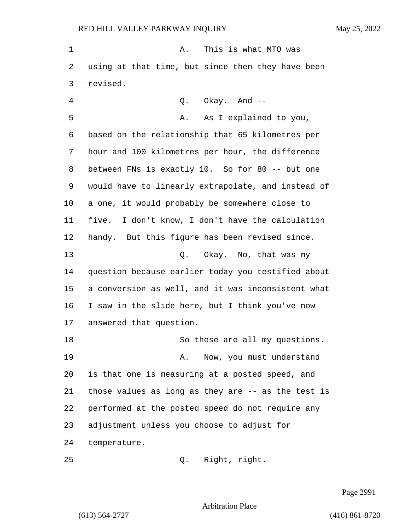1 A. This is what MTO was using at that time, but since then they have been revised. 4 Q. Okay. And -- 5 A. As I explained to you, based on the relationship that 65 kilometres per hour and 100 kilometres per hour, the difference between FNs is exactly 10. So for 80 -- but one would have to linearly extrapolate, and instead of a one, it would probably be somewhere close to five. I don't know, I don't have the calculation handy. But this figure has been revised since. 13 Q. Okay. No, that was my question because earlier today you testified about a conversion as well, and it was inconsistent what I saw in the slide here, but I think you've now answered that question. 18 So those are all my questions. 19 A. Now, you must understand is that one is measuring at a posted speed, and those values as long as they are -- as the test is performed at the posted speed do not require any adjustment unless you choose to adjust for temperature. 25 Q. Right, right.

Page 2991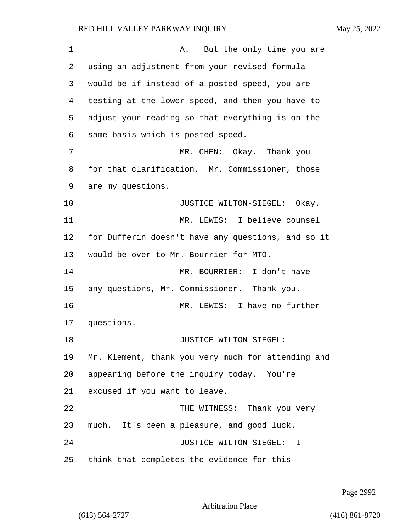1 A. But the only time you are using an adjustment from your revised formula would be if instead of a posted speed, you are testing at the lower speed, and then you have to adjust your reading so that everything is on the same basis which is posted speed. 7 MR. CHEN: Okay. Thank you for that clarification. Mr. Commissioner, those are my questions. **JUSTICE WILTON-SIEGEL:** Okay. 11 MR. LEWIS: I believe counsel for Dufferin doesn't have any questions, and so it would be over to Mr. Bourrier for MTO. 14 MR. BOURRIER: I don't have any questions, Mr. Commissioner. Thank you. 16 MR. LEWIS: I have no further questions. 18 JUSTICE WILTON-SIEGEL: Mr. Klement, thank you very much for attending and appearing before the inquiry today. You're excused if you want to leave. 22 THE WITNESS: Thank you very much. It's been a pleasure, and good luck. 24 JUSTICE WILTON-SIEGEL: I think that completes the evidence for this

Page 2992

Arbitration Place

(613) 564-2727 (416) 861-8720